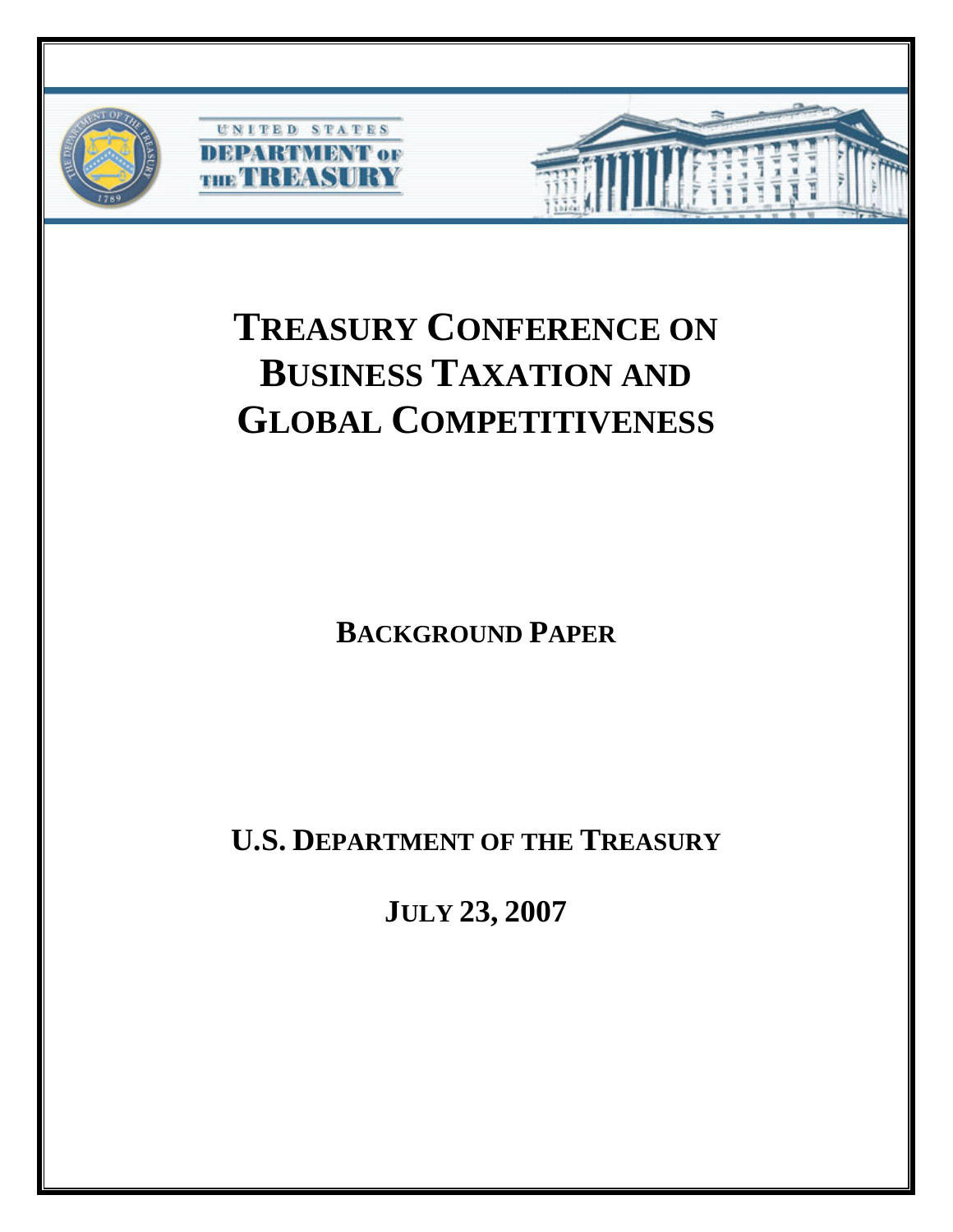

# **TREASURY CONFERENCE ON BUSINESS TAXATION AND GLOBAL COMPETITIVENESS**

**BACKGROUND PAPER**

**U.S. DEPARTMENT OF THE TREASURY**

**JULY 23, 2007**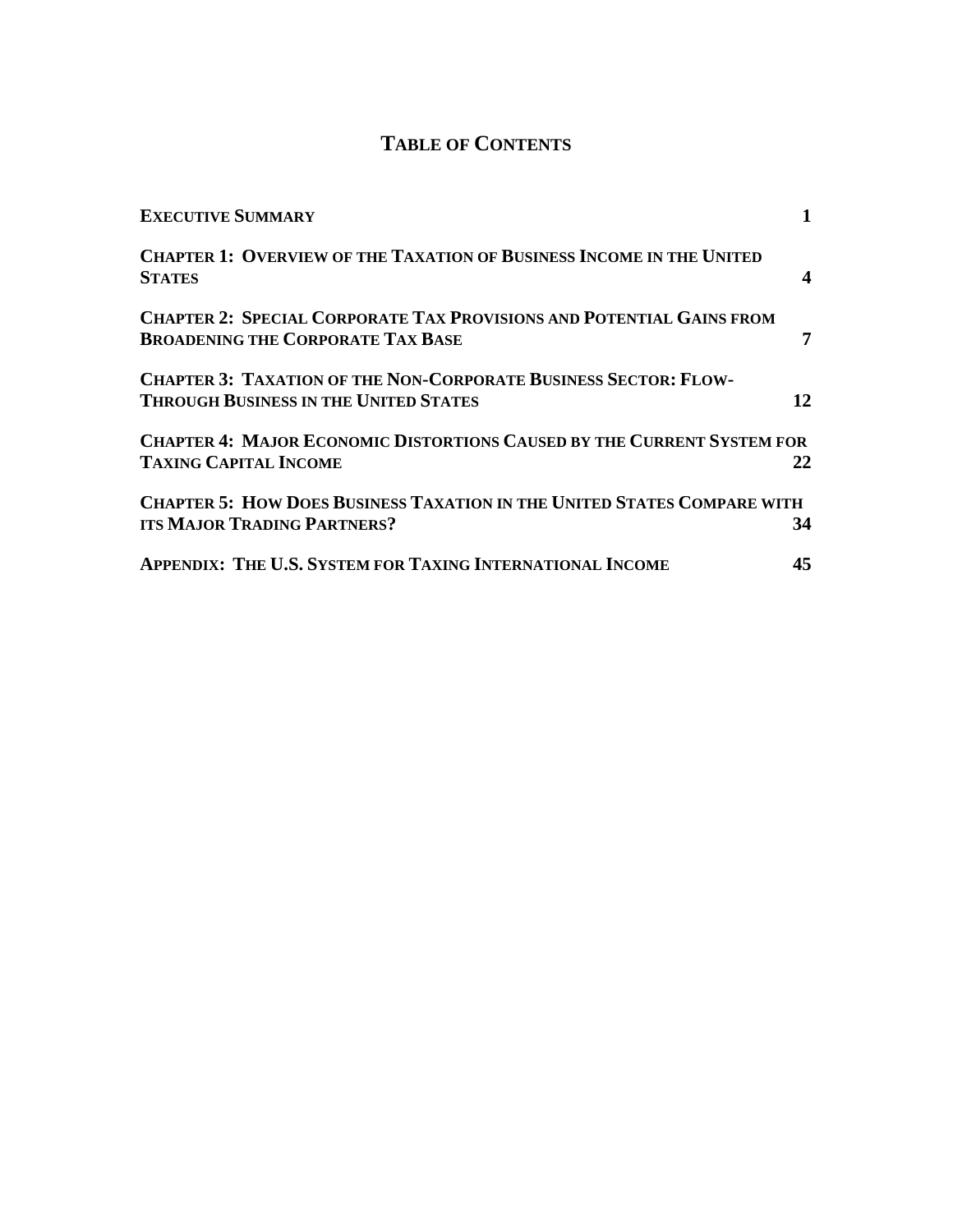# **TABLE OF CONTENTS**

| <b>EXECUTIVE SUMMARY</b>                                                                                                |    |
|-------------------------------------------------------------------------------------------------------------------------|----|
| <b>CHAPTER 1: OVERVIEW OF THE TAXATION OF BUSINESS INCOME IN THE UNITED</b><br><b>STATES</b>                            |    |
| <b>CHAPTER 2: SPECIAL CORPORATE TAX PROVISIONS AND POTENTIAL GAINS FROM</b><br><b>BROADENING THE CORPORATE TAX BASE</b> |    |
| <b>CHAPTER 3: TAXATION OF THE NON-CORPORATE BUSINESS SECTOR: FLOW-</b><br><b>THROUGH BUSINESS IN THE UNITED STATES</b>  | 12 |
| <b>CHAPTER 4: MAJOR ECONOMIC DISTORTIONS CAUSED BY THE CURRENT SYSTEM FOR</b>                                           |    |
| <b>TAXING CAPITAL INCOME</b>                                                                                            | 22 |
| <b>CHAPTER 5: HOW DOES BUSINESS TAXATION IN THE UNITED STATES COMPARE WITH</b><br><b>ITS MAJOR TRADING PARTNERS?</b>    | 34 |
| <b>APPENDIX: THE U.S. SYSTEM FOR TAXING INTERNATIONAL INCOME</b>                                                        | 45 |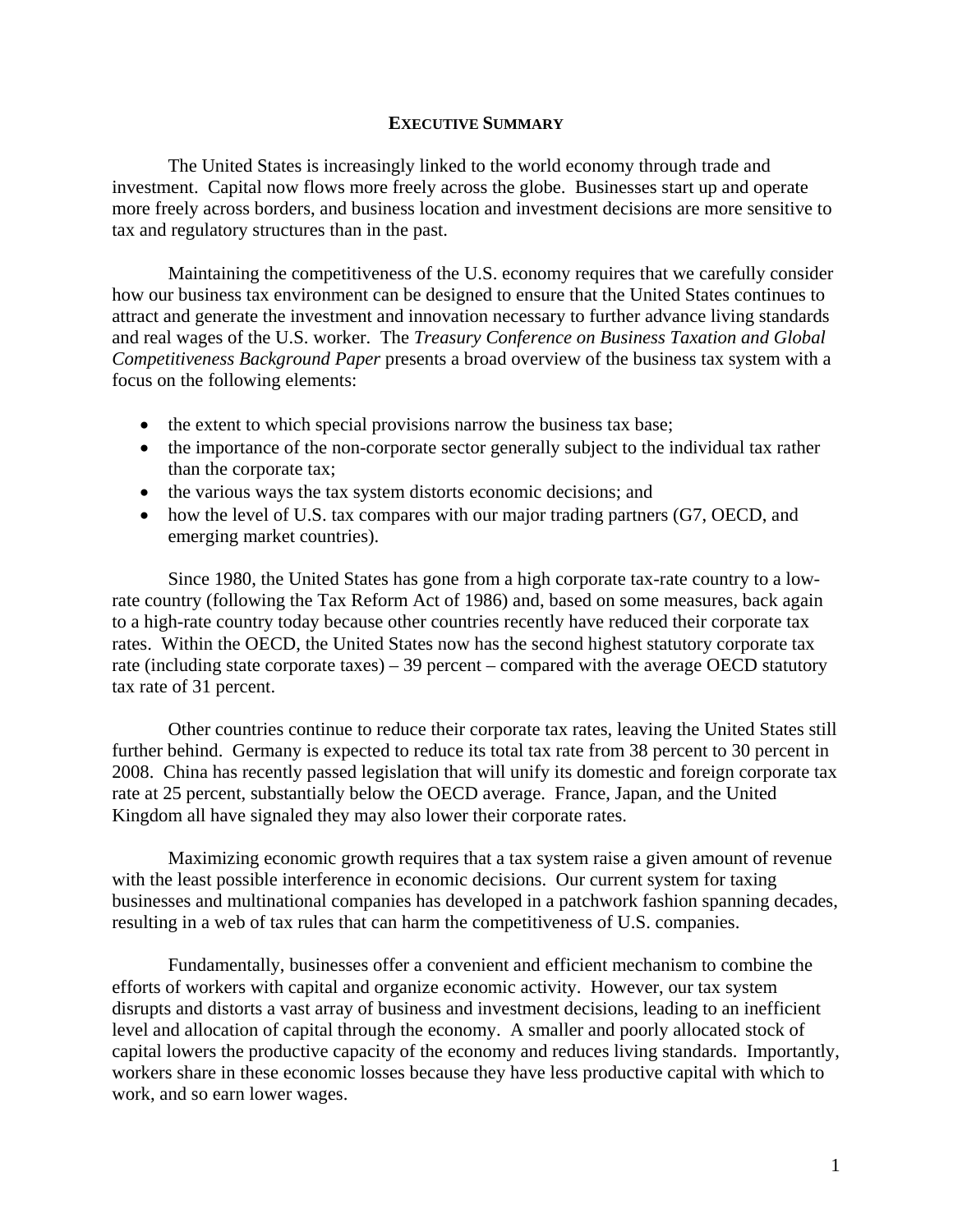#### **EXECUTIVE SUMMARY**

The United States is increasingly linked to the world economy through trade and investment. Capital now flows more freely across the globe. Businesses start up and operate more freely across borders, and business location and investment decisions are more sensitive to tax and regulatory structures than in the past.

Maintaining the competitiveness of the U.S. economy requires that we carefully consider how our business tax environment can be designed to ensure that the United States continues to attract and generate the investment and innovation necessary to further advance living standards and real wages of the U.S. worker. The *Treasury Conference on Business Taxation and Global Competitiveness Background Paper* presents a broad overview of the business tax system with a focus on the following elements:

- the extent to which special provisions narrow the business tax base;
- the importance of the non-corporate sector generally subject to the individual tax rather than the corporate tax;
- the various ways the tax system distorts economic decisions; and
- how the level of U.S. tax compares with our major trading partners (G7, OECD, and emerging market countries).

Since 1980, the United States has gone from a high corporate tax-rate country to a lowrate country (following the Tax Reform Act of 1986) and, based on some measures, back again to a high-rate country today because other countries recently have reduced their corporate tax rates. Within the OECD, the United States now has the second highest statutory corporate tax rate (including state corporate taxes) – 39 percent – compared with the average OECD statutory tax rate of 31 percent.

Other countries continue to reduce their corporate tax rates, leaving the United States still further behind. Germany is expected to reduce its total tax rate from 38 percent to 30 percent in 2008. China has recently passed legislation that will unify its domestic and foreign corporate tax rate at 25 percent, substantially below the OECD average. France, Japan, and the United Kingdom all have signaled they may also lower their corporate rates.

Maximizing economic growth requires that a tax system raise a given amount of revenue with the least possible interference in economic decisions. Our current system for taxing businesses and multinational companies has developed in a patchwork fashion spanning decades, resulting in a web of tax rules that can harm the competitiveness of U.S. companies.

Fundamentally, businesses offer a convenient and efficient mechanism to combine the efforts of workers with capital and organize economic activity. However, our tax system disrupts and distorts a vast array of business and investment decisions, leading to an inefficient level and allocation of capital through the economy. A smaller and poorly allocated stock of capital lowers the productive capacity of the economy and reduces living standards. Importantly, workers share in these economic losses because they have less productive capital with which to work, and so earn lower wages.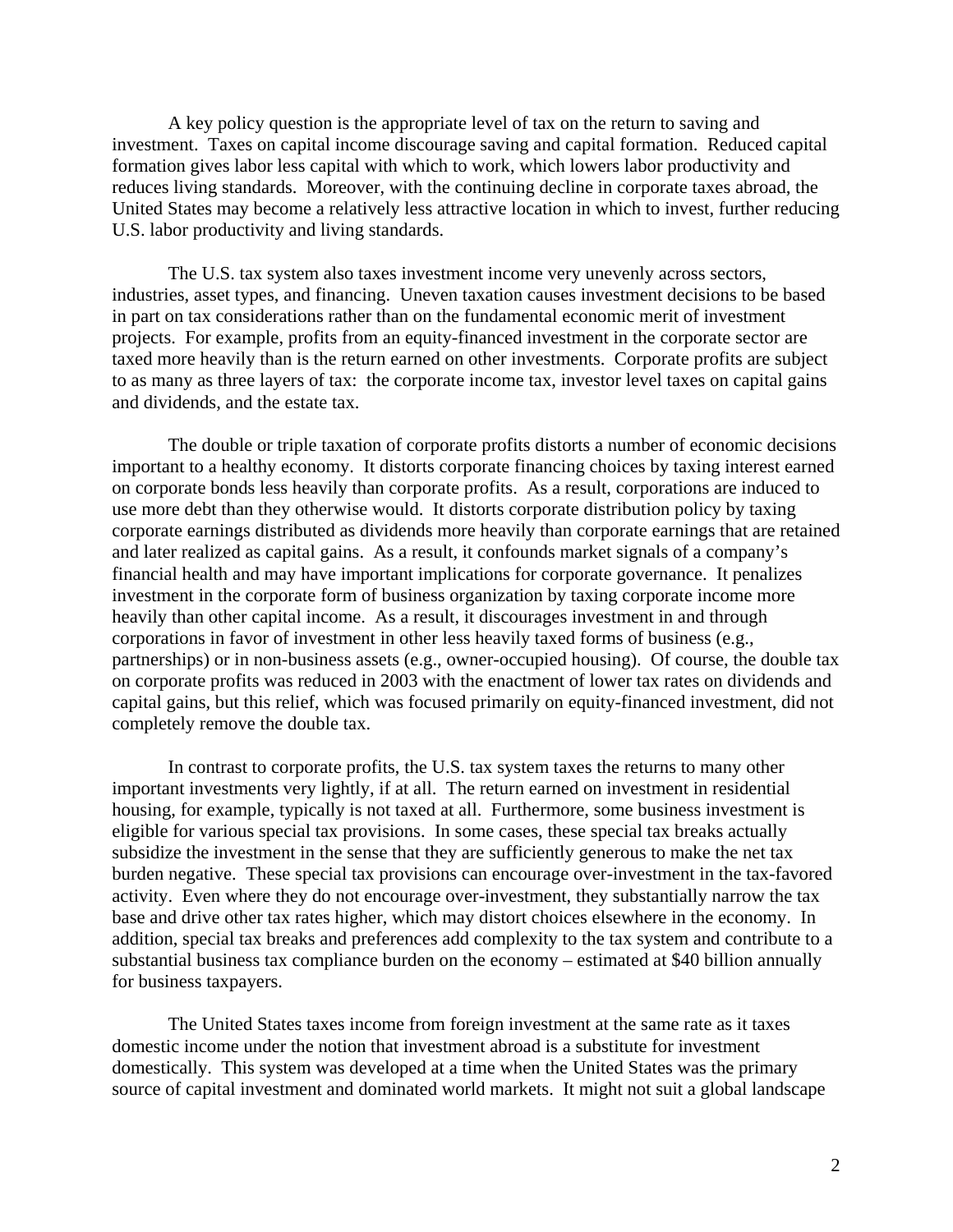A key policy question is the appropriate level of tax on the return to saving and investment. Taxes on capital income discourage saving and capital formation. Reduced capital formation gives labor less capital with which to work, which lowers labor productivity and reduces living standards. Moreover, with the continuing decline in corporate taxes abroad, the United States may become a relatively less attractive location in which to invest, further reducing U.S. labor productivity and living standards.

The U.S. tax system also taxes investment income very unevenly across sectors, industries, asset types, and financing. Uneven taxation causes investment decisions to be based in part on tax considerations rather than on the fundamental economic merit of investment projects. For example, profits from an equity-financed investment in the corporate sector are taxed more heavily than is the return earned on other investments. Corporate profits are subject to as many as three layers of tax: the corporate income tax, investor level taxes on capital gains and dividends, and the estate tax.

The double or triple taxation of corporate profits distorts a number of economic decisions important to a healthy economy. It distorts corporate financing choices by taxing interest earned on corporate bonds less heavily than corporate profits. As a result, corporations are induced to use more debt than they otherwise would. It distorts corporate distribution policy by taxing corporate earnings distributed as dividends more heavily than corporate earnings that are retained and later realized as capital gains. As a result, it confounds market signals of a company's financial health and may have important implications for corporate governance. It penalizes investment in the corporate form of business organization by taxing corporate income more heavily than other capital income. As a result, it discourages investment in and through corporations in favor of investment in other less heavily taxed forms of business (e.g., partnerships) or in non-business assets (e.g., owner-occupied housing). Of course, the double tax on corporate profits was reduced in 2003 with the enactment of lower tax rates on dividends and capital gains, but this relief, which was focused primarily on equity-financed investment, did not completely remove the double tax.

In contrast to corporate profits, the U.S. tax system taxes the returns to many other important investments very lightly, if at all. The return earned on investment in residential housing, for example, typically is not taxed at all. Furthermore, some business investment is eligible for various special tax provisions. In some cases, these special tax breaks actually subsidize the investment in the sense that they are sufficiently generous to make the net tax burden negative. These special tax provisions can encourage over-investment in the tax-favored activity. Even where they do not encourage over-investment, they substantially narrow the tax base and drive other tax rates higher, which may distort choices elsewhere in the economy. In addition, special tax breaks and preferences add complexity to the tax system and contribute to a substantial business tax compliance burden on the economy – estimated at \$40 billion annually for business taxpayers.

The United States taxes income from foreign investment at the same rate as it taxes domestic income under the notion that investment abroad is a substitute for investment domestically. This system was developed at a time when the United States was the primary source of capital investment and dominated world markets. It might not suit a global landscape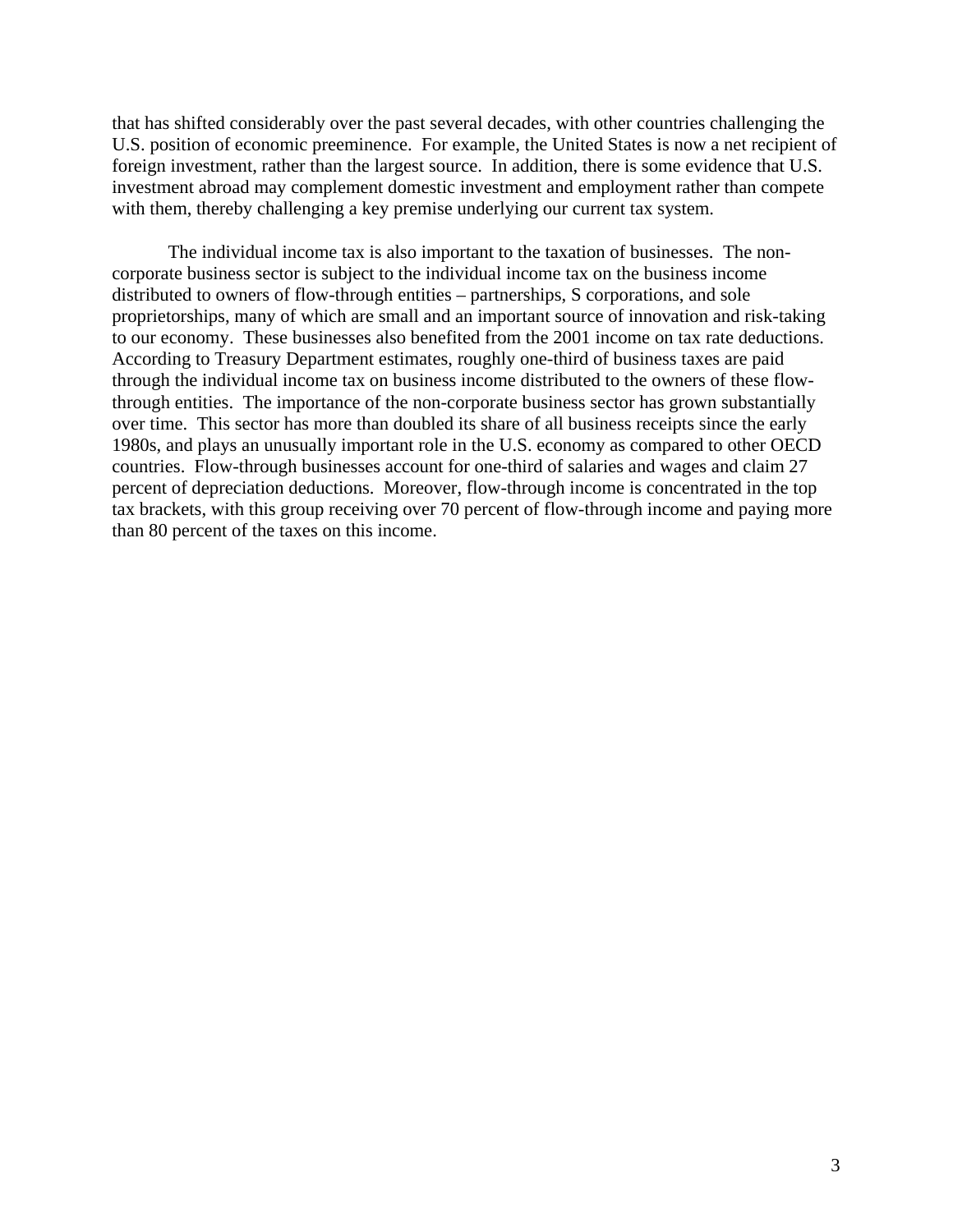that has shifted considerably over the past several decades, with other countries challenging the U.S. position of economic preeminence. For example, the United States is now a net recipient of foreign investment, rather than the largest source. In addition, there is some evidence that U.S. investment abroad may complement domestic investment and employment rather than compete with them, thereby challenging a key premise underlying our current tax system.

The individual income tax is also important to the taxation of businesses. The noncorporate business sector is subject to the individual income tax on the business income distributed to owners of flow-through entities – partnerships, S corporations, and sole proprietorships, many of which are small and an important source of innovation and risk-taking to our economy. These businesses also benefited from the 2001 income on tax rate deductions. According to Treasury Department estimates, roughly one-third of business taxes are paid through the individual income tax on business income distributed to the owners of these flowthrough entities. The importance of the non-corporate business sector has grown substantially over time. This sector has more than doubled its share of all business receipts since the early 1980s, and plays an unusually important role in the U.S. economy as compared to other OECD countries. Flow-through businesses account for one-third of salaries and wages and claim 27 percent of depreciation deductions. Moreover, flow-through income is concentrated in the top tax brackets, with this group receiving over 70 percent of flow-through income and paying more than 80 percent of the taxes on this income.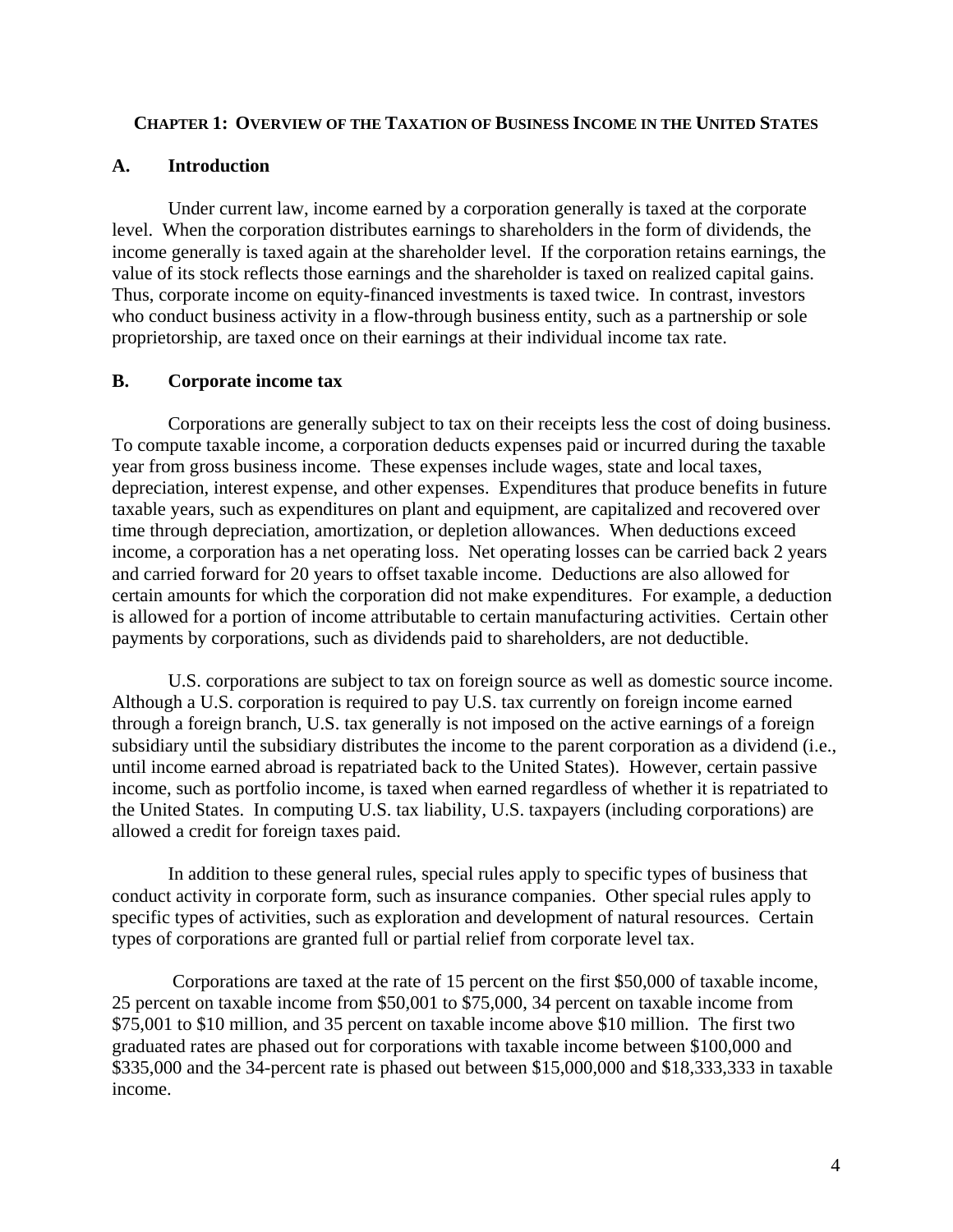## **CHAPTER 1: OVERVIEW OF THE TAXATION OF BUSINESS INCOME IN THE UNITED STATES**

### **A. Introduction**

 Under current law, income earned by a corporation generally is taxed at the corporate level. When the corporation distributes earnings to shareholders in the form of dividends, the income generally is taxed again at the shareholder level. If the corporation retains earnings, the value of its stock reflects those earnings and the shareholder is taxed on realized capital gains. Thus, corporate income on equity-financed investments is taxed twice. In contrast, investors who conduct business activity in a flow-through business entity, such as a partnership or sole proprietorship, are taxed once on their earnings at their individual income tax rate.

### **B. Corporate income tax**

 Corporations are generally subject to tax on their receipts less the cost of doing business. To compute taxable income, a corporation deducts expenses paid or incurred during the taxable year from gross business income. These expenses include wages, state and local taxes, depreciation, interest expense, and other expenses. Expenditures that produce benefits in future taxable years, such as expenditures on plant and equipment, are capitalized and recovered over time through depreciation, amortization, or depletion allowances. When deductions exceed income, a corporation has a net operating loss. Net operating losses can be carried back 2 years and carried forward for 20 years to offset taxable income. Deductions are also allowed for certain amounts for which the corporation did not make expenditures. For example, a deduction is allowed for a portion of income attributable to certain manufacturing activities. Certain other payments by corporations, such as dividends paid to shareholders, are not deductible.

U.S. corporations are subject to tax on foreign source as well as domestic source income. Although a U.S. corporation is required to pay U.S. tax currently on foreign income earned through a foreign branch, U.S. tax generally is not imposed on the active earnings of a foreign subsidiary until the subsidiary distributes the income to the parent corporation as a dividend (i.e., until income earned abroad is repatriated back to the United States). However, certain passive income, such as portfolio income, is taxed when earned regardless of whether it is repatriated to the United States. In computing U.S. tax liability, U.S. taxpayers (including corporations) are allowed a credit for foreign taxes paid.

In addition to these general rules, special rules apply to specific types of business that conduct activity in corporate form, such as insurance companies. Other special rules apply to specific types of activities, such as exploration and development of natural resources. Certain types of corporations are granted full or partial relief from corporate level tax.

 Corporations are taxed at the rate of 15 percent on the first \$50,000 of taxable income, 25 percent on taxable income from \$50,001 to \$75,000, 34 percent on taxable income from \$75,001 to \$10 million, and 35 percent on taxable income above \$10 million. The first two graduated rates are phased out for corporations with taxable income between \$100,000 and \$335,000 and the 34-percent rate is phased out between \$15,000,000 and \$18,333,333 in taxable income.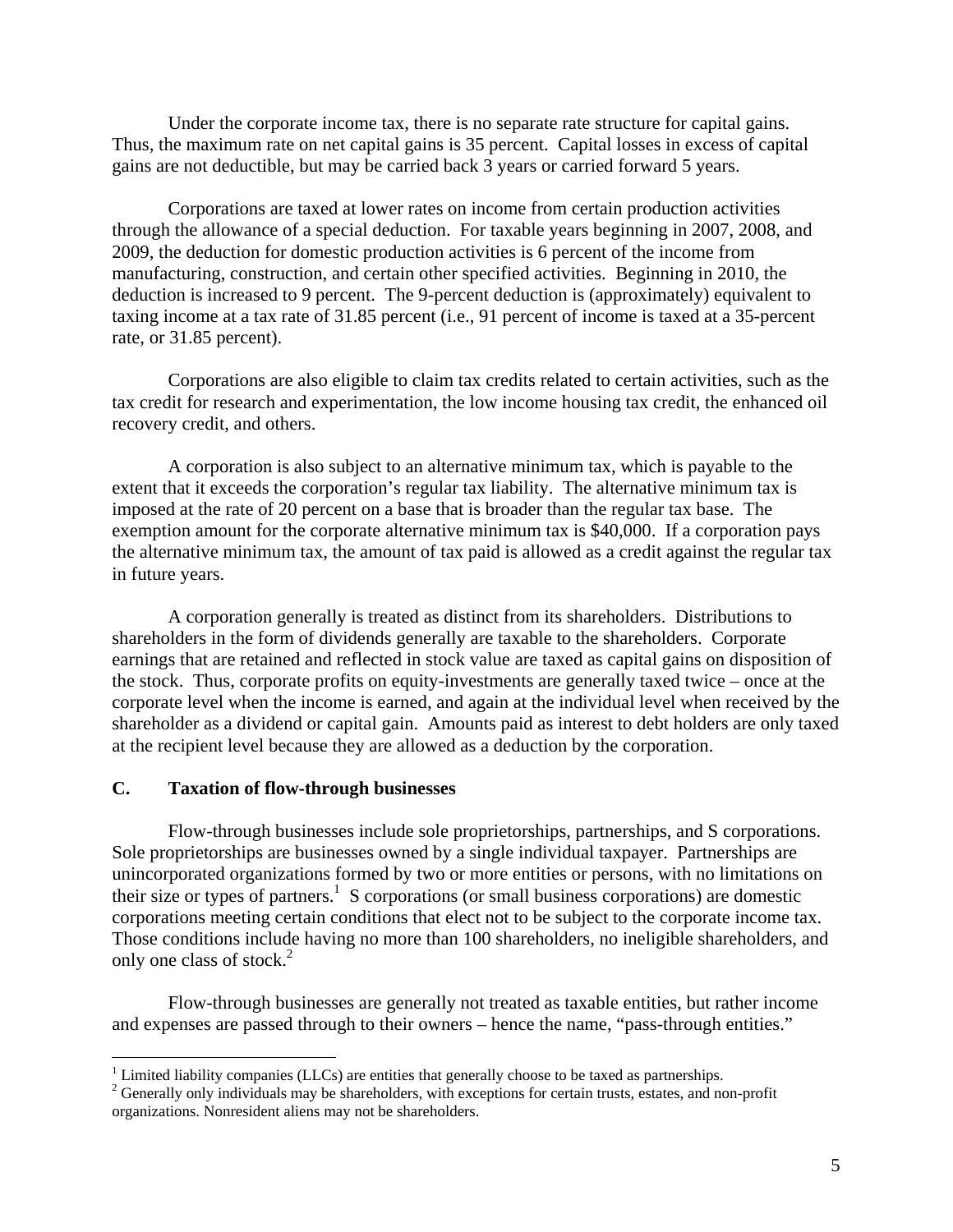Under the corporate income tax, there is no separate rate structure for capital gains. Thus, the maximum rate on net capital gains is 35 percent. Capital losses in excess of capital gains are not deductible, but may be carried back 3 years or carried forward 5 years.

Corporations are taxed at lower rates on income from certain production activities through the allowance of a special deduction. For taxable years beginning in 2007, 2008, and 2009, the deduction for domestic production activities is 6 percent of the income from manufacturing, construction, and certain other specified activities. Beginning in 2010, the deduction is increased to 9 percent. The 9-percent deduction is (approximately) equivalent to taxing income at a tax rate of 31.85 percent (i.e., 91 percent of income is taxed at a 35-percent rate, or 31.85 percent).

Corporations are also eligible to claim tax credits related to certain activities, such as the tax credit for research and experimentation, the low income housing tax credit, the enhanced oil recovery credit, and others.

A corporation is also subject to an alternative minimum tax, which is payable to the extent that it exceeds the corporation's regular tax liability. The alternative minimum tax is imposed at the rate of 20 percent on a base that is broader than the regular tax base. The exemption amount for the corporate alternative minimum tax is \$40,000. If a corporation pays the alternative minimum tax, the amount of tax paid is allowed as a credit against the regular tax in future years.

 A corporation generally is treated as distinct from its shareholders. Distributions to shareholders in the form of dividends generally are taxable to the shareholders. Corporate earnings that are retained and reflected in stock value are taxed as capital gains on disposition of the stock. Thus, corporate profits on equity-investments are generally taxed twice – once at the corporate level when the income is earned, and again at the individual level when received by the shareholder as a dividend or capital gain. Amounts paid as interest to debt holders are only taxed at the recipient level because they are allowed as a deduction by the corporation.

#### **C. Taxation of flow-through businesses**

1

 Flow-through businesses include sole proprietorships, partnerships, and S corporations. Sole proprietorships are businesses owned by a single individual taxpayer. Partnerships are unincorporated organizations formed by two or more entities or persons, with no limitations on their size or types of partners.<sup>1</sup> S corporations (or small business corporations) are domestic corporations meeting certain conditions that elect not to be subject to the corporate income tax. Those conditions include having no more than 100 shareholders, no ineligible shareholders, and only one class of stock.2

Flow-through businesses are generally not treated as taxable entities, but rather income and expenses are passed through to their owners – hence the name, "pass-through entities."

 $<sup>1</sup>$  Limited liability companies (LLCs) are entities that generally choose to be taxed as partnerships.</sup>

 $2^2$  Generally only individuals may be shareholders, with exceptions for certain trusts, estates, and non-profit organizations. Nonresident aliens may not be shareholders.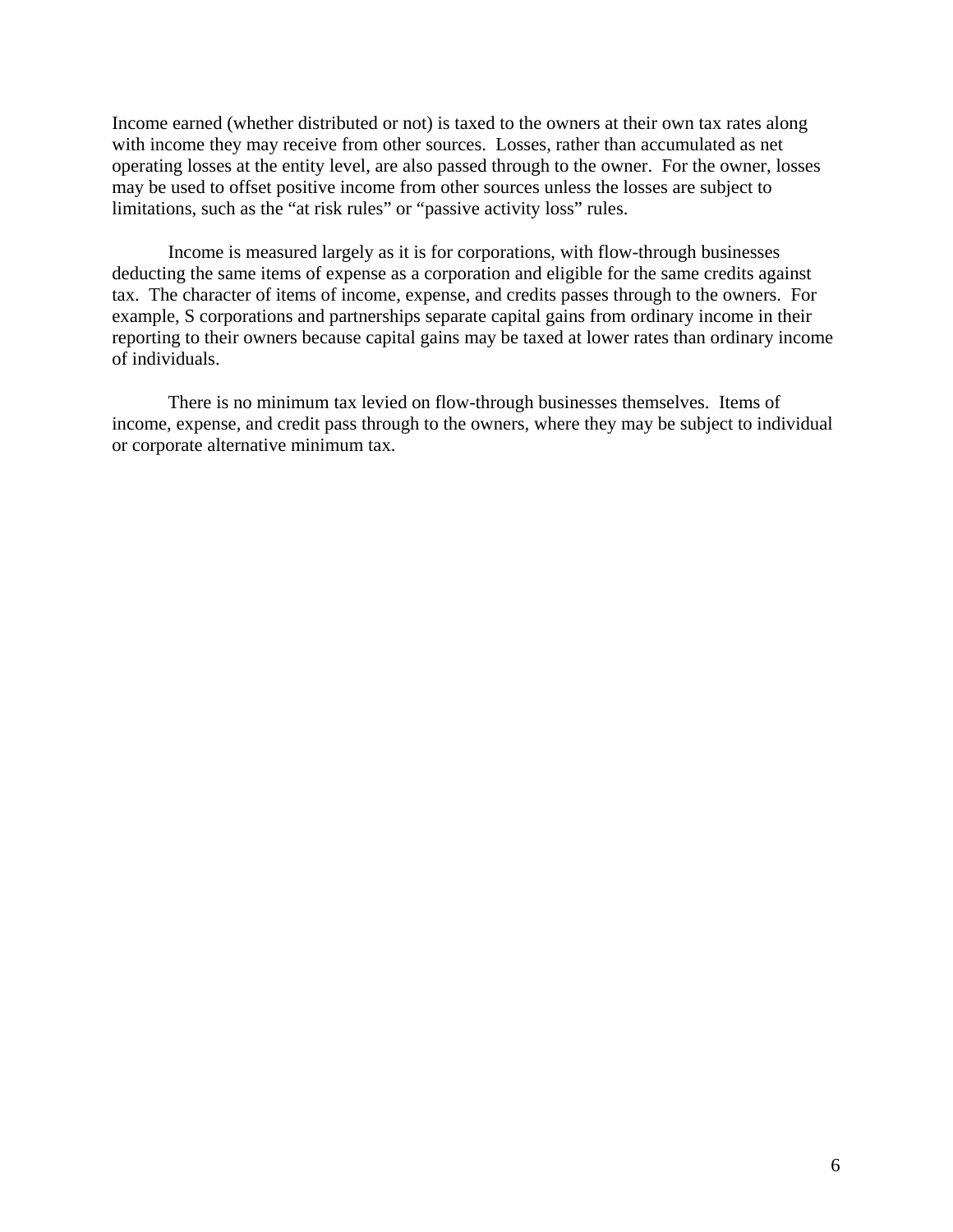Income earned (whether distributed or not) is taxed to the owners at their own tax rates along with income they may receive from other sources. Losses, rather than accumulated as net operating losses at the entity level, are also passed through to the owner. For the owner, losses may be used to offset positive income from other sources unless the losses are subject to limitations, such as the "at risk rules" or "passive activity loss" rules.

Income is measured largely as it is for corporations, with flow-through businesses deducting the same items of expense as a corporation and eligible for the same credits against tax. The character of items of income, expense, and credits passes through to the owners. For example, S corporations and partnerships separate capital gains from ordinary income in their reporting to their owners because capital gains may be taxed at lower rates than ordinary income of individuals.

There is no minimum tax levied on flow-through businesses themselves. Items of income, expense, and credit pass through to the owners, where they may be subject to individual or corporate alternative minimum tax.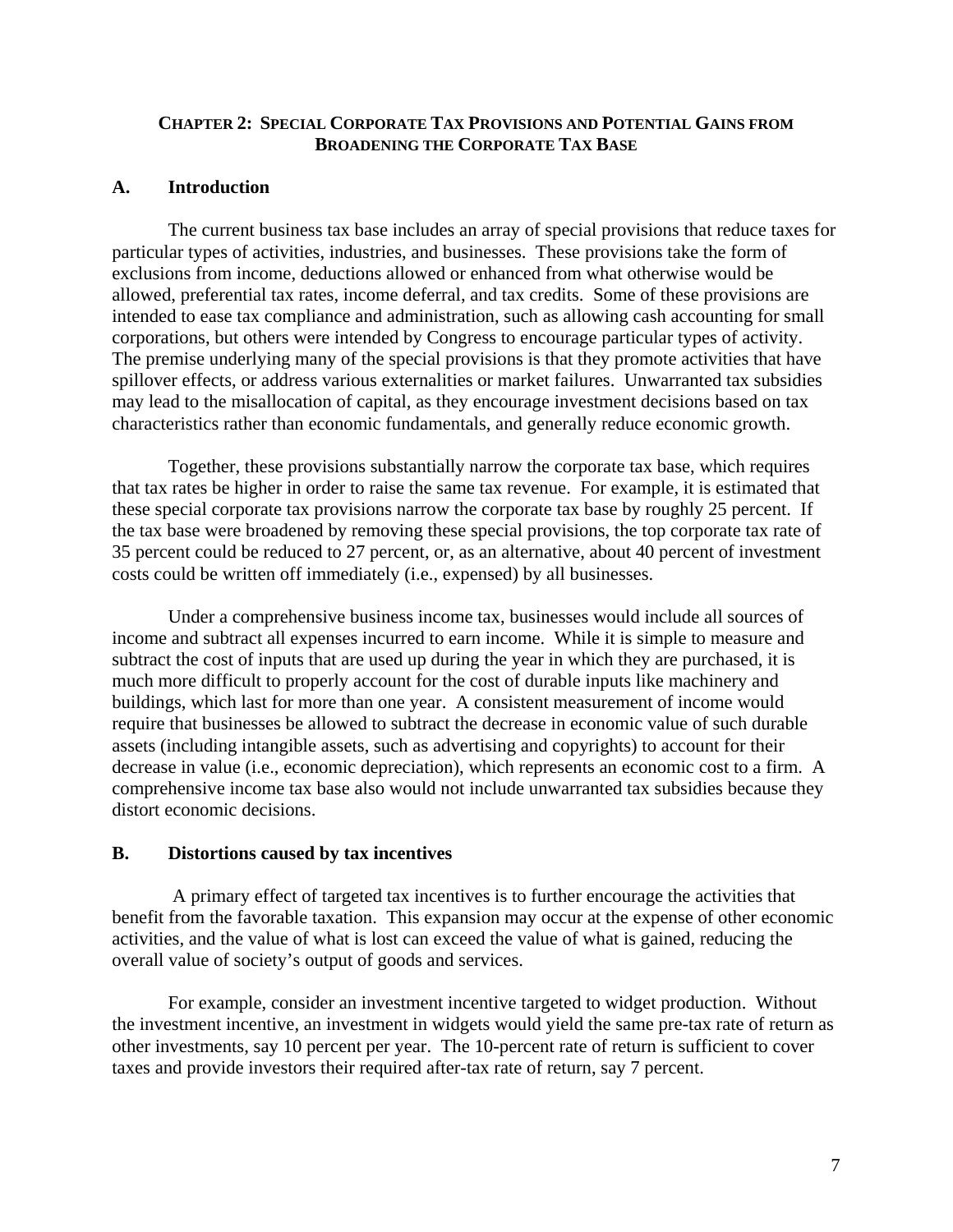## **CHAPTER 2: SPECIAL CORPORATE TAX PROVISIONS AND POTENTIAL GAINS FROM BROADENING THE CORPORATE TAX BASE**

#### **A. Introduction**

The current business tax base includes an array of special provisions that reduce taxes for particular types of activities, industries, and businesses. These provisions take the form of exclusions from income, deductions allowed or enhanced from what otherwise would be allowed, preferential tax rates, income deferral, and tax credits. Some of these provisions are intended to ease tax compliance and administration, such as allowing cash accounting for small corporations, but others were intended by Congress to encourage particular types of activity. The premise underlying many of the special provisions is that they promote activities that have spillover effects, or address various externalities or market failures. Unwarranted tax subsidies may lead to the misallocation of capital, as they encourage investment decisions based on tax characteristics rather than economic fundamentals, and generally reduce economic growth.

Together, these provisions substantially narrow the corporate tax base, which requires that tax rates be higher in order to raise the same tax revenue. For example, it is estimated that these special corporate tax provisions narrow the corporate tax base by roughly 25 percent. If the tax base were broadened by removing these special provisions, the top corporate tax rate of 35 percent could be reduced to 27 percent, or, as an alternative, about 40 percent of investment costs could be written off immediately (i.e., expensed) by all businesses.

Under a comprehensive business income tax, businesses would include all sources of income and subtract all expenses incurred to earn income. While it is simple to measure and subtract the cost of inputs that are used up during the year in which they are purchased, it is much more difficult to properly account for the cost of durable inputs like machinery and buildings, which last for more than one year. A consistent measurement of income would require that businesses be allowed to subtract the decrease in economic value of such durable assets (including intangible assets, such as advertising and copyrights) to account for their decrease in value (i.e., economic depreciation), which represents an economic cost to a firm. A comprehensive income tax base also would not include unwarranted tax subsidies because they distort economic decisions.

#### **B. Distortions caused by tax incentives**

 A primary effect of targeted tax incentives is to further encourage the activities that benefit from the favorable taxation. This expansion may occur at the expense of other economic activities, and the value of what is lost can exceed the value of what is gained, reducing the overall value of society's output of goods and services.

For example, consider an investment incentive targeted to widget production. Without the investment incentive, an investment in widgets would yield the same pre-tax rate of return as other investments, say 10 percent per year. The 10-percent rate of return is sufficient to cover taxes and provide investors their required after-tax rate of return, say 7 percent.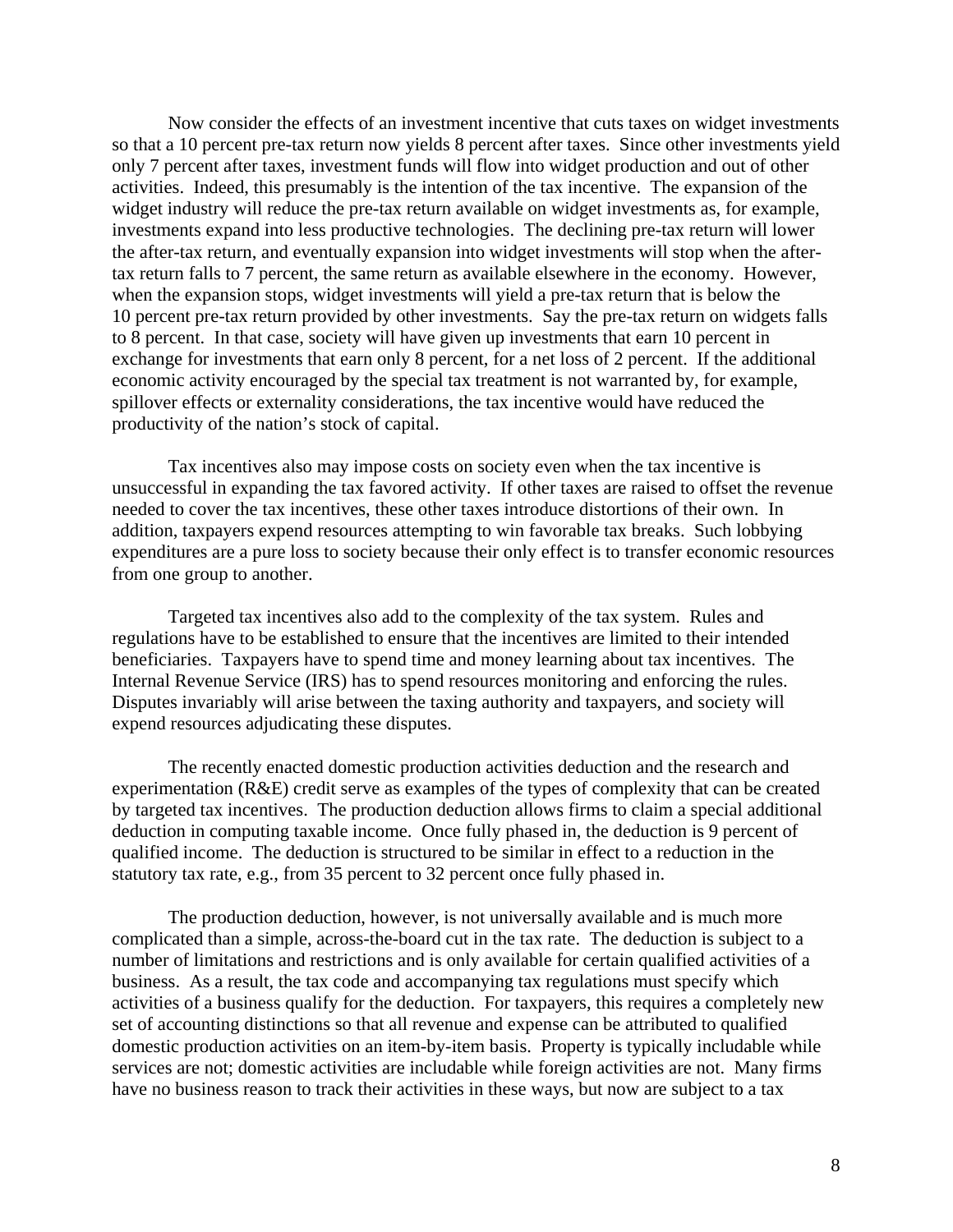Now consider the effects of an investment incentive that cuts taxes on widget investments so that a 10 percent pre-tax return now yields 8 percent after taxes. Since other investments yield only 7 percent after taxes, investment funds will flow into widget production and out of other activities. Indeed, this presumably is the intention of the tax incentive. The expansion of the widget industry will reduce the pre-tax return available on widget investments as, for example, investments expand into less productive technologies. The declining pre-tax return will lower the after-tax return, and eventually expansion into widget investments will stop when the aftertax return falls to 7 percent, the same return as available elsewhere in the economy. However, when the expansion stops, widget investments will yield a pre-tax return that is below the 10 percent pre-tax return provided by other investments. Say the pre-tax return on widgets falls to 8 percent. In that case, society will have given up investments that earn 10 percent in exchange for investments that earn only 8 percent, for a net loss of 2 percent. If the additional economic activity encouraged by the special tax treatment is not warranted by, for example, spillover effects or externality considerations, the tax incentive would have reduced the productivity of the nation's stock of capital.

Tax incentives also may impose costs on society even when the tax incentive is unsuccessful in expanding the tax favored activity. If other taxes are raised to offset the revenue needed to cover the tax incentives, these other taxes introduce distortions of their own. In addition, taxpayers expend resources attempting to win favorable tax breaks. Such lobbying expenditures are a pure loss to society because their only effect is to transfer economic resources from one group to another.

Targeted tax incentives also add to the complexity of the tax system. Rules and regulations have to be established to ensure that the incentives are limited to their intended beneficiaries. Taxpayers have to spend time and money learning about tax incentives. The Internal Revenue Service (IRS) has to spend resources monitoring and enforcing the rules. Disputes invariably will arise between the taxing authority and taxpayers, and society will expend resources adjudicating these disputes.

The recently enacted domestic production activities deduction and the research and experimentation (R&E) credit serve as examples of the types of complexity that can be created by targeted tax incentives. The production deduction allows firms to claim a special additional deduction in computing taxable income. Once fully phased in, the deduction is 9 percent of qualified income. The deduction is structured to be similar in effect to a reduction in the statutory tax rate, e.g., from 35 percent to 32 percent once fully phased in.

The production deduction, however, is not universally available and is much more complicated than a simple, across-the-board cut in the tax rate. The deduction is subject to a number of limitations and restrictions and is only available for certain qualified activities of a business. As a result, the tax code and accompanying tax regulations must specify which activities of a business qualify for the deduction. For taxpayers, this requires a completely new set of accounting distinctions so that all revenue and expense can be attributed to qualified domestic production activities on an item-by-item basis. Property is typically includable while services are not; domestic activities are includable while foreign activities are not. Many firms have no business reason to track their activities in these ways, but now are subject to a tax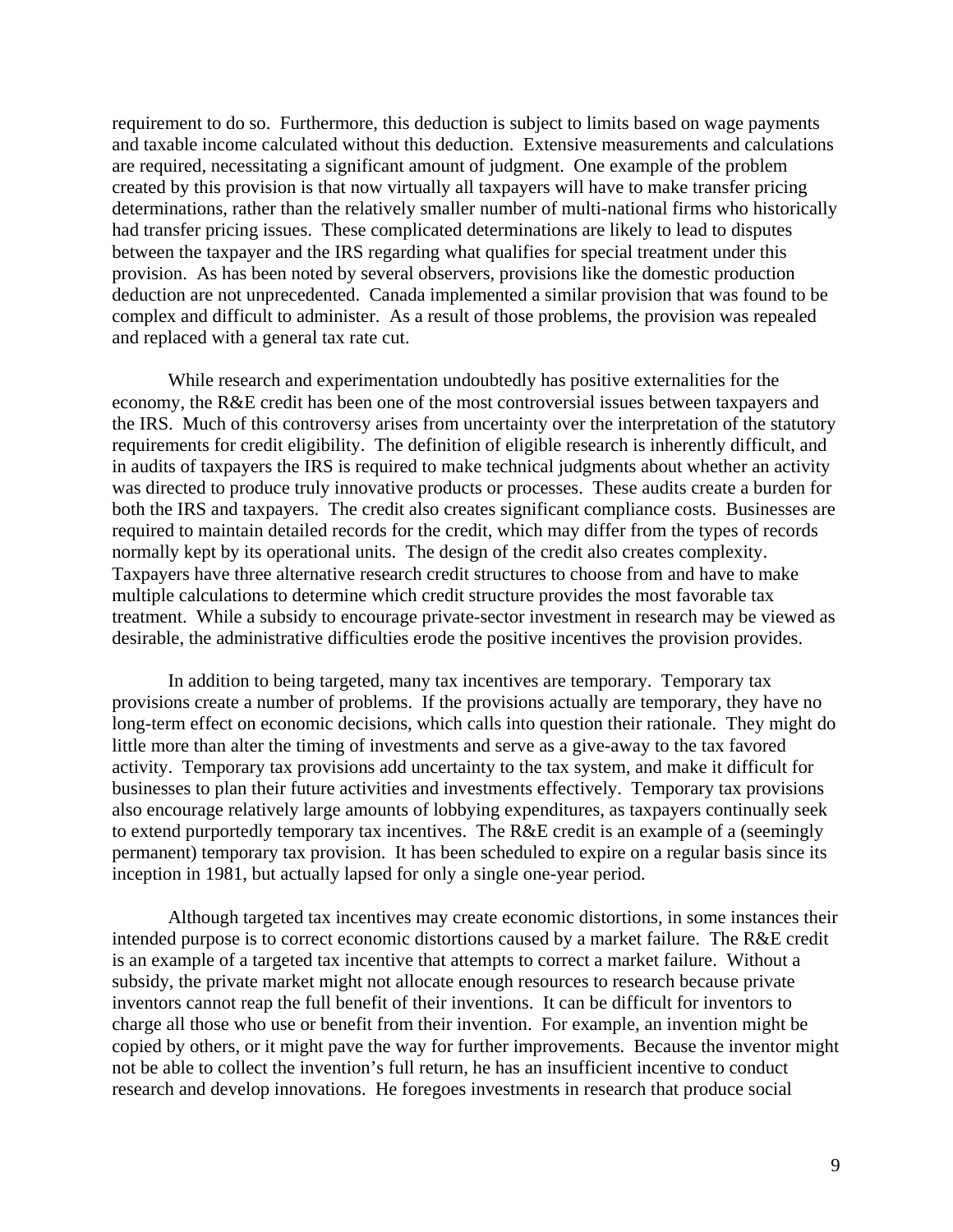requirement to do so. Furthermore, this deduction is subject to limits based on wage payments and taxable income calculated without this deduction. Extensive measurements and calculations are required, necessitating a significant amount of judgment. One example of the problem created by this provision is that now virtually all taxpayers will have to make transfer pricing determinations, rather than the relatively smaller number of multi-national firms who historically had transfer pricing issues. These complicated determinations are likely to lead to disputes between the taxpayer and the IRS regarding what qualifies for special treatment under this provision. As has been noted by several observers, provisions like the domestic production deduction are not unprecedented. Canada implemented a similar provision that was found to be complex and difficult to administer. As a result of those problems, the provision was repealed and replaced with a general tax rate cut.

While research and experimentation undoubtedly has positive externalities for the economy, the R&E credit has been one of the most controversial issues between taxpayers and the IRS. Much of this controversy arises from uncertainty over the interpretation of the statutory requirements for credit eligibility. The definition of eligible research is inherently difficult, and in audits of taxpayers the IRS is required to make technical judgments about whether an activity was directed to produce truly innovative products or processes. These audits create a burden for both the IRS and taxpayers. The credit also creates significant compliance costs. Businesses are required to maintain detailed records for the credit, which may differ from the types of records normally kept by its operational units. The design of the credit also creates complexity. Taxpayers have three alternative research credit structures to choose from and have to make multiple calculations to determine which credit structure provides the most favorable tax treatment. While a subsidy to encourage private-sector investment in research may be viewed as desirable, the administrative difficulties erode the positive incentives the provision provides.

In addition to being targeted, many tax incentives are temporary. Temporary tax provisions create a number of problems. If the provisions actually are temporary, they have no long-term effect on economic decisions, which calls into question their rationale. They might do little more than alter the timing of investments and serve as a give-away to the tax favored activity. Temporary tax provisions add uncertainty to the tax system, and make it difficult for businesses to plan their future activities and investments effectively. Temporary tax provisions also encourage relatively large amounts of lobbying expenditures, as taxpayers continually seek to extend purportedly temporary tax incentives. The R&E credit is an example of a (seemingly permanent) temporary tax provision. It has been scheduled to expire on a regular basis since its inception in 1981, but actually lapsed for only a single one-year period.

Although targeted tax incentives may create economic distortions, in some instances their intended purpose is to correct economic distortions caused by a market failure. The R&E credit is an example of a targeted tax incentive that attempts to correct a market failure. Without a subsidy, the private market might not allocate enough resources to research because private inventors cannot reap the full benefit of their inventions. It can be difficult for inventors to charge all those who use or benefit from their invention. For example, an invention might be copied by others, or it might pave the way for further improvements. Because the inventor might not be able to collect the invention's full return, he has an insufficient incentive to conduct research and develop innovations. He foregoes investments in research that produce social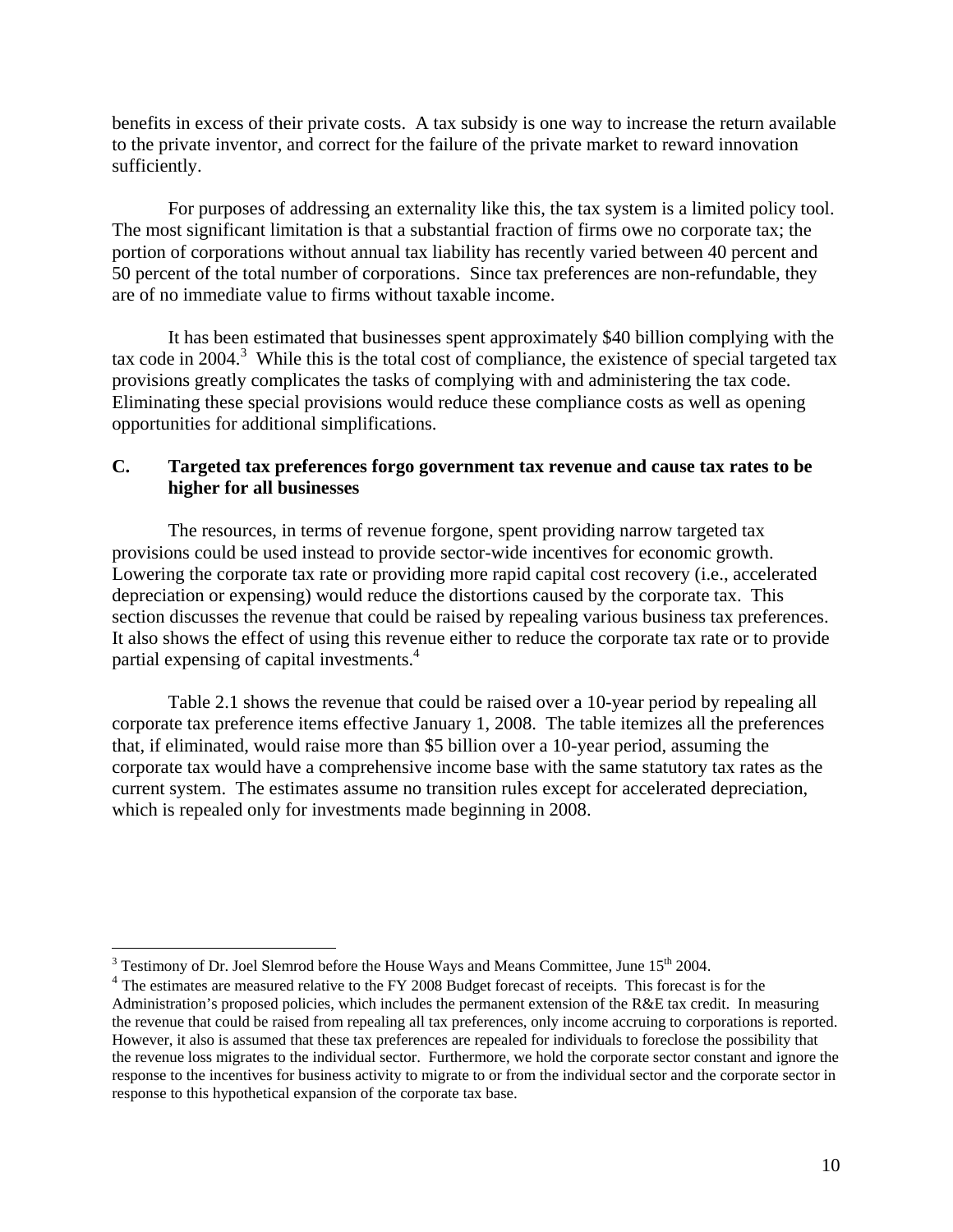benefits in excess of their private costs. A tax subsidy is one way to increase the return available to the private inventor, and correct for the failure of the private market to reward innovation sufficiently.

For purposes of addressing an externality like this, the tax system is a limited policy tool. The most significant limitation is that a substantial fraction of firms owe no corporate tax; the portion of corporations without annual tax liability has recently varied between 40 percent and 50 percent of the total number of corporations. Since tax preferences are non-refundable, they are of no immediate value to firms without taxable income.

It has been estimated that businesses spent approximately \$40 billion complying with the tax code in 2004. $3$  While this is the total cost of compliance, the existence of special targeted tax provisions greatly complicates the tasks of complying with and administering the tax code. Eliminating these special provisions would reduce these compliance costs as well as opening opportunities for additional simplifications.

# **C. Targeted tax preferences forgo government tax revenue and cause tax rates to be higher for all businesses**

The resources, in terms of revenue forgone, spent providing narrow targeted tax provisions could be used instead to provide sector-wide incentives for economic growth. Lowering the corporate tax rate or providing more rapid capital cost recovery (i.e., accelerated depreciation or expensing) would reduce the distortions caused by the corporate tax. This section discusses the revenue that could be raised by repealing various business tax preferences. It also shows the effect of using this revenue either to reduce the corporate tax rate or to provide partial expensing of capital investments.<sup>4</sup>

Table 2.1 shows the revenue that could be raised over a 10-year period by repealing all corporate tax preference items effective January 1, 2008. The table itemizes all the preferences that, if eliminated, would raise more than \$5 billion over a 10-year period, assuming the corporate tax would have a comprehensive income base with the same statutory tax rates as the current system. The estimates assume no transition rules except for accelerated depreciation, which is repealed only for investments made beginning in 2008.

<sup>&</sup>lt;sup>3</sup> Testimony of Dr. Joel Slemrod before the House Ways and Means Committee, June 15<sup>th</sup> 2004.

<sup>&</sup>lt;sup>4</sup> The estimates are measured relative to the FY 2008 Budget forecast of receipts. This forecast is for the Administration's proposed policies, which includes the permanent extension of the R&E tax credit. In measuring the revenue that could be raised from repealing all tax preferences, only income accruing to corporations is reported. However, it also is assumed that these tax preferences are repealed for individuals to foreclose the possibility that the revenue loss migrates to the individual sector. Furthermore, we hold the corporate sector constant and ignore the response to the incentives for business activity to migrate to or from the individual sector and the corporate sector in response to this hypothetical expansion of the corporate tax base.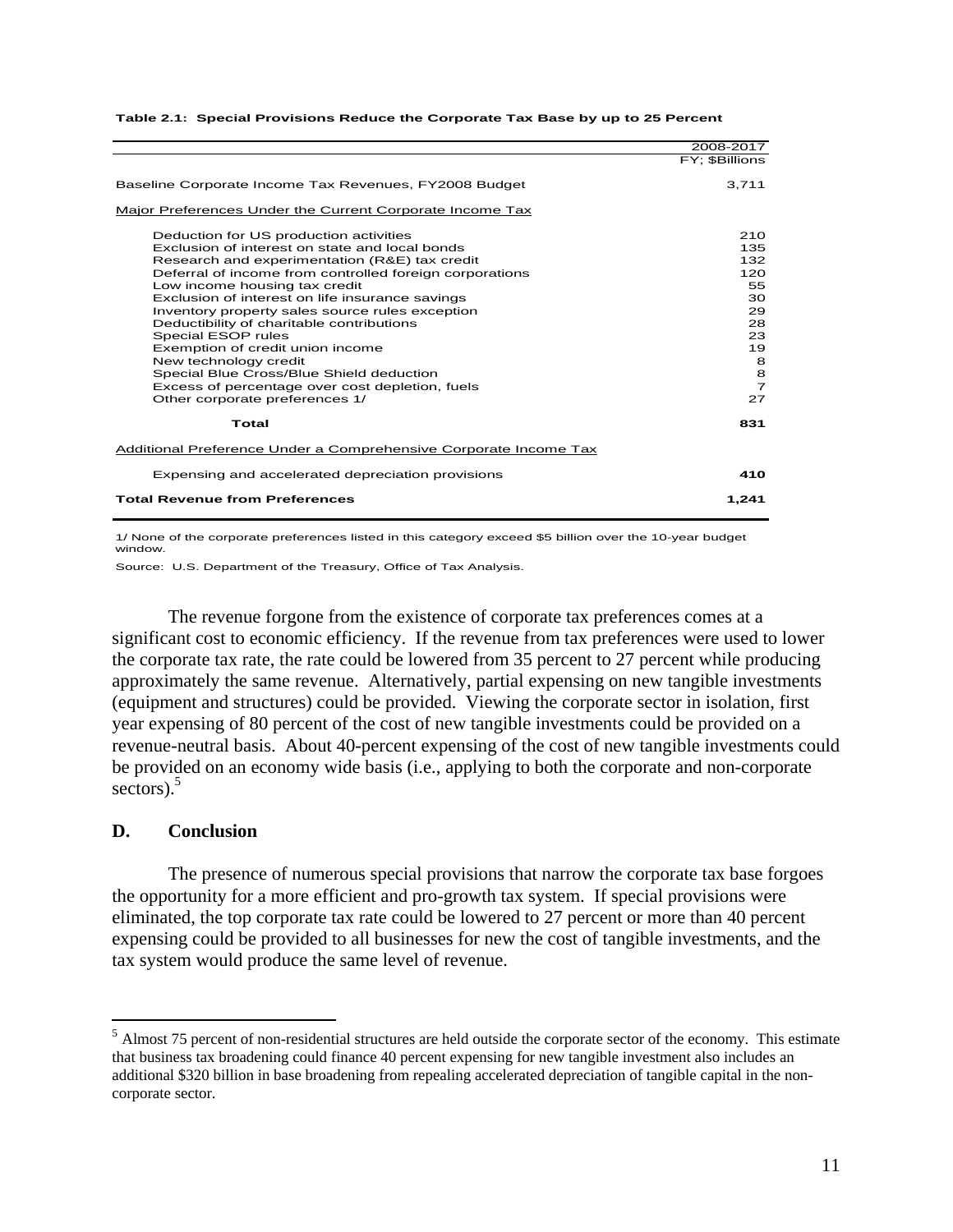|                                                                                                                                                                                                                                                                                                                                                                                                                                                                                                                                                                                                              | 2008-2017                                                                                      |
|--------------------------------------------------------------------------------------------------------------------------------------------------------------------------------------------------------------------------------------------------------------------------------------------------------------------------------------------------------------------------------------------------------------------------------------------------------------------------------------------------------------------------------------------------------------------------------------------------------------|------------------------------------------------------------------------------------------------|
|                                                                                                                                                                                                                                                                                                                                                                                                                                                                                                                                                                                                              | FY: \$Billions                                                                                 |
| Baseline Corporate Income Tax Revenues, FY2008 Budget                                                                                                                                                                                                                                                                                                                                                                                                                                                                                                                                                        | 3,711                                                                                          |
| Major Preferences Under the Current Corporate Income Tax                                                                                                                                                                                                                                                                                                                                                                                                                                                                                                                                                     |                                                                                                |
| Deduction for US production activities<br>Exclusion of interest on state and local bonds<br>Research and experimentation (R&E) tax credit<br>Deferral of income from controlled foreign corporations<br>Low income housing tax credit<br>Exclusion of interest on life insurance savings<br>Inventory property sales source rules exception<br>Deductibility of charitable contributions<br>Special ESOP rules<br>Exemption of credit union income<br>New technology credit<br>Special Blue Cross/Blue Shield deduction<br>Excess of percentage over cost depletion, fuels<br>Other corporate preferences 1/ | 210<br>135<br>132<br>120<br>55<br>30<br>29<br>28<br>23<br>19<br>8<br>8<br>$\overline{7}$<br>27 |
| Total                                                                                                                                                                                                                                                                                                                                                                                                                                                                                                                                                                                                        | 831                                                                                            |
| Additional Preference Under a Comprehensive Corporate Income Tax                                                                                                                                                                                                                                                                                                                                                                                                                                                                                                                                             |                                                                                                |
| Expensing and accelerated depreciation provisions                                                                                                                                                                                                                                                                                                                                                                                                                                                                                                                                                            | 410                                                                                            |
| <b>Total Revenue from Preferences</b>                                                                                                                                                                                                                                                                                                                                                                                                                                                                                                                                                                        | 1,241                                                                                          |

#### **Table 2.1: Special Provisions Reduce the Corporate Tax Base by up to 25 Percent**

1/ None of the corporate preferences listed in this category exceed \$5 billion over the 10-year budget window.

Source: U.S. Department of the Treasury, Office of Tax Analysis.

The revenue forgone from the existence of corporate tax preferences comes at a significant cost to economic efficiency. If the revenue from tax preferences were used to lower the corporate tax rate, the rate could be lowered from 35 percent to 27 percent while producing approximately the same revenue. Alternatively, partial expensing on new tangible investments (equipment and structures) could be provided. Viewing the corporate sector in isolation, first year expensing of 80 percent of the cost of new tangible investments could be provided on a revenue-neutral basis. About 40-percent expensing of the cost of new tangible investments could be provided on an economy wide basis (i.e., applying to both the corporate and non-corporate sectors). $5$ 

#### **D. Conclusion**

 $\overline{a}$ 

The presence of numerous special provisions that narrow the corporate tax base forgoes the opportunity for a more efficient and pro-growth tax system. If special provisions were eliminated, the top corporate tax rate could be lowered to 27 percent or more than 40 percent expensing could be provided to all businesses for new the cost of tangible investments, and the tax system would produce the same level of revenue.

 $<sup>5</sup>$  Almost 75 percent of non-residential structures are held outside the corporate sector of the economy. This estimate</sup> that business tax broadening could finance 40 percent expensing for new tangible investment also includes an additional \$320 billion in base broadening from repealing accelerated depreciation of tangible capital in the noncorporate sector.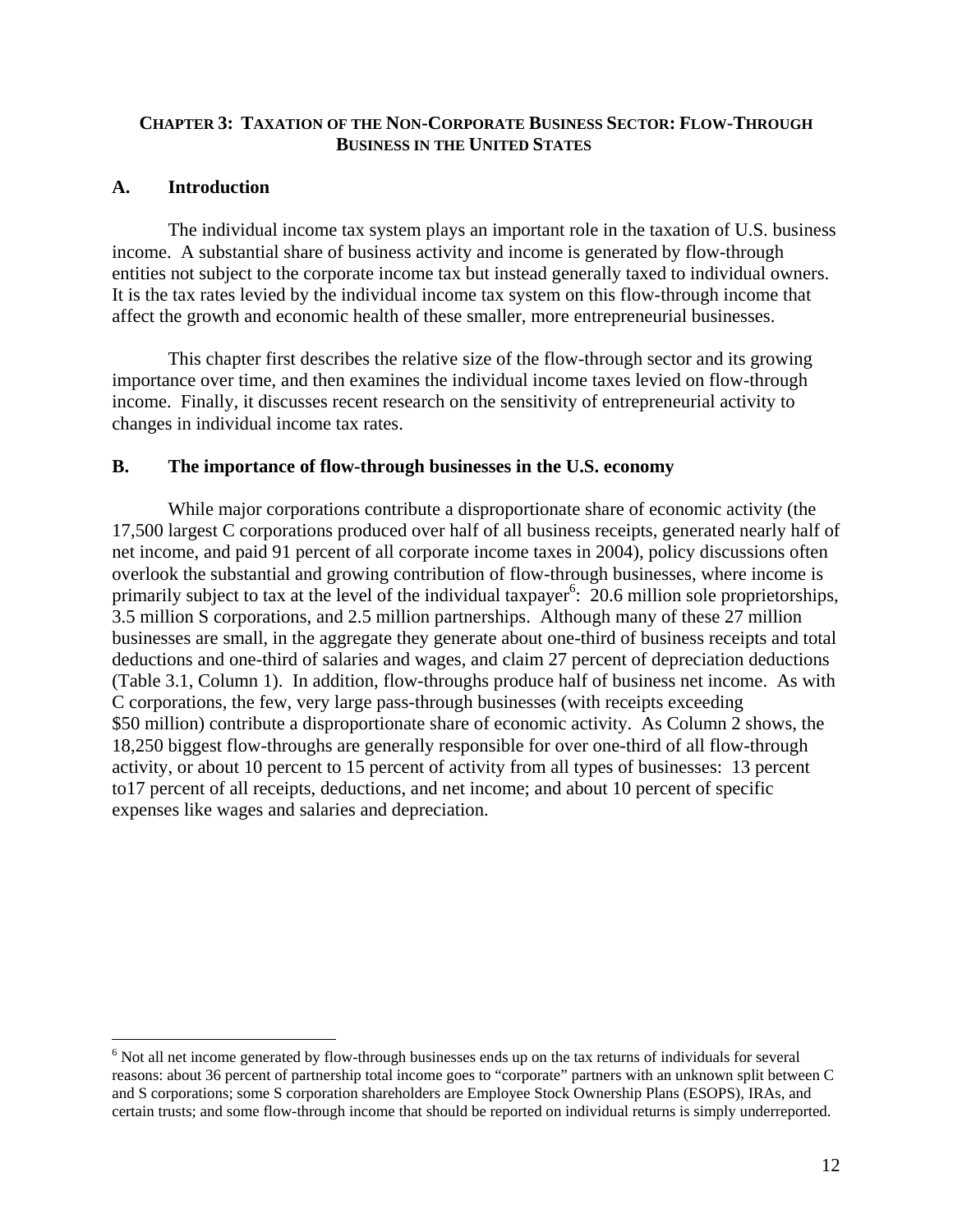## **CHAPTER 3: TAXATION OF THE NON-CORPORATE BUSINESS SECTOR: FLOW-THROUGH BUSINESS IN THE UNITED STATES**

# **A. Introduction**

 $\overline{a}$ 

 The individual income tax system plays an important role in the taxation of U.S. business income. A substantial share of business activity and income is generated by flow-through entities not subject to the corporate income tax but instead generally taxed to individual owners. It is the tax rates levied by the individual income tax system on this flow-through income that affect the growth and economic health of these smaller, more entrepreneurial businesses.

 This chapter first describes the relative size of the flow-through sector and its growing importance over time, and then examines the individual income taxes levied on flow-through income. Finally, it discusses recent research on the sensitivity of entrepreneurial activity to changes in individual income tax rates.

## **B. The importance of flow-through businesses in the U.S. economy**

 While major corporations contribute a disproportionate share of economic activity (the 17,500 largest C corporations produced over half of all business receipts, generated nearly half of net income, and paid 91 percent of all corporate income taxes in 2004), policy discussions often overlook the substantial and growing contribution of flow-through businesses, where income is primarily subject to tax at the level of the individual taxpayer<sup>6</sup>: 20.6 million sole proprietorships, 3.5 million S corporations, and 2.5 million partnerships. Although many of these 27 million businesses are small, in the aggregate they generate about one-third of business receipts and total deductions and one-third of salaries and wages, and claim 27 percent of depreciation deductions (Table 3.1, Column 1). In addition, flow-throughs produce half of business net income. As with C corporations, the few, very large pass-through businesses (with receipts exceeding \$50 million) contribute a disproportionate share of economic activity. As Column 2 shows, the 18,250 biggest flow-throughs are generally responsible for over one-third of all flow-through activity, or about 10 percent to 15 percent of activity from all types of businesses: 13 percent to17 percent of all receipts, deductions, and net income; and about 10 percent of specific expenses like wages and salaries and depreciation.

 $6$  Not all net income generated by flow-through businesses ends up on the tax returns of individuals for several reasons: about 36 percent of partnership total income goes to "corporate" partners with an unknown split between C and S corporations; some S corporation shareholders are Employee Stock Ownership Plans (ESOPS), IRAs, and certain trusts; and some flow-through income that should be reported on individual returns is simply underreported.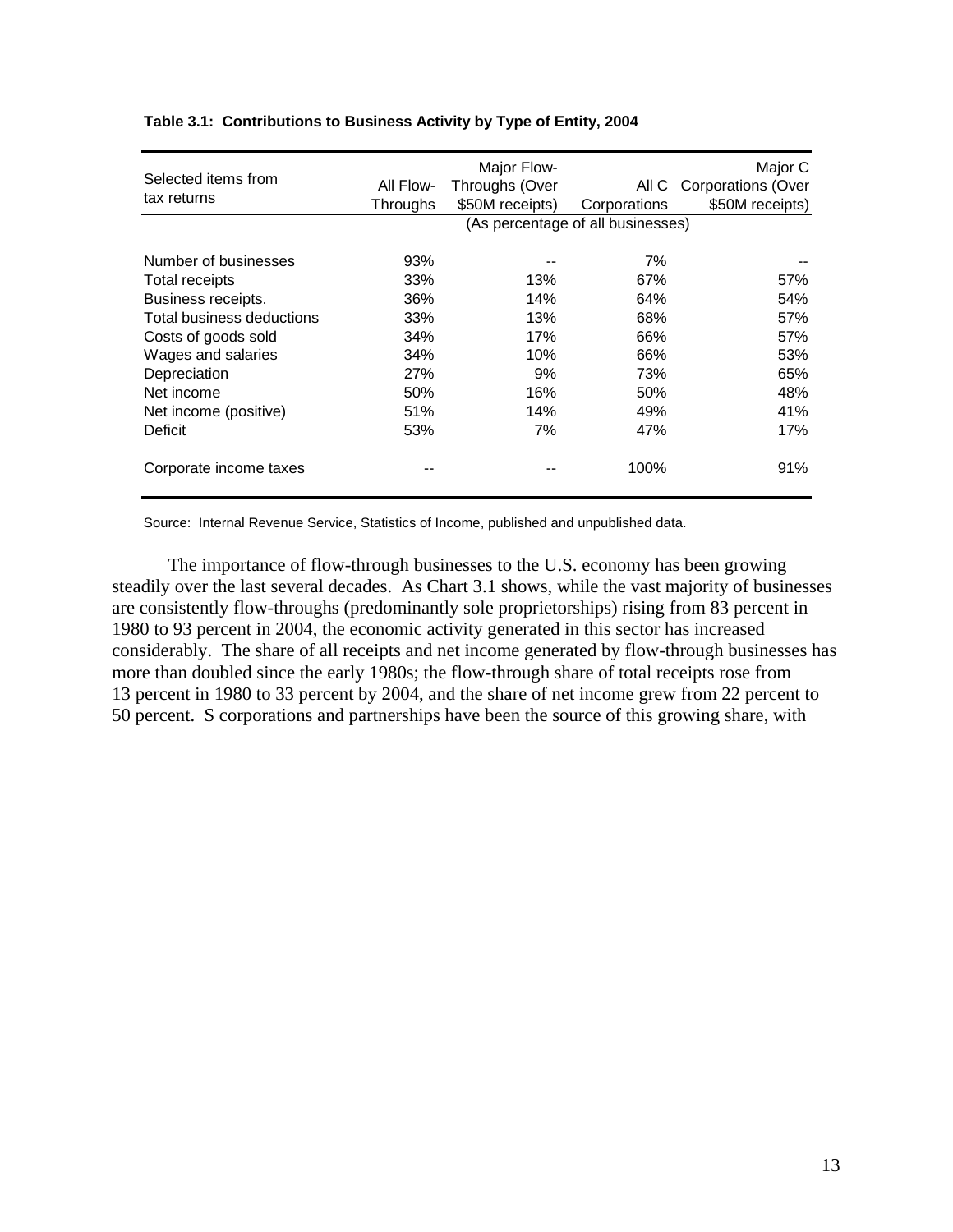| Selected items from       | All Flow- | Major Flow-<br>Throughs (Over     |              | Major C<br>All C Corporations (Over |
|---------------------------|-----------|-----------------------------------|--------------|-------------------------------------|
| tax returns               | Throughs  | \$50M receipts)                   | Corporations | \$50M receipts)                     |
|                           |           | (As percentage of all businesses) |              |                                     |
| Number of businesses      | 93%       |                                   | 7%           |                                     |
| Total receipts            | 33%       | 13%                               | 67%          | 57%                                 |
| Business receipts.        | 36%       | 14%                               | 64%          | 54%                                 |
| Total business deductions | 33%       | 13%                               | 68%          | 57%                                 |
| Costs of goods sold       | 34%       | 17%                               | 66%          | 57%                                 |
| Wages and salaries        | 34%       | 10%                               | 66%          | 53%                                 |
| Depreciation              | 27%       | 9%                                | 73%          | 65%                                 |
| Net income                | 50%       | 16%                               | 50%          | 48%                                 |
| Net income (positive)     | 51%       | 14%                               | 49%          | 41%                                 |
| Deficit                   | 53%       | 7%                                | 47%          | 17%                                 |
| Corporate income taxes    |           |                                   | 100%         | 91%                                 |

#### **Table 3.1: Contributions to Business Activity by Type of Entity, 2004**

Source: Internal Revenue Service, Statistics of Income, published and unpublished data.

The importance of flow-through businesses to the U.S. economy has been growing steadily over the last several decades. As Chart 3.1 shows, while the vast majority of businesses are consistently flow-throughs (predominantly sole proprietorships) rising from 83 percent in 1980 to 93 percent in 2004, the economic activity generated in this sector has increased considerably. The share of all receipts and net income generated by flow-through businesses has more than doubled since the early 1980s; the flow-through share of total receipts rose from 13 percent in 1980 to 33 percent by 2004, and the share of net income grew from 22 percent to 50 percent. S corporations and partnerships have been the source of this growing share, with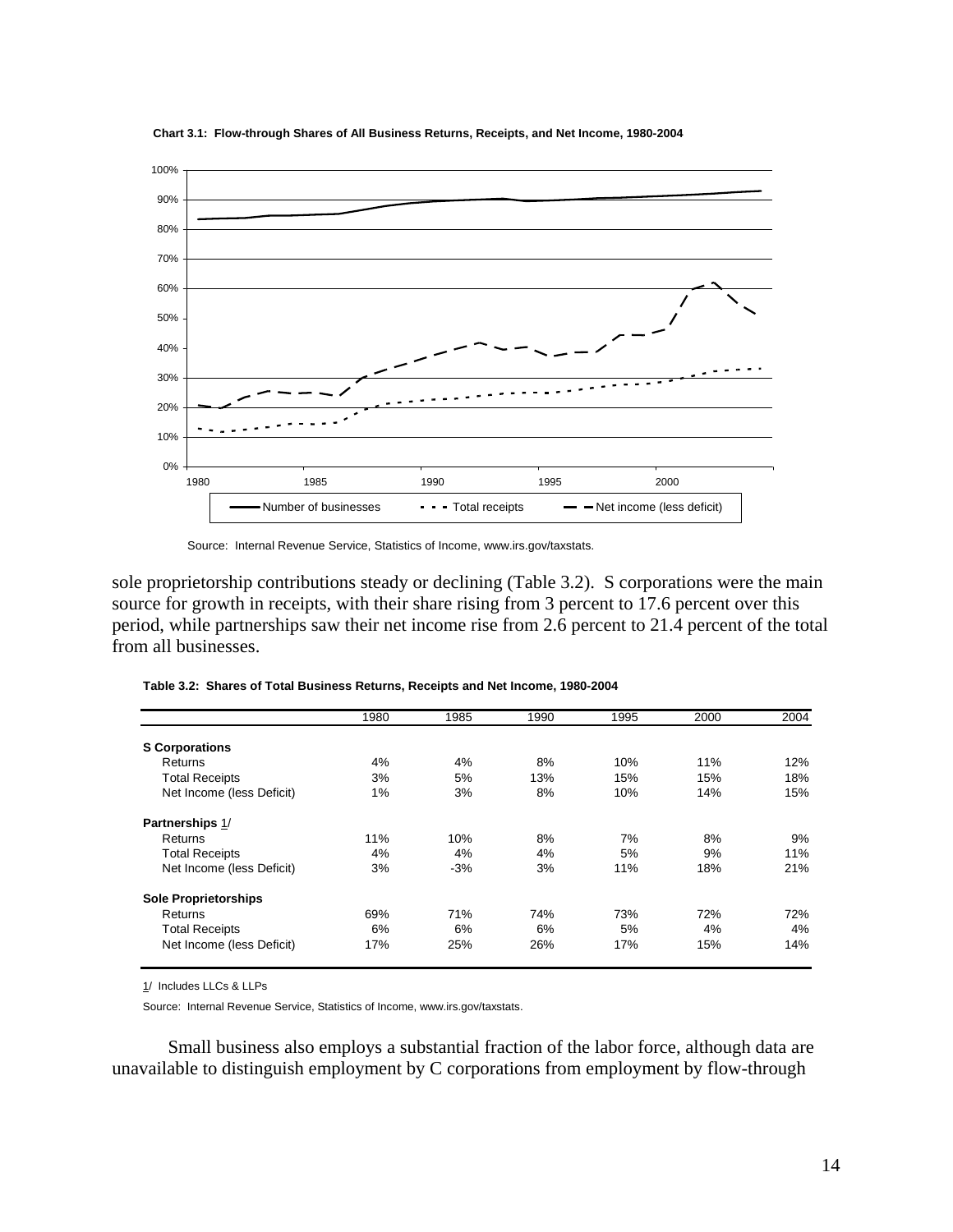

**Chart 3.1: Flow-through Shares of All Business Returns, Receipts, and Net Income, 1980-2004**

sole proprietorship contributions steady or declining (Table 3.2). S corporations were the main source for growth in receipts, with their share rising from 3 percent to 17.6 percent over this period, while partnerships saw their net income rise from 2.6 percent to 21.4 percent of the total from all businesses.

|                             | 1980 | 1985  | 1990 | 1995 | 2000 | 2004 |
|-----------------------------|------|-------|------|------|------|------|
| <b>S</b> Corporations       |      |       |      |      |      |      |
| Returns                     | 4%   | 4%    | 8%   | 10%  | 11%  | 12%  |
| <b>Total Receipts</b>       | 3%   | 5%    | 13%  | 15%  | 15%  | 18%  |
| Net Income (less Deficit)   | 1%   | 3%    | 8%   | 10%  | 14%  | 15%  |
| Partnerships 1/             |      |       |      |      |      |      |
| Returns                     | 11%  | 10%   | 8%   | 7%   | 8%   | 9%   |
| <b>Total Receipts</b>       | 4%   | 4%    | 4%   | 5%   | 9%   | 11%  |
| Net Income (less Deficit)   | 3%   | $-3%$ | 3%   | 11%  | 18%  | 21%  |
| <b>Sole Proprietorships</b> |      |       |      |      |      |      |
| Returns                     | 69%  | 71%   | 74%  | 73%  | 72%  | 72%  |
| <b>Total Receipts</b>       | 6%   | 6%    | 6%   | 5%   | 4%   | 4%   |
| Net Income (less Deficit)   | 17%  | 25%   | 26%  | 17%  | 15%  | 14%  |

**Table 3.2: Shares of Total Business Returns, Receipts and Net Income, 1980-2004**

1/ Includes LLCs & LLPs

Source: Internal Revenue Service, Statistics of Income, www.irs.gov/taxstats.

Small business also employs a substantial fraction of the labor force, although data are unavailable to distinguish employment by C corporations from employment by flow-through

Source: Internal Revenue Service, Statistics of Income, www.irs.gov/taxstats.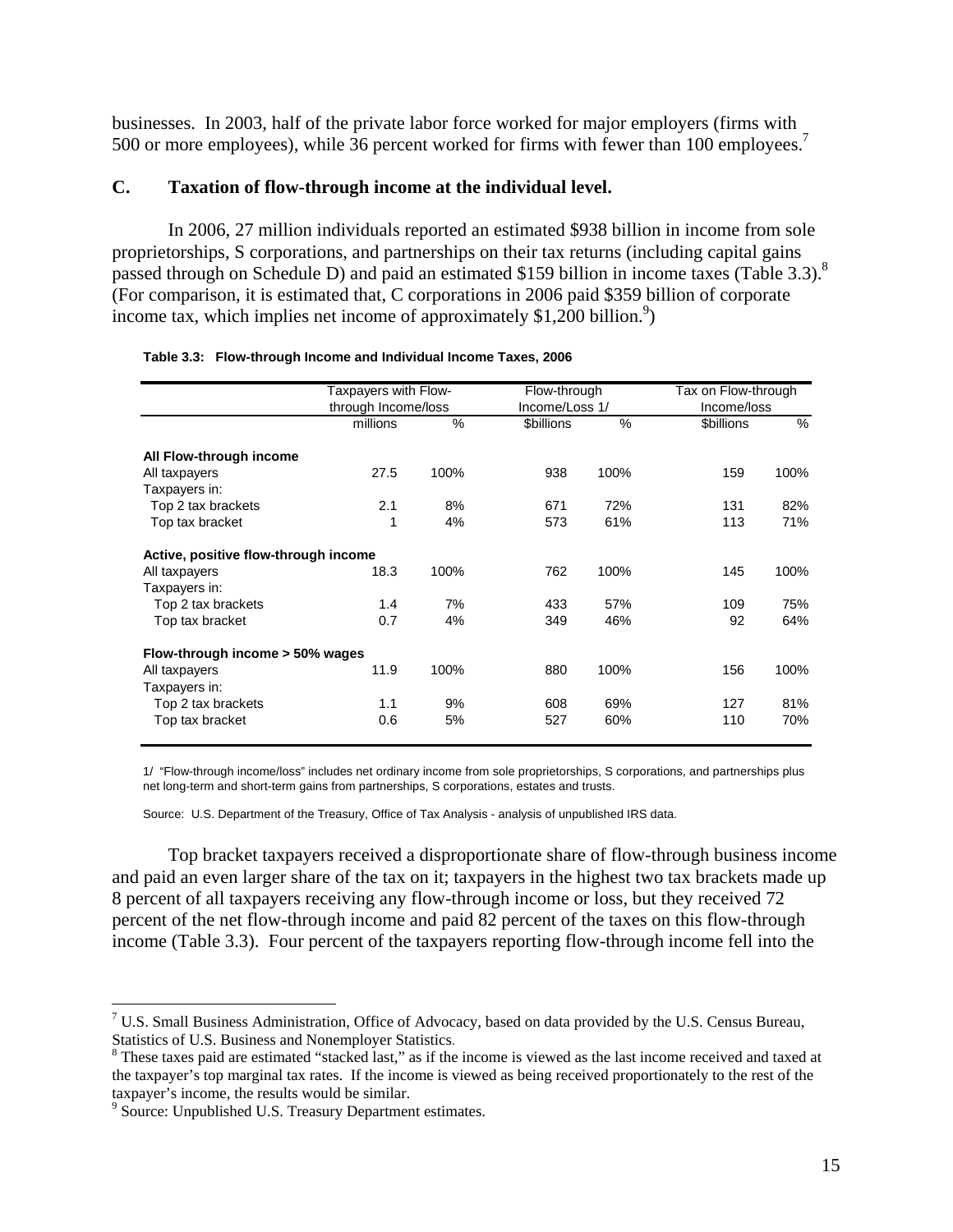businesses. In 2003, half of the private labor force worked for major employers (firms with 500 or more employees), while 36 percent worked for firms with fewer than 100 employees.<sup>7</sup>

## **C. Taxation of flow-through income at the individual level.**

 In 2006, 27 million individuals reported an estimated \$938 billion in income from sole proprietorships, S corporations, and partnerships on their tax returns (including capital gains passed through on Schedule D) and paid an estimated \$159 billion in income taxes (Table 3.3).<sup>8</sup> (For comparison, it is estimated that, C corporations in 2006 paid \$359 billion of corporate income tax, which implies net income of approximately  $$1,200$  billion.<sup>9</sup>)

|                                      | Taxpayers with Flow- |      | Flow-through      |      | Tax on Flow-through |      |
|--------------------------------------|----------------------|------|-------------------|------|---------------------|------|
|                                      | through Income/loss  |      | Income/Loss 1/    |      | Income/loss         |      |
|                                      | millions             | $\%$ | <b>\$billions</b> | $\%$ | \$billions          | %    |
| All Flow-through income              |                      |      |                   |      |                     |      |
| All taxpayers                        | 27.5                 | 100% | 938               | 100% | 159                 | 100% |
| Taxpayers in:                        |                      |      |                   |      |                     |      |
| Top 2 tax brackets                   | 2.1                  | 8%   | 671               | 72%  | 131                 | 82%  |
| Top tax bracket                      | 1                    | 4%   | 573               | 61%  | 113                 | 71%  |
| Active, positive flow-through income |                      |      |                   |      |                     |      |
| All taxpayers                        | 18.3                 | 100% | 762               | 100% | 145                 | 100% |
| Taxpayers in:                        |                      |      |                   |      |                     |      |
| Top 2 tax brackets                   | 1.4                  | 7%   | 433               | 57%  | 109                 | 75%  |
| Top tax bracket                      | 0.7                  | 4%   | 349               | 46%  | 92                  | 64%  |
| Flow-through income > 50% wages      |                      |      |                   |      |                     |      |
| All taxpayers                        | 11.9                 | 100% | 880               | 100% | 156                 | 100% |
| Taxpayers in:                        |                      |      |                   |      |                     |      |
| Top 2 tax brackets                   | 1.1                  | 9%   | 608               | 69%  | 127                 | 81%  |
| Top tax bracket                      | 0.6                  | 5%   | 527               | 60%  | 110                 | 70%  |

| Table 3.3: Flow-through Income and Individual Income Taxes, 2006 |  |  |  |
|------------------------------------------------------------------|--|--|--|
|                                                                  |  |  |  |

1/ "Flow-through income/loss" includes net ordinary income from sole proprietorships, S corporations, and partnerships plus net long-term and short-term gains from partnerships, S corporations, estates and trusts.

Source: U.S. Department of the Treasury, Office of Tax Analysis - analysis of unpublished IRS data.

Top bracket taxpayers received a disproportionate share of flow-through business income and paid an even larger share of the tax on it; taxpayers in the highest two tax brackets made up 8 percent of all taxpayers receiving any flow-through income or loss, but they received 72 percent of the net flow-through income and paid 82 percent of the taxes on this flow-through income (Table 3.3). Four percent of the taxpayers reporting flow-through income fell into the

1

<sup>&</sup>lt;sup>7</sup> U.S. Small Business Administration, Office of Advocacy, based on data provided by the U.S. Census Bureau, Statistics of U.S. Business and Nonemployer Statistics.

<sup>&</sup>lt;sup>8</sup> These taxes paid are estimated "stacked last," as if the income is viewed as the last income received and taxed at the taxpayer's top marginal tax rates. If the income is viewed as being received proportionately to the rest of the taxpayer's income, the results would be similar.

<sup>&</sup>lt;sup>9</sup> Source: Unpublished U.S. Treasury Department estimates.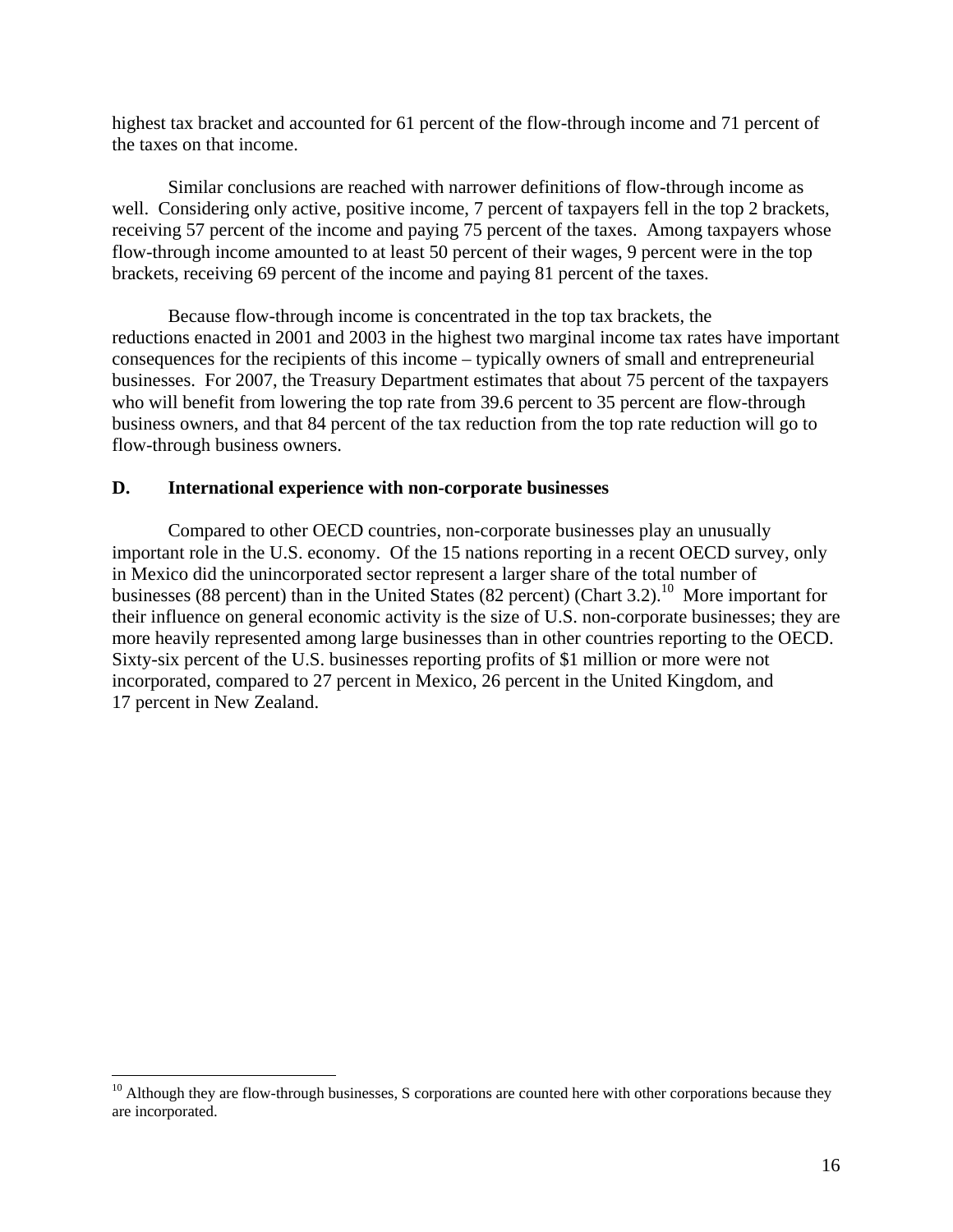highest tax bracket and accounted for 61 percent of the flow-through income and 71 percent of the taxes on that income.

 Similar conclusions are reached with narrower definitions of flow-through income as well. Considering only active, positive income, 7 percent of taxpayers fell in the top 2 brackets, receiving 57 percent of the income and paying 75 percent of the taxes. Among taxpayers whose flow-through income amounted to at least 50 percent of their wages, 9 percent were in the top brackets, receiving 69 percent of the income and paying 81 percent of the taxes.

Because flow-through income is concentrated in the top tax brackets, the reductions enacted in 2001 and 2003 in the highest two marginal income tax rates have important consequences for the recipients of this income – typically owners of small and entrepreneurial businesses. For 2007, the Treasury Department estimates that about 75 percent of the taxpayers who will benefit from lowering the top rate from 39.6 percent to 35 percent are flow-through business owners, and that 84 percent of the tax reduction from the top rate reduction will go to flow-through business owners.

## **D. International experience with non-corporate businesses**

 $\overline{a}$ 

Compared to other OECD countries, non-corporate businesses play an unusually important role in the U.S. economy. Of the 15 nations reporting in a recent OECD survey, only in Mexico did the unincorporated sector represent a larger share of the total number of businesses (88 percent) than in the United States (82 percent) (Chart 3.2).<sup>10</sup> More important for their influence on general economic activity is the size of U.S. non-corporate businesses; they are more heavily represented among large businesses than in other countries reporting to the OECD. Sixty-six percent of the U.S. businesses reporting profits of \$1 million or more were not incorporated, compared to 27 percent in Mexico, 26 percent in the United Kingdom, and 17 percent in New Zealand.

 $10$  Although they are flow-through businesses, S corporations are counted here with other corporations because they are incorporated.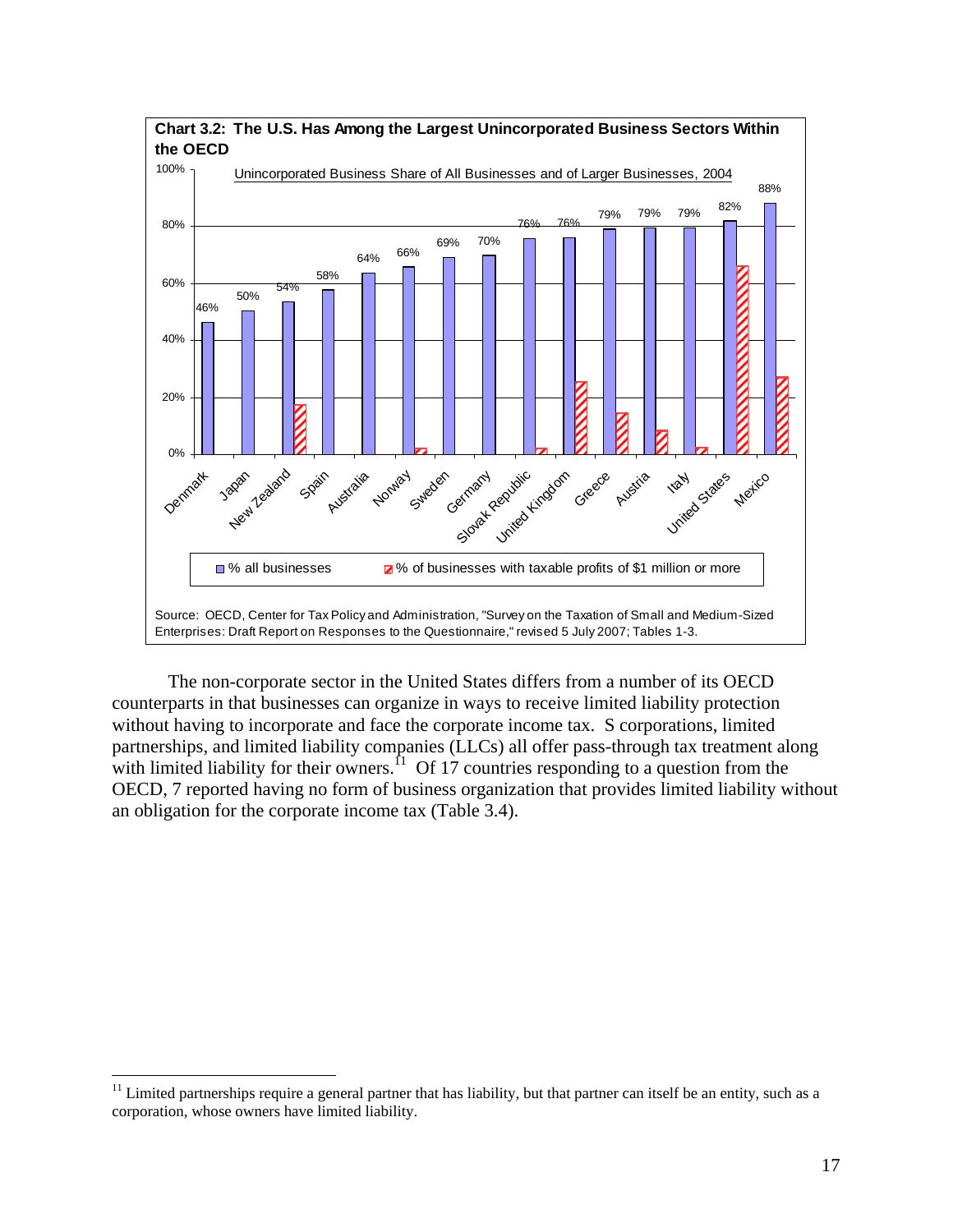

 The non-corporate sector in the United States differs from a number of its OECD counterparts in that businesses can organize in ways to receive limited liability protection without having to incorporate and face the corporate income tax. S corporations, limited partnerships, and limited liability companies (LLCs) all offer pass-through tax treatment along with limited liability for their owners.<sup>11</sup> Of 17 countries responding to a question from the OECD, 7 reported having no form of business organization that provides limited liability without an obligation for the corporate income tax (Table 3.4).

1

 $11$  Limited partnerships require a general partner that has liability, but that partner can itself be an entity, such as a corporation, whose owners have limited liability.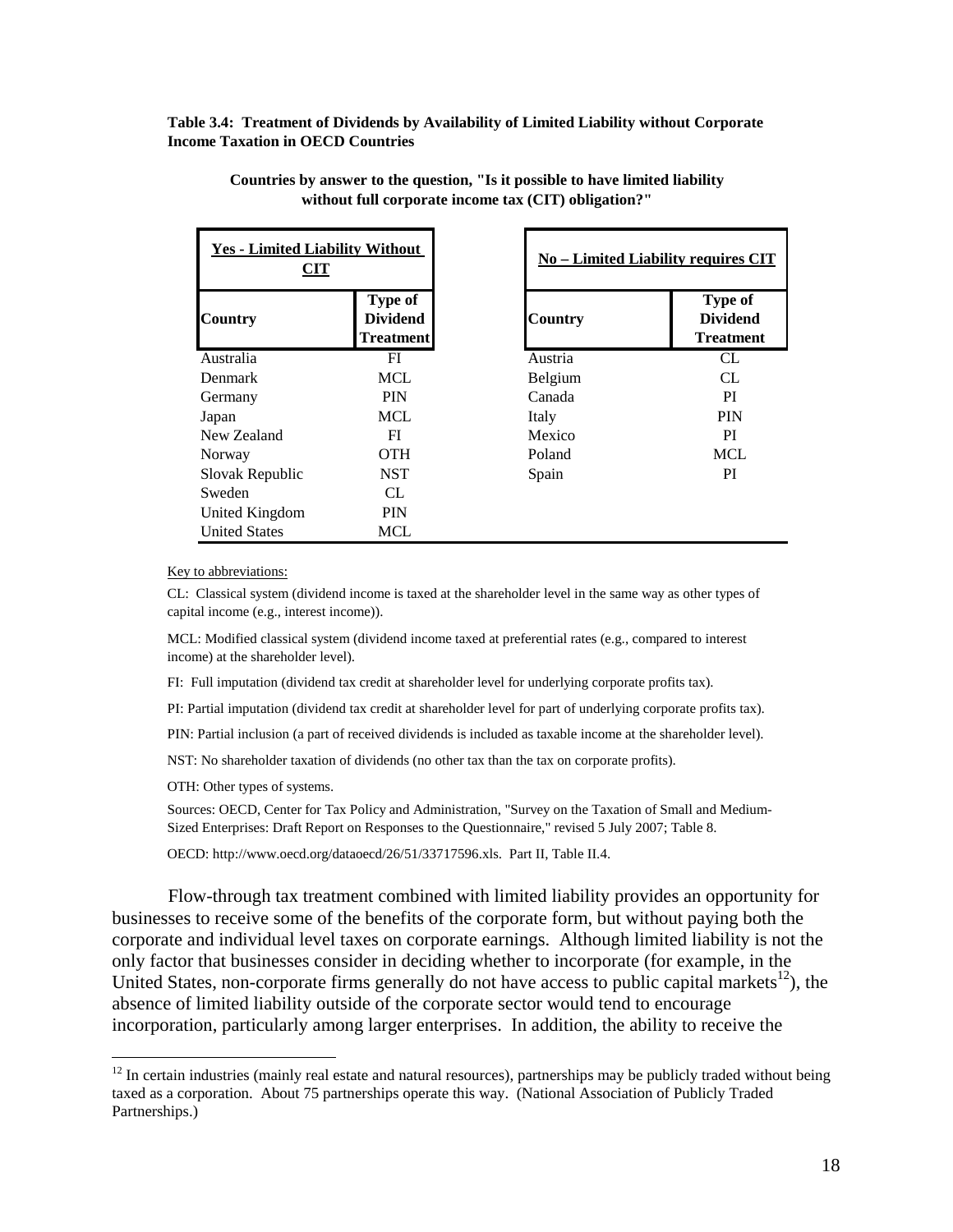**Table 3.4: Treatment of Dividends by Availability of Limited Liability without Corporate Income Taxation in OECD Countries**

| <b>Yes - Limited Liability Without</b><br>CIT |                                                       |                | <b>No - Limited Liability requires CIT</b>     |
|-----------------------------------------------|-------------------------------------------------------|----------------|------------------------------------------------|
| <b>Country</b>                                | <b>Type of</b><br><b>Dividend</b><br><b>Treatment</b> | <b>Country</b> | Type of<br><b>Dividend</b><br><b>Treatment</b> |
| Australia                                     | FI                                                    | Austria        | CL                                             |
| <b>Denmark</b>                                | MCL                                                   | Belgium        | CL.                                            |
| Germany                                       | <b>PIN</b>                                            | Canada         | <sub>PI</sub>                                  |
| Japan                                         | MCL                                                   | Italy          | <b>PIN</b>                                     |
| New Zealand                                   | FI                                                    | Mexico         | PI                                             |
| Norway                                        | <b>OTH</b>                                            | Poland         | MCL                                            |
| Slovak Republic                               | <b>NST</b>                                            | Spain          | PI                                             |
| Sweden                                        | CL                                                    |                |                                                |
| United Kingdom                                | <b>PIN</b>                                            |                |                                                |
| <b>United States</b>                          | <b>MCL</b>                                            |                |                                                |

**Countries by answer to the question, "Is it possible to have limited liability without full corporate income tax (CIT) obligation?"**

Key to abbreviations:

CL: Classical system (dividend income is taxed at the shareholder level in the same way as other types of capital income (e.g., interest income)).

MCL: Modified classical system (dividend income taxed at preferential rates (e.g., compared to interest income) at the shareholder level).

FI: Full imputation (dividend tax credit at shareholder level for underlying corporate profits tax).

PI: Partial imputation (dividend tax credit at shareholder level for part of underlying corporate profits tax).

PIN: Partial inclusion (a part of received dividends is included as taxable income at the shareholder level).

NST: No shareholder taxation of dividends (no other tax than the tax on corporate profits).

OTH: Other types of systems.

1

Sources: OECD, Center for Tax Policy and Administration, "Survey on the Taxation of Small and Medium-Sized Enterprises: Draft Report on Responses to the Questionnaire," revised 5 July 2007; Table 8.

OECD: http://www.oecd.org/dataoecd/26/51/33717596.xls. Part II, Table II.4.

 Flow-through tax treatment combined with limited liability provides an opportunity for businesses to receive some of the benefits of the corporate form, but without paying both the corporate and individual level taxes on corporate earnings. Although limited liability is not the only factor that businesses consider in deciding whether to incorporate (for example, in the United States, non-corporate firms generally do not have access to public capital markets<sup>12</sup>), the absence of limited liability outside of the corporate sector would tend to encourage incorporation, particularly among larger enterprises. In addition, the ability to receive the

<sup>&</sup>lt;sup>12</sup> In certain industries (mainly real estate and natural resources), partnerships may be publicly traded without being taxed as a corporation. About 75 partnerships operate this way. (National Association of Publicly Traded Partnerships.)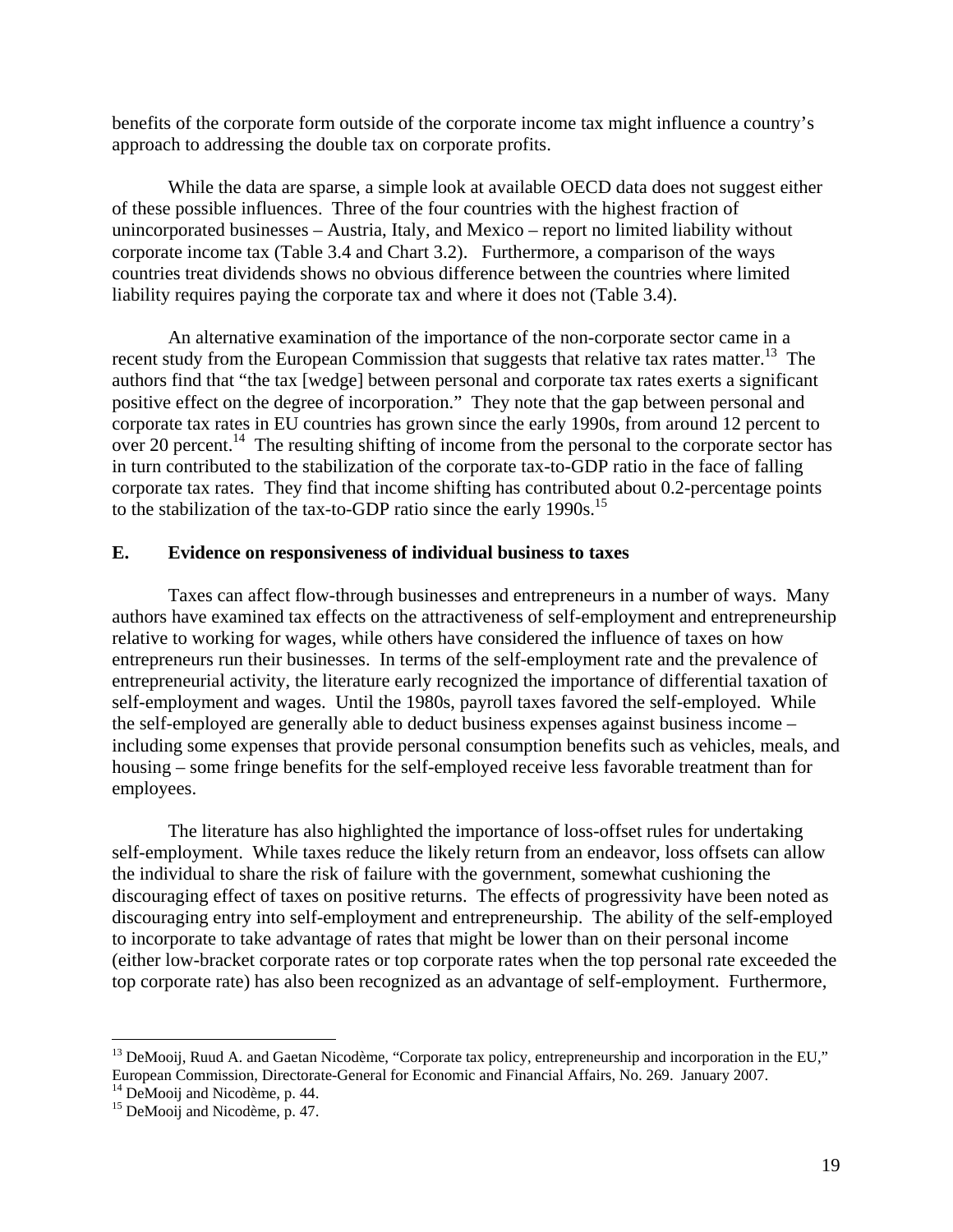benefits of the corporate form outside of the corporate income tax might influence a country's approach to addressing the double tax on corporate profits.

While the data are sparse, a simple look at available OECD data does not suggest either of these possible influences. Three of the four countries with the highest fraction of unincorporated businesses – Austria, Italy, and Mexico – report no limited liability without corporate income tax (Table 3.4 and Chart 3.2). Furthermore, a comparison of the ways countries treat dividends shows no obvious difference between the countries where limited liability requires paying the corporate tax and where it does not (Table 3.4).

 An alternative examination of the importance of the non-corporate sector came in a recent study from the European Commission that suggests that relative tax rates matter.<sup>13</sup> The authors find that "the tax [wedge] between personal and corporate tax rates exerts a significant positive effect on the degree of incorporation." They note that the gap between personal and corporate tax rates in EU countries has grown since the early 1990s, from around 12 percent to over 20 percent.<sup>14</sup> The resulting shifting of income from the personal to the corporate sector has in turn contributed to the stabilization of the corporate tax-to-GDP ratio in the face of falling corporate tax rates. They find that income shifting has contributed about 0.2-percentage points to the stabilization of the tax-to-GDP ratio since the early 1990s.<sup>15</sup>

## **E. Evidence on responsiveness of individual business to taxes**

 Taxes can affect flow-through businesses and entrepreneurs in a number of ways. Many authors have examined tax effects on the attractiveness of self-employment and entrepreneurship relative to working for wages, while others have considered the influence of taxes on how entrepreneurs run their businesses. In terms of the self-employment rate and the prevalence of entrepreneurial activity, the literature early recognized the importance of differential taxation of self-employment and wages. Until the 1980s, payroll taxes favored the self-employed. While the self-employed are generally able to deduct business expenses against business income – including some expenses that provide personal consumption benefits such as vehicles, meals, and housing – some fringe benefits for the self-employed receive less favorable treatment than for employees.

The literature has also highlighted the importance of loss-offset rules for undertaking self-employment. While taxes reduce the likely return from an endeavor, loss offsets can allow the individual to share the risk of failure with the government, somewhat cushioning the discouraging effect of taxes on positive returns. The effects of progressivity have been noted as discouraging entry into self-employment and entrepreneurship. The ability of the self-employed to incorporate to take advantage of rates that might be lower than on their personal income (either low-bracket corporate rates or top corporate rates when the top personal rate exceeded the top corporate rate) has also been recognized as an advantage of self-employment. Furthermore,

 $\overline{a}$ 

<sup>&</sup>lt;sup>13</sup> DeMooij, Ruud A. and Gaetan Nicodème, "Corporate tax policy, entrepreneurship and incorporation in the EU," European Commission, Directorate-General for Economic and Financial Affairs, No. 269. January 2007.

<sup>&</sup>lt;sup>14</sup> DeMooij and Nicodème, p. 44.

<sup>&</sup>lt;sup>15</sup> DeMooij and Nicodème, p. 47.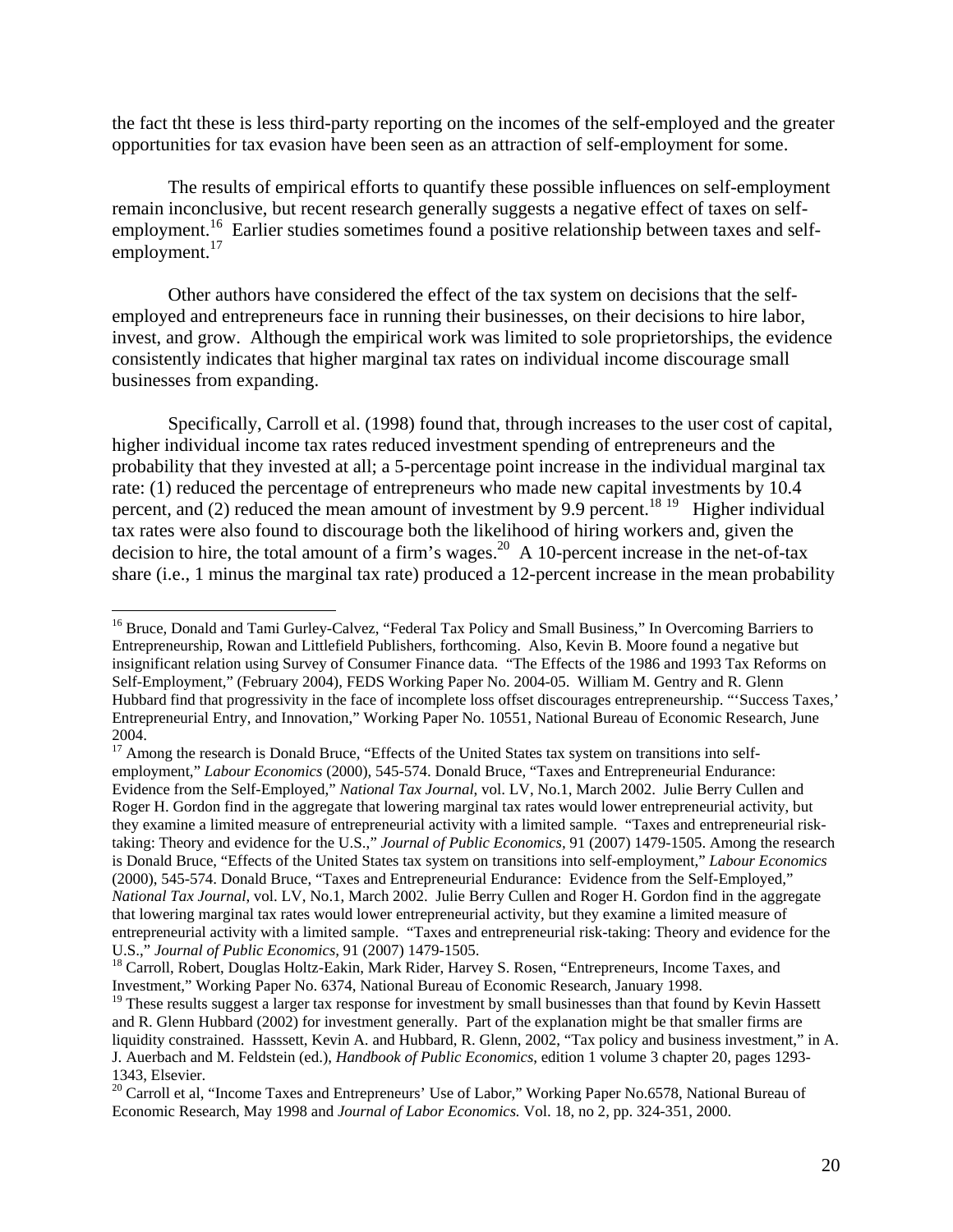the fact tht these is less third-party reporting on the incomes of the self-employed and the greater opportunities for tax evasion have been seen as an attraction of self-employment for some.

The results of empirical efforts to quantify these possible influences on self-employment remain inconclusive, but recent research generally suggests a negative effect of taxes on selfemployment.<sup>16</sup> Earlier studies sometimes found a positive relationship between taxes and selfemployment.<sup>17</sup>

Other authors have considered the effect of the tax system on decisions that the selfemployed and entrepreneurs face in running their businesses, on their decisions to hire labor, invest, and grow. Although the empirical work was limited to sole proprietorships, the evidence consistently indicates that higher marginal tax rates on individual income discourage small businesses from expanding.

Specifically, Carroll et al. (1998) found that, through increases to the user cost of capital, higher individual income tax rates reduced investment spending of entrepreneurs and the probability that they invested at all; a 5-percentage point increase in the individual marginal tax rate: (1) reduced the percentage of entrepreneurs who made new capital investments by 10.4 percent, and (2) reduced the mean amount of investment by 9.9 percent.<sup>18 19</sup> Higher individual tax rates were also found to discourage both the likelihood of hiring workers and, given the decision to hire, the total amount of a firm's wages.<sup>20</sup> A 10-percent increase in the net-of-tax share (i.e., 1 minus the marginal tax rate) produced a 12-percent increase in the mean probability

 $\overline{a}$ 

<sup>17</sup> Among the research is Donald Bruce, "Effects of the United States tax system on transitions into selfemployment," *Labour Economics* (2000), 545-574. Donald Bruce, "Taxes and Entrepreneurial Endurance: Evidence from the Self-Employed," *National Tax Journal*, vol. LV, No.1, March 2002. Julie Berry Cullen and Roger H. Gordon find in the aggregate that lowering marginal tax rates would lower entrepreneurial activity, but they examine a limited measure of entrepreneurial activity with a limited sample. "Taxes and entrepreneurial risktaking: Theory and evidence for the U.S.," *Journal of Public Economics,* 91 (2007) 1479-1505. Among the research is Donald Bruce, "Effects of the United States tax system on transitions into self-employment," *Labour Economics* (2000), 545-574. Donald Bruce, "Taxes and Entrepreneurial Endurance: Evidence from the Self-Employed," *National Tax Journal*, vol. LV, No.1, March 2002. Julie Berry Cullen and Roger H. Gordon find in the aggregate that lowering marginal tax rates would lower entrepreneurial activity, but they examine a limited measure of entrepreneurial activity with a limited sample. "Taxes and entrepreneurial risk-taking: Theory and evidence for the U.S.," Journal of Public Economics, 91 (2007) 1479-1505.

<sup>&</sup>lt;sup>16</sup> Bruce, Donald and Tami Gurley-Calvez, "Federal Tax Policy and Small Business," In Overcoming Barriers to Entrepreneurship, Rowan and Littlefield Publishers, forthcoming. Also, Kevin B. Moore found a negative but insignificant relation using Survey of Consumer Finance data. "The Effects of the 1986 and 1993 Tax Reforms on Self-Employment," (February 2004), FEDS Working Paper No. 2004-05. William M. Gentry and R. Glenn Hubbard find that progressivity in the face of incomplete loss offset discourages entrepreneurship. "'Success Taxes,' Entrepreneurial Entry, and Innovation," Working Paper No. 10551, National Bureau of Economic Research, June 2004.

<sup>&</sup>lt;sup>18</sup> Carroll, Robert, Douglas Holtz-Eakin, Mark Rider, Harvey S. Rosen, "Entrepreneurs, Income Taxes, and Investment," Working Paper No. 6374, National Bureau of Economic Research, January 1998.

<sup>&</sup>lt;sup>19</sup> These results suggest a larger tax response for investment by small businesses than that found by Kevin Hassett and R. Glenn Hubbard (2002) for investment generally. Part of the explanation might be that smaller firms are liquidity constrained. Hasssett, Kevin A. and Hubbard, R. Glenn, 2002, "Tax policy and business investment," in A. J. Auerbach and M. Feldstein (ed.), *Handbook of Public Economics*, edition 1 volume 3 chapter 20, pages 1293- 1343, Elsevier.

<sup>&</sup>lt;sup>20</sup> Carroll et al, "Income Taxes and Entrepreneurs' Use of Labor," Working Paper No.6578, National Bureau of Economic Research, May 1998 and *Journal of Labor Economics.* Vol. 18, no 2, pp. 324-351, 2000.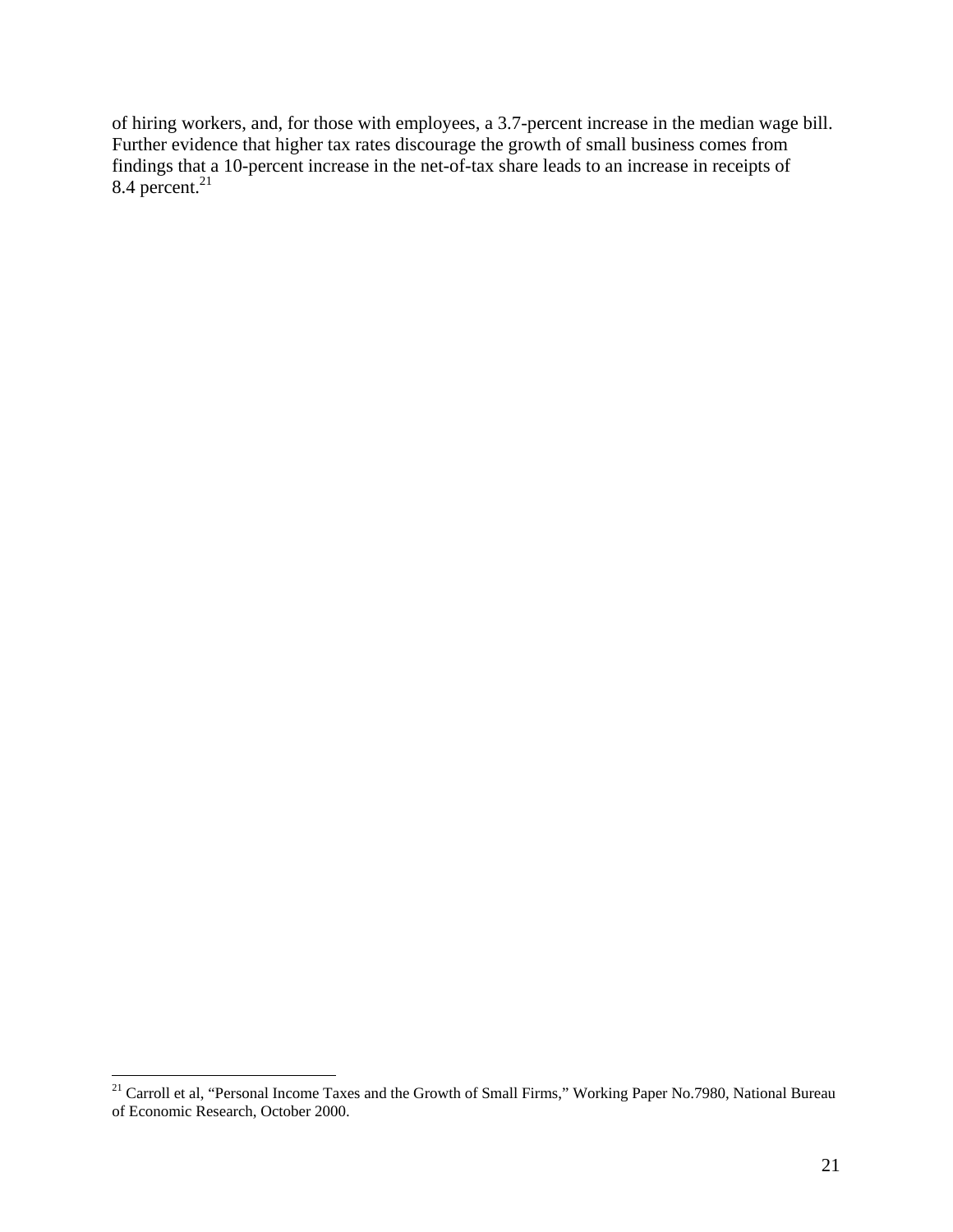of hiring workers, and, for those with employees, a 3.7-percent increase in the median wage bill. Further evidence that higher tax rates discourage the growth of small business comes from findings that a 10-percent increase in the net-of-tax share leads to an increase in receipts of  $8.4$  percent.<sup>21</sup>

 $\overline{a}$ 

<sup>&</sup>lt;sup>21</sup> Carroll et al, "Personal Income Taxes and the Growth of Small Firms," Working Paper No.7980, National Bureau of Economic Research, October 2000.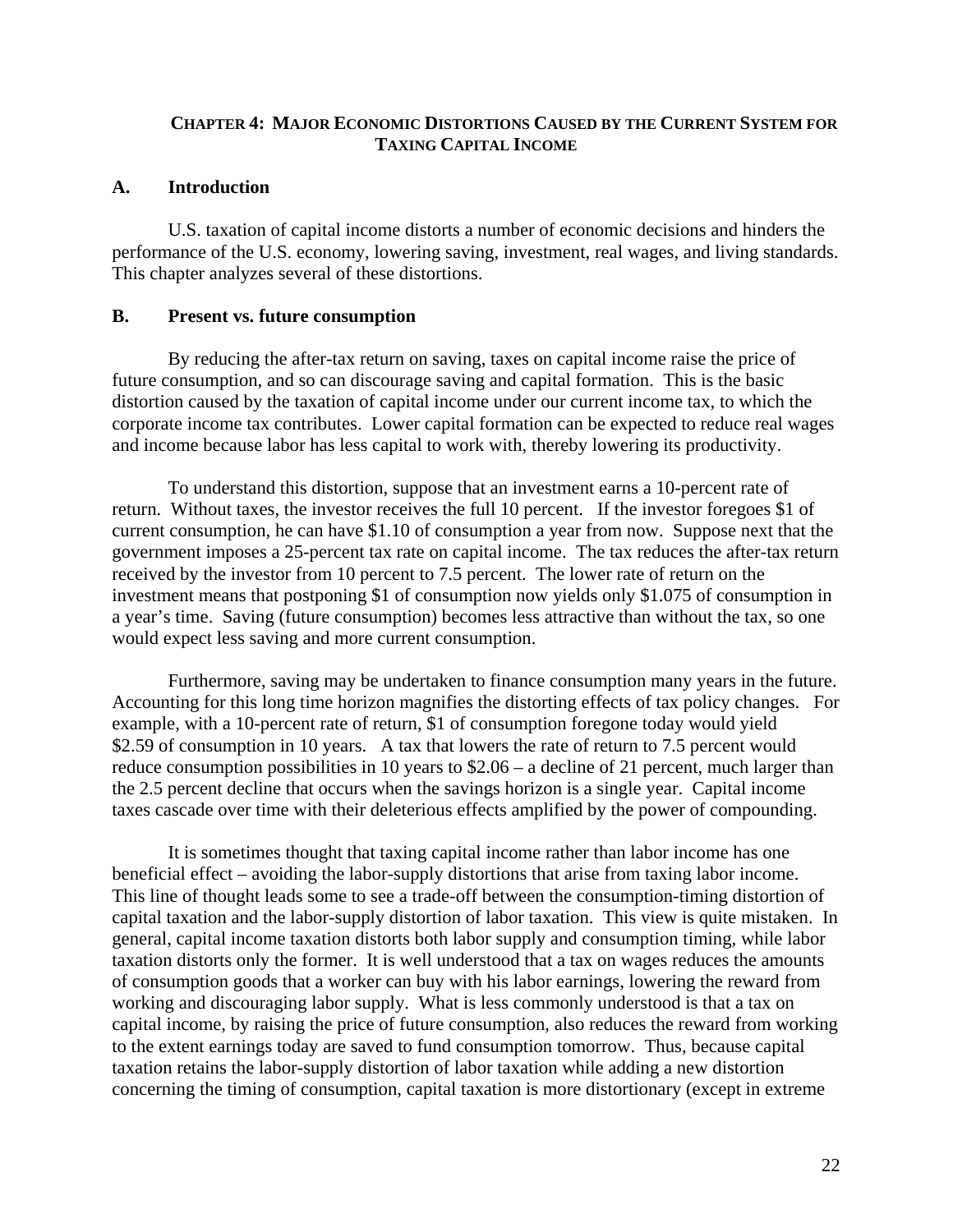## **CHAPTER 4: MAJOR ECONOMIC DISTORTIONS CAUSED BY THE CURRENT SYSTEM FOR TAXING CAPITAL INCOME**

#### **A. Introduction**

 U.S. taxation of capital income distorts a number of economic decisions and hinders the performance of the U.S. economy, lowering saving, investment, real wages, and living standards. This chapter analyzes several of these distortions.

#### **B. Present vs. future consumption**

 By reducing the after-tax return on saving, taxes on capital income raise the price of future consumption, and so can discourage saving and capital formation. This is the basic distortion caused by the taxation of capital income under our current income tax, to which the corporate income tax contributes. Lower capital formation can be expected to reduce real wages and income because labor has less capital to work with, thereby lowering its productivity.

 To understand this distortion, suppose that an investment earns a 10-percent rate of return. Without taxes, the investor receives the full 10 percent. If the investor foregoes \$1 of current consumption, he can have \$1.10 of consumption a year from now. Suppose next that the government imposes a 25-percent tax rate on capital income. The tax reduces the after-tax return received by the investor from 10 percent to 7.5 percent. The lower rate of return on the investment means that postponing \$1 of consumption now yields only \$1.075 of consumption in a year's time. Saving (future consumption) becomes less attractive than without the tax, so one would expect less saving and more current consumption.

 Furthermore, saving may be undertaken to finance consumption many years in the future. Accounting for this long time horizon magnifies the distorting effects of tax policy changes. For example, with a 10-percent rate of return, \$1 of consumption foregone today would yield \$2.59 of consumption in 10 years. A tax that lowers the rate of return to 7.5 percent would reduce consumption possibilities in 10 years to \$2.06 – a decline of 21 percent, much larger than the 2.5 percent decline that occurs when the savings horizon is a single year. Capital income taxes cascade over time with their deleterious effects amplified by the power of compounding.

It is sometimes thought that taxing capital income rather than labor income has one beneficial effect – avoiding the labor-supply distortions that arise from taxing labor income. This line of thought leads some to see a trade-off between the consumption-timing distortion of capital taxation and the labor-supply distortion of labor taxation. This view is quite mistaken. In general, capital income taxation distorts both labor supply and consumption timing, while labor taxation distorts only the former. It is well understood that a tax on wages reduces the amounts of consumption goods that a worker can buy with his labor earnings, lowering the reward from working and discouraging labor supply. What is less commonly understood is that a tax on capital income, by raising the price of future consumption, also reduces the reward from working to the extent earnings today are saved to fund consumption tomorrow. Thus, because capital taxation retains the labor-supply distortion of labor taxation while adding a new distortion concerning the timing of consumption, capital taxation is more distortionary (except in extreme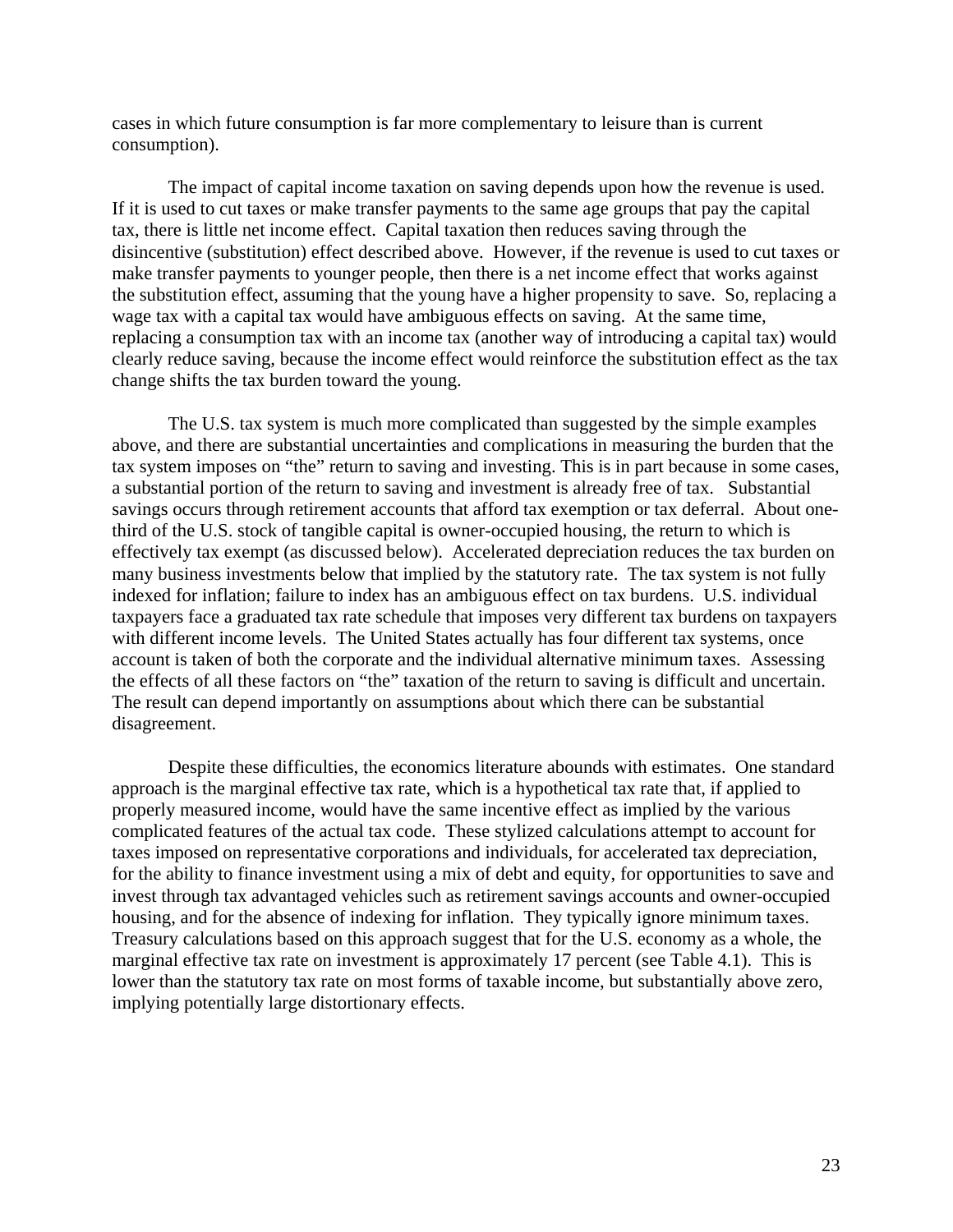cases in which future consumption is far more complementary to leisure than is current consumption).

 The impact of capital income taxation on saving depends upon how the revenue is used. If it is used to cut taxes or make transfer payments to the same age groups that pay the capital tax, there is little net income effect. Capital taxation then reduces saving through the disincentive (substitution) effect described above. However, if the revenue is used to cut taxes or make transfer payments to younger people, then there is a net income effect that works against the substitution effect, assuming that the young have a higher propensity to save. So, replacing a wage tax with a capital tax would have ambiguous effects on saving. At the same time, replacing a consumption tax with an income tax (another way of introducing a capital tax) would clearly reduce saving, because the income effect would reinforce the substitution effect as the tax change shifts the tax burden toward the young.

The U.S. tax system is much more complicated than suggested by the simple examples above, and there are substantial uncertainties and complications in measuring the burden that the tax system imposes on "the" return to saving and investing. This is in part because in some cases, a substantial portion of the return to saving and investment is already free of tax. Substantial savings occurs through retirement accounts that afford tax exemption or tax deferral. About onethird of the U.S. stock of tangible capital is owner-occupied housing, the return to which is effectively tax exempt (as discussed below). Accelerated depreciation reduces the tax burden on many business investments below that implied by the statutory rate. The tax system is not fully indexed for inflation; failure to index has an ambiguous effect on tax burdens. U.S. individual taxpayers face a graduated tax rate schedule that imposes very different tax burdens on taxpayers with different income levels. The United States actually has four different tax systems, once account is taken of both the corporate and the individual alternative minimum taxes. Assessing the effects of all these factors on "the" taxation of the return to saving is difficult and uncertain. The result can depend importantly on assumptions about which there can be substantial disagreement.

 Despite these difficulties, the economics literature abounds with estimates. One standard approach is the marginal effective tax rate, which is a hypothetical tax rate that, if applied to properly measured income, would have the same incentive effect as implied by the various complicated features of the actual tax code. These stylized calculations attempt to account for taxes imposed on representative corporations and individuals, for accelerated tax depreciation, for the ability to finance investment using a mix of debt and equity, for opportunities to save and invest through tax advantaged vehicles such as retirement savings accounts and owner-occupied housing, and for the absence of indexing for inflation. They typically ignore minimum taxes. Treasury calculations based on this approach suggest that for the U.S. economy as a whole, the marginal effective tax rate on investment is approximately 17 percent (see Table 4.1). This is lower than the statutory tax rate on most forms of taxable income, but substantially above zero, implying potentially large distortionary effects.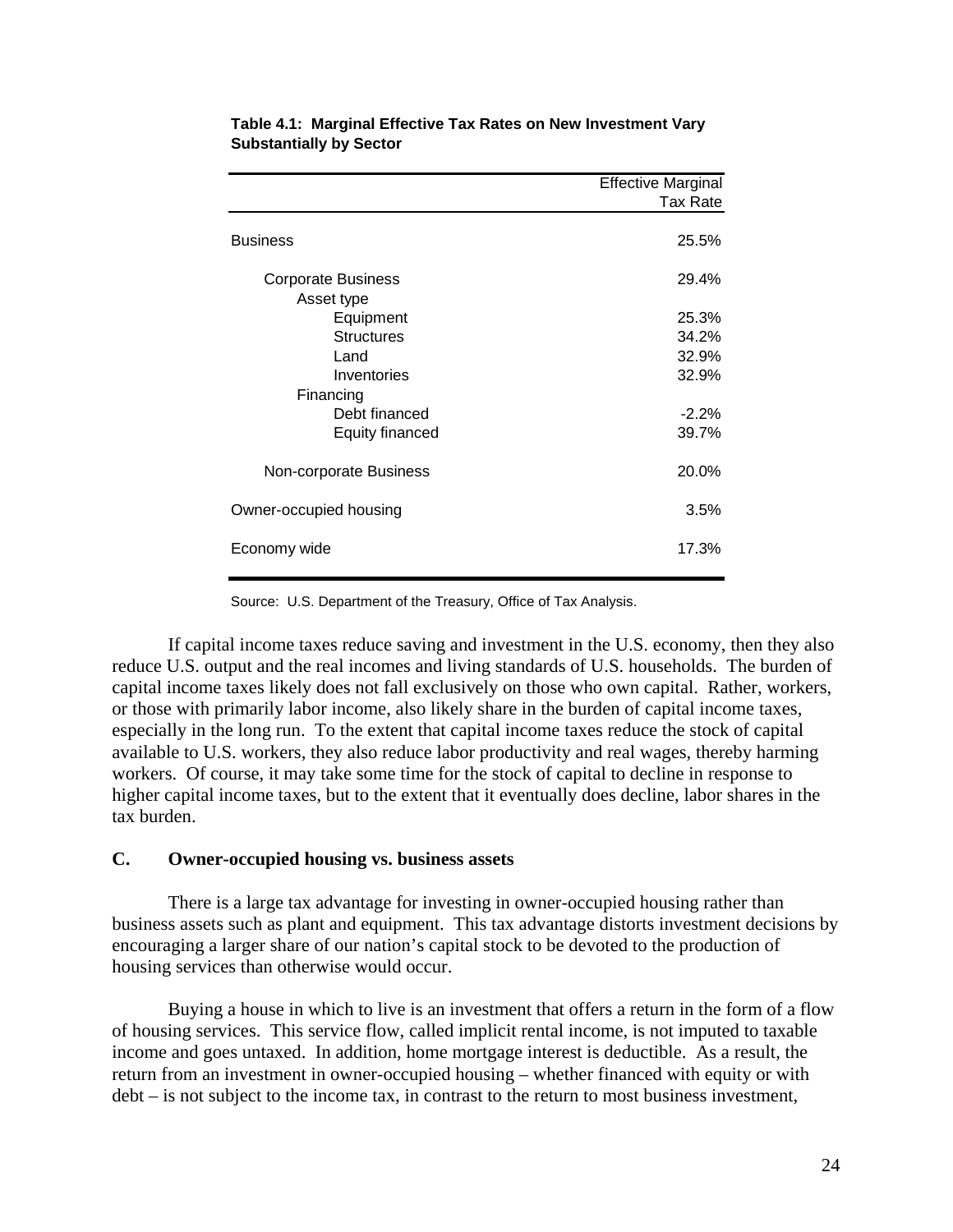|                           | <b>Effective Marginal</b> |
|---------------------------|---------------------------|
|                           | Tax Rate                  |
| <b>Business</b>           | 25.5%                     |
| <b>Corporate Business</b> | 29.4%                     |
| Asset type                |                           |
| Equipment                 | 25.3%                     |
| <b>Structures</b>         | 34.2%                     |
| Land                      | 32.9%                     |
| Inventories               | 32.9%                     |
| Financing                 |                           |
| Debt financed             | $-2.2%$                   |
| <b>Equity financed</b>    | 39.7%                     |
| Non-corporate Business    | 20.0%                     |
| Owner-occupied housing    | 3.5%                      |
| Economy wide              | 17.3%                     |
|                           |                           |

**Table 4.1: Marginal Effective Tax Rates on New Investment Vary Substantially by Sector** 

Source: U.S. Department of the Treasury, Office of Tax Analysis.

 If capital income taxes reduce saving and investment in the U.S. economy, then they also reduce U.S. output and the real incomes and living standards of U.S. households. The burden of capital income taxes likely does not fall exclusively on those who own capital. Rather, workers, or those with primarily labor income, also likely share in the burden of capital income taxes, especially in the long run. To the extent that capital income taxes reduce the stock of capital available to U.S. workers, they also reduce labor productivity and real wages, thereby harming workers. Of course, it may take some time for the stock of capital to decline in response to higher capital income taxes, but to the extent that it eventually does decline, labor shares in the tax burden.

#### **C. Owner-occupied housing vs. business assets**

 There is a large tax advantage for investing in owner-occupied housing rather than business assets such as plant and equipment. This tax advantage distorts investment decisions by encouraging a larger share of our nation's capital stock to be devoted to the production of housing services than otherwise would occur.

 Buying a house in which to live is an investment that offers a return in the form of a flow of housing services. This service flow, called implicit rental income, is not imputed to taxable income and goes untaxed. In addition, home mortgage interest is deductible. As a result, the return from an investment in owner-occupied housing – whether financed with equity or with debt – is not subject to the income tax, in contrast to the return to most business investment,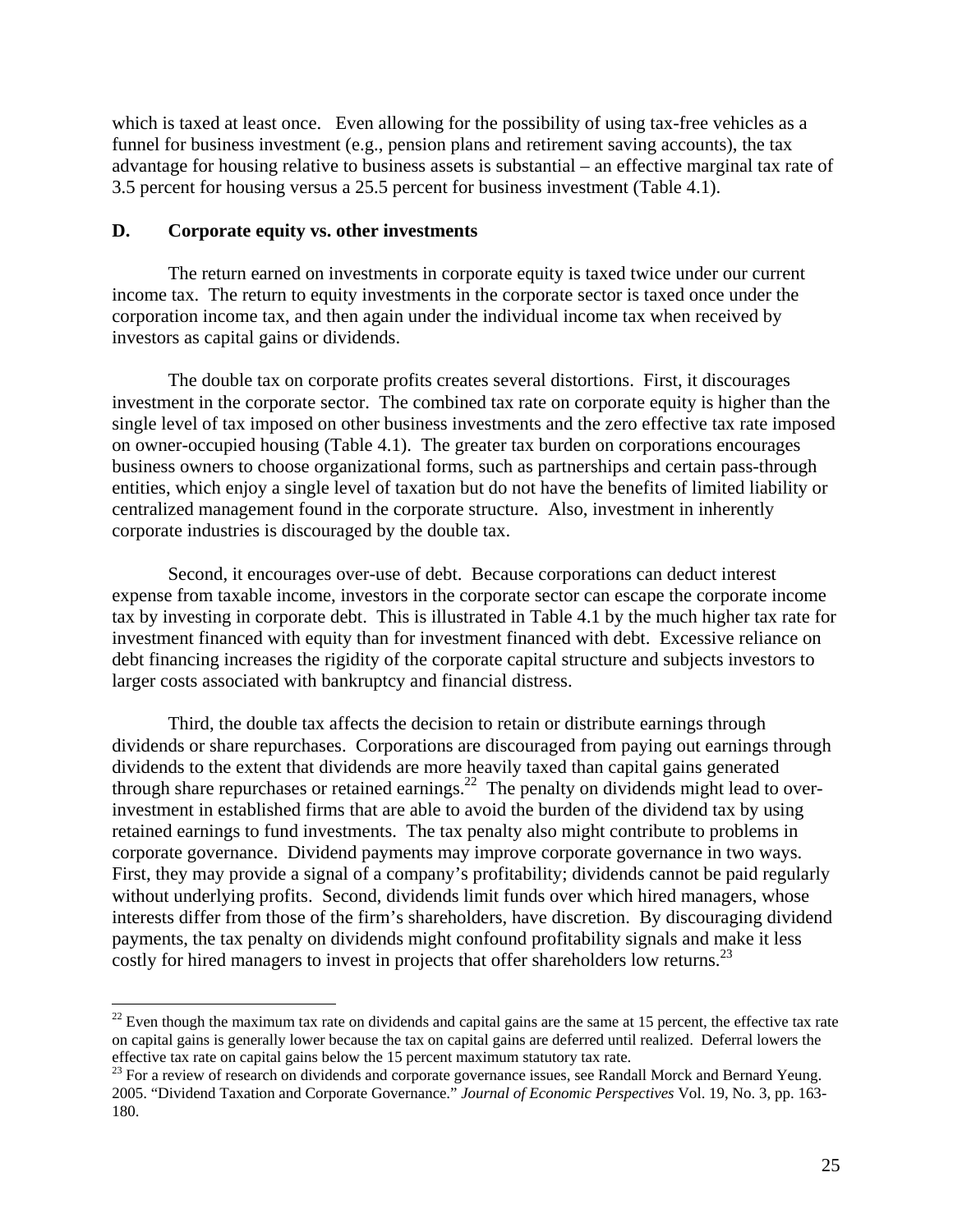which is taxed at least once. Even allowing for the possibility of using tax-free vehicles as a funnel for business investment (e.g., pension plans and retirement saving accounts), the tax advantage for housing relative to business assets is substantial – an effective marginal tax rate of 3.5 percent for housing versus a 25.5 percent for business investment (Table 4.1).

## **D. Corporate equity vs. other investments**

1

 The return earned on investments in corporate equity is taxed twice under our current income tax. The return to equity investments in the corporate sector is taxed once under the corporation income tax, and then again under the individual income tax when received by investors as capital gains or dividends.

The double tax on corporate profits creates several distortions. First, it discourages investment in the corporate sector. The combined tax rate on corporate equity is higher than the single level of tax imposed on other business investments and the zero effective tax rate imposed on owner-occupied housing (Table 4.1). The greater tax burden on corporations encourages business owners to choose organizational forms, such as partnerships and certain pass-through entities, which enjoy a single level of taxation but do not have the benefits of limited liability or centralized management found in the corporate structure. Also, investment in inherently corporate industries is discouraged by the double tax.

 Second, it encourages over-use of debt. Because corporations can deduct interest expense from taxable income, investors in the corporate sector can escape the corporate income tax by investing in corporate debt. This is illustrated in Table 4.1 by the much higher tax rate for investment financed with equity than for investment financed with debt. Excessive reliance on debt financing increases the rigidity of the corporate capital structure and subjects investors to larger costs associated with bankruptcy and financial distress.

Third, the double tax affects the decision to retain or distribute earnings through dividends or share repurchases. Corporations are discouraged from paying out earnings through dividends to the extent that dividends are more heavily taxed than capital gains generated through share repurchases or retained earnings.<sup>22</sup> The penalty on dividends might lead to overinvestment in established firms that are able to avoid the burden of the dividend tax by using retained earnings to fund investments. The tax penalty also might contribute to problems in corporate governance. Dividend payments may improve corporate governance in two ways. First, they may provide a signal of a company's profitability; dividends cannot be paid regularly without underlying profits. Second, dividends limit funds over which hired managers, whose interests differ from those of the firm's shareholders, have discretion. By discouraging dividend payments, the tax penalty on dividends might confound profitability signals and make it less costly for hired managers to invest in projects that offer shareholders low returns.<sup>23</sup>

 $22$  Even though the maximum tax rate on dividends and capital gains are the same at 15 percent, the effective tax rate on capital gains is generally lower because the tax on capital gains are deferred until realized. Deferral lowers the effective tax rate on capital gains below the 15 percent maximum statutory tax rate.

<sup>&</sup>lt;sup>23</sup> For a review of research on dividends and corporate governance issues, see Randall Morck and Bernard Yeung. 2005. "Dividend Taxation and Corporate Governance." *Journal of Economic Perspectives* Vol. 19, No. 3, pp. 163- 180.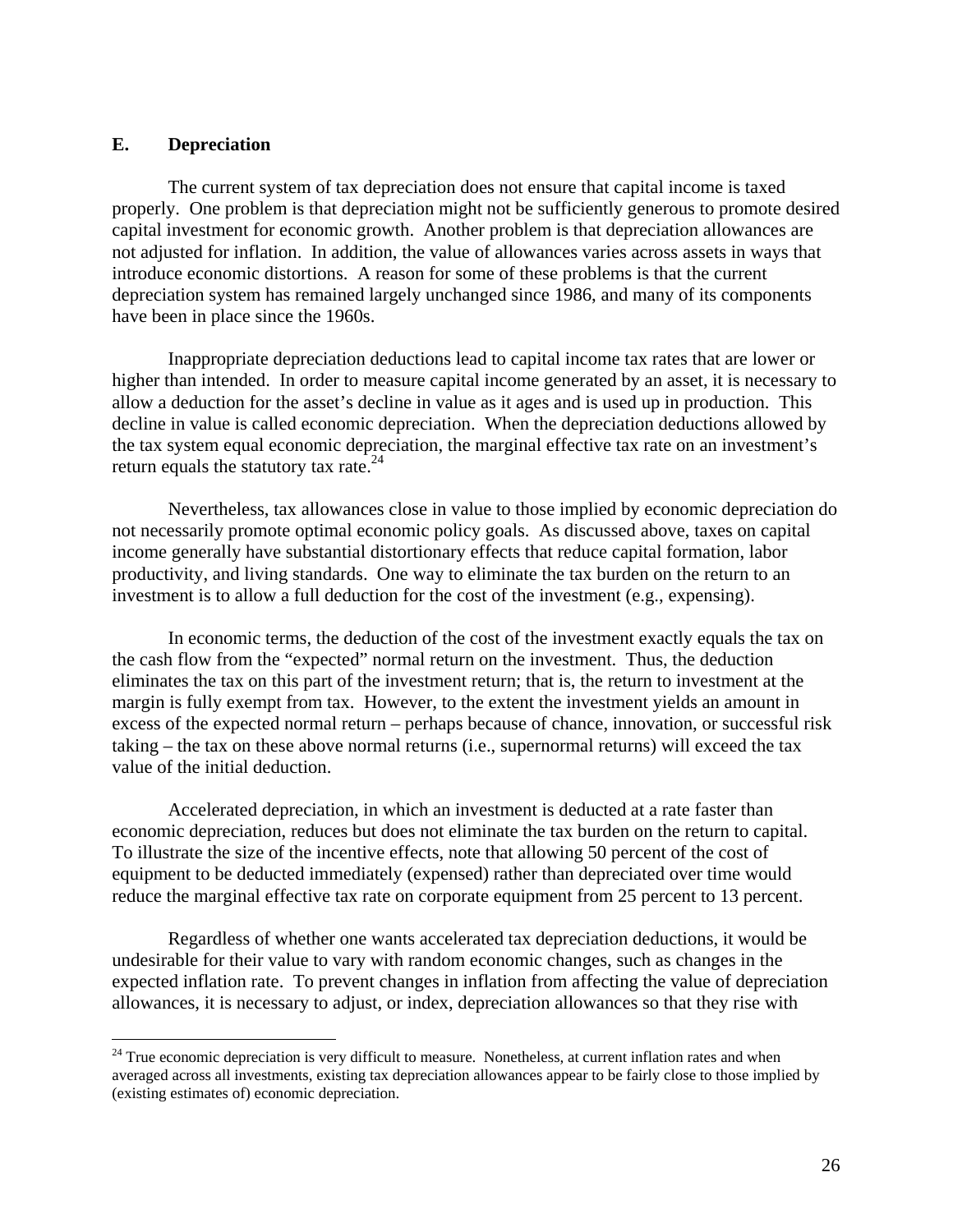#### **E. Depreciation**

 $\overline{a}$ 

 The current system of tax depreciation does not ensure that capital income is taxed properly. One problem is that depreciation might not be sufficiently generous to promote desired capital investment for economic growth. Another problem is that depreciation allowances are not adjusted for inflation. In addition, the value of allowances varies across assets in ways that introduce economic distortions. A reason for some of these problems is that the current depreciation system has remained largely unchanged since 1986, and many of its components have been in place since the 1960s.

 Inappropriate depreciation deductions lead to capital income tax rates that are lower or higher than intended. In order to measure capital income generated by an asset, it is necessary to allow a deduction for the asset's decline in value as it ages and is used up in production. This decline in value is called economic depreciation. When the depreciation deductions allowed by the tax system equal economic depreciation, the marginal effective tax rate on an investment's return equals the statutory tax rate.<sup>24</sup>

 Nevertheless, tax allowances close in value to those implied by economic depreciation do not necessarily promote optimal economic policy goals. As discussed above, taxes on capital income generally have substantial distortionary effects that reduce capital formation, labor productivity, and living standards. One way to eliminate the tax burden on the return to an investment is to allow a full deduction for the cost of the investment (e.g., expensing).

 In economic terms, the deduction of the cost of the investment exactly equals the tax on the cash flow from the "expected" normal return on the investment. Thus, the deduction eliminates the tax on this part of the investment return; that is, the return to investment at the margin is fully exempt from tax. However, to the extent the investment yields an amount in excess of the expected normal return – perhaps because of chance, innovation, or successful risk taking – the tax on these above normal returns (i.e., supernormal returns) will exceed the tax value of the initial deduction.

 Accelerated depreciation, in which an investment is deducted at a rate faster than economic depreciation, reduces but does not eliminate the tax burden on the return to capital. To illustrate the size of the incentive effects, note that allowing 50 percent of the cost of equipment to be deducted immediately (expensed) rather than depreciated over time would reduce the marginal effective tax rate on corporate equipment from 25 percent to 13 percent.

 Regardless of whether one wants accelerated tax depreciation deductions, it would be undesirable for their value to vary with random economic changes, such as changes in the expected inflation rate. To prevent changes in inflation from affecting the value of depreciation allowances, it is necessary to adjust, or index, depreciation allowances so that they rise with

 $24$  True economic depreciation is very difficult to measure. Nonetheless, at current inflation rates and when averaged across all investments, existing tax depreciation allowances appear to be fairly close to those implied by (existing estimates of) economic depreciation.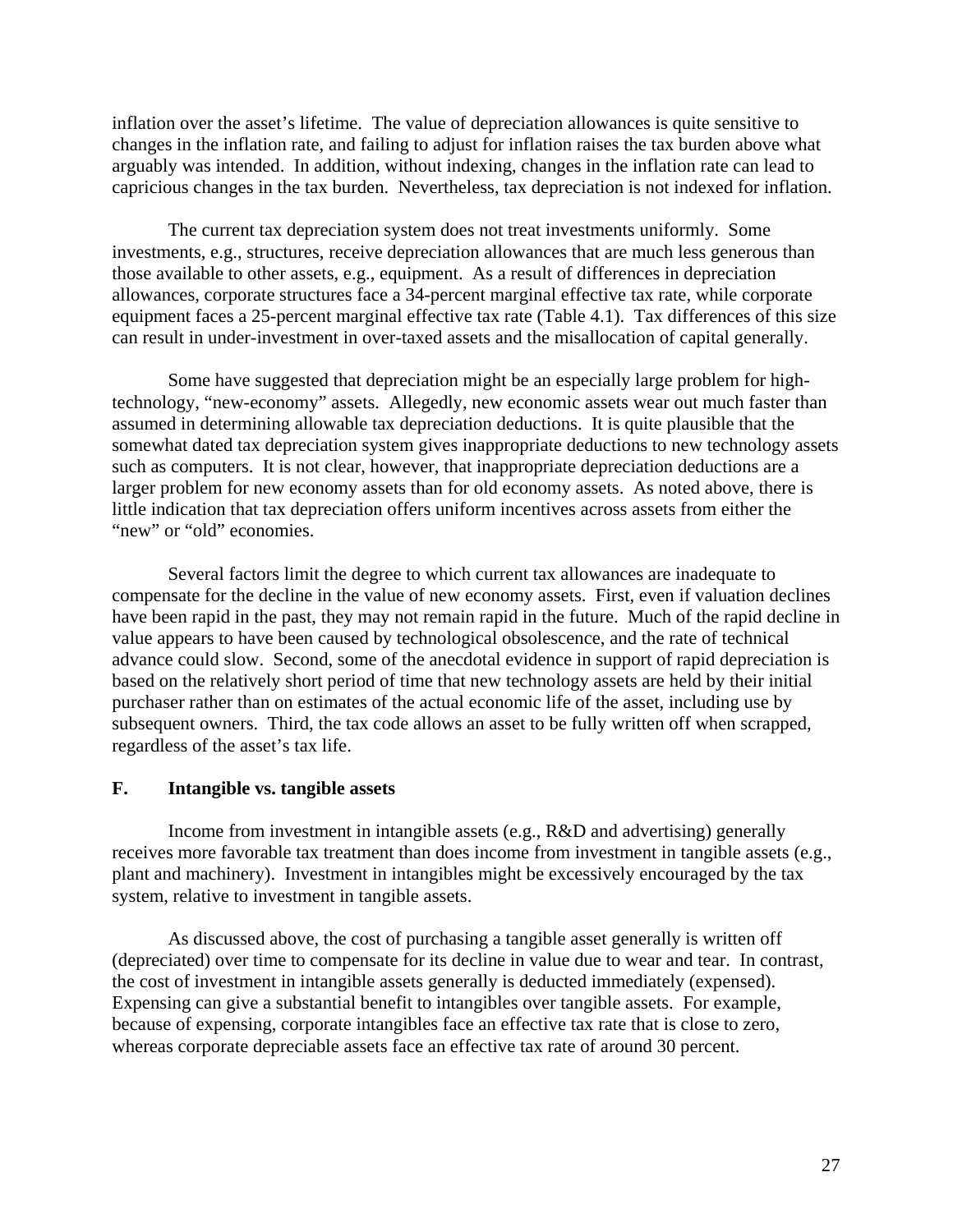inflation over the asset's lifetime. The value of depreciation allowances is quite sensitive to changes in the inflation rate, and failing to adjust for inflation raises the tax burden above what arguably was intended. In addition, without indexing, changes in the inflation rate can lead to capricious changes in the tax burden. Nevertheless, tax depreciation is not indexed for inflation.

 The current tax depreciation system does not treat investments uniformly. Some investments, e.g., structures, receive depreciation allowances that are much less generous than those available to other assets, e.g., equipment. As a result of differences in depreciation allowances, corporate structures face a 34-percent marginal effective tax rate, while corporate equipment faces a 25-percent marginal effective tax rate (Table 4.1). Tax differences of this size can result in under-investment in over-taxed assets and the misallocation of capital generally.

 Some have suggested that depreciation might be an especially large problem for hightechnology, "new-economy" assets. Allegedly, new economic assets wear out much faster than assumed in determining allowable tax depreciation deductions. It is quite plausible that the somewhat dated tax depreciation system gives inappropriate deductions to new technology assets such as computers. It is not clear, however, that inappropriate depreciation deductions are a larger problem for new economy assets than for old economy assets. As noted above, there is little indication that tax depreciation offers uniform incentives across assets from either the "new" or "old" economies.

 Several factors limit the degree to which current tax allowances are inadequate to compensate for the decline in the value of new economy assets. First, even if valuation declines have been rapid in the past, they may not remain rapid in the future. Much of the rapid decline in value appears to have been caused by technological obsolescence, and the rate of technical advance could slow. Second, some of the anecdotal evidence in support of rapid depreciation is based on the relatively short period of time that new technology assets are held by their initial purchaser rather than on estimates of the actual economic life of the asset, including use by subsequent owners. Third, the tax code allows an asset to be fully written off when scrapped, regardless of the asset's tax life.

#### **F. Intangible vs. tangible assets**

 Income from investment in intangible assets (e.g., R&D and advertising) generally receives more favorable tax treatment than does income from investment in tangible assets (e.g., plant and machinery). Investment in intangibles might be excessively encouraged by the tax system, relative to investment in tangible assets.

 As discussed above, the cost of purchasing a tangible asset generally is written off (depreciated) over time to compensate for its decline in value due to wear and tear. In contrast, the cost of investment in intangible assets generally is deducted immediately (expensed). Expensing can give a substantial benefit to intangibles over tangible assets. For example, because of expensing, corporate intangibles face an effective tax rate that is close to zero, whereas corporate depreciable assets face an effective tax rate of around 30 percent.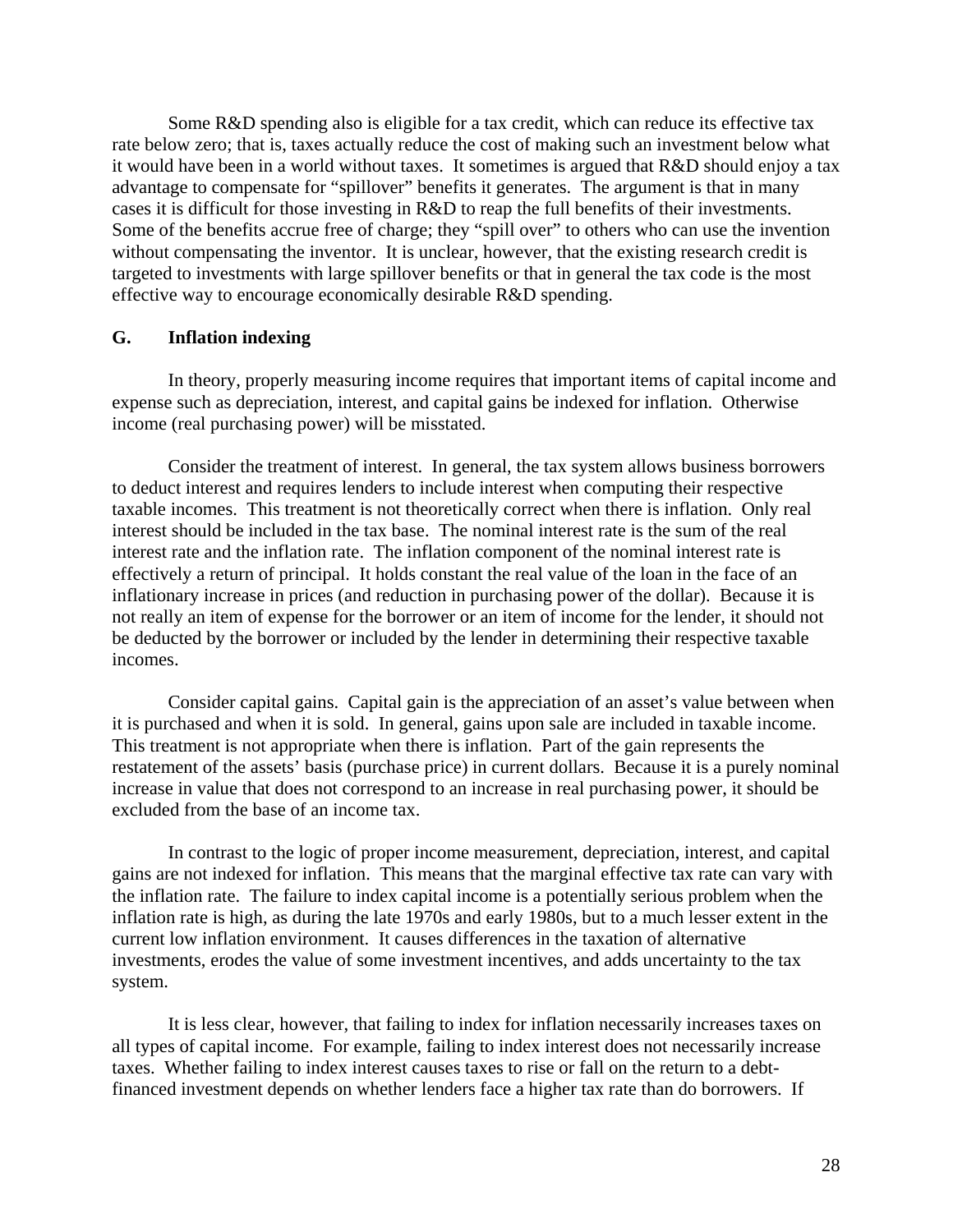Some R&D spending also is eligible for a tax credit, which can reduce its effective tax rate below zero; that is, taxes actually reduce the cost of making such an investment below what it would have been in a world without taxes. It sometimes is argued that R&D should enjoy a tax advantage to compensate for "spillover" benefits it generates. The argument is that in many cases it is difficult for those investing in R&D to reap the full benefits of their investments. Some of the benefits accrue free of charge; they "spill over" to others who can use the invention without compensating the inventor. It is unclear, however, that the existing research credit is targeted to investments with large spillover benefits or that in general the tax code is the most effective way to encourage economically desirable R&D spending.

## **G. Inflation indexing**

 In theory, properly measuring income requires that important items of capital income and expense such as depreciation, interest, and capital gains be indexed for inflation. Otherwise income (real purchasing power) will be misstated.

 Consider the treatment of interest. In general, the tax system allows business borrowers to deduct interest and requires lenders to include interest when computing their respective taxable incomes. This treatment is not theoretically correct when there is inflation. Only real interest should be included in the tax base. The nominal interest rate is the sum of the real interest rate and the inflation rate. The inflation component of the nominal interest rate is effectively a return of principal. It holds constant the real value of the loan in the face of an inflationary increase in prices (and reduction in purchasing power of the dollar). Because it is not really an item of expense for the borrower or an item of income for the lender, it should not be deducted by the borrower or included by the lender in determining their respective taxable incomes.

 Consider capital gains. Capital gain is the appreciation of an asset's value between when it is purchased and when it is sold. In general, gains upon sale are included in taxable income. This treatment is not appropriate when there is inflation. Part of the gain represents the restatement of the assets' basis (purchase price) in current dollars. Because it is a purely nominal increase in value that does not correspond to an increase in real purchasing power, it should be excluded from the base of an income tax.

 In contrast to the logic of proper income measurement, depreciation, interest, and capital gains are not indexed for inflation. This means that the marginal effective tax rate can vary with the inflation rate. The failure to index capital income is a potentially serious problem when the inflation rate is high, as during the late 1970s and early 1980s, but to a much lesser extent in the current low inflation environment. It causes differences in the taxation of alternative investments, erodes the value of some investment incentives, and adds uncertainty to the tax system.

 It is less clear, however, that failing to index for inflation necessarily increases taxes on all types of capital income. For example, failing to index interest does not necessarily increase taxes. Whether failing to index interest causes taxes to rise or fall on the return to a debtfinanced investment depends on whether lenders face a higher tax rate than do borrowers. If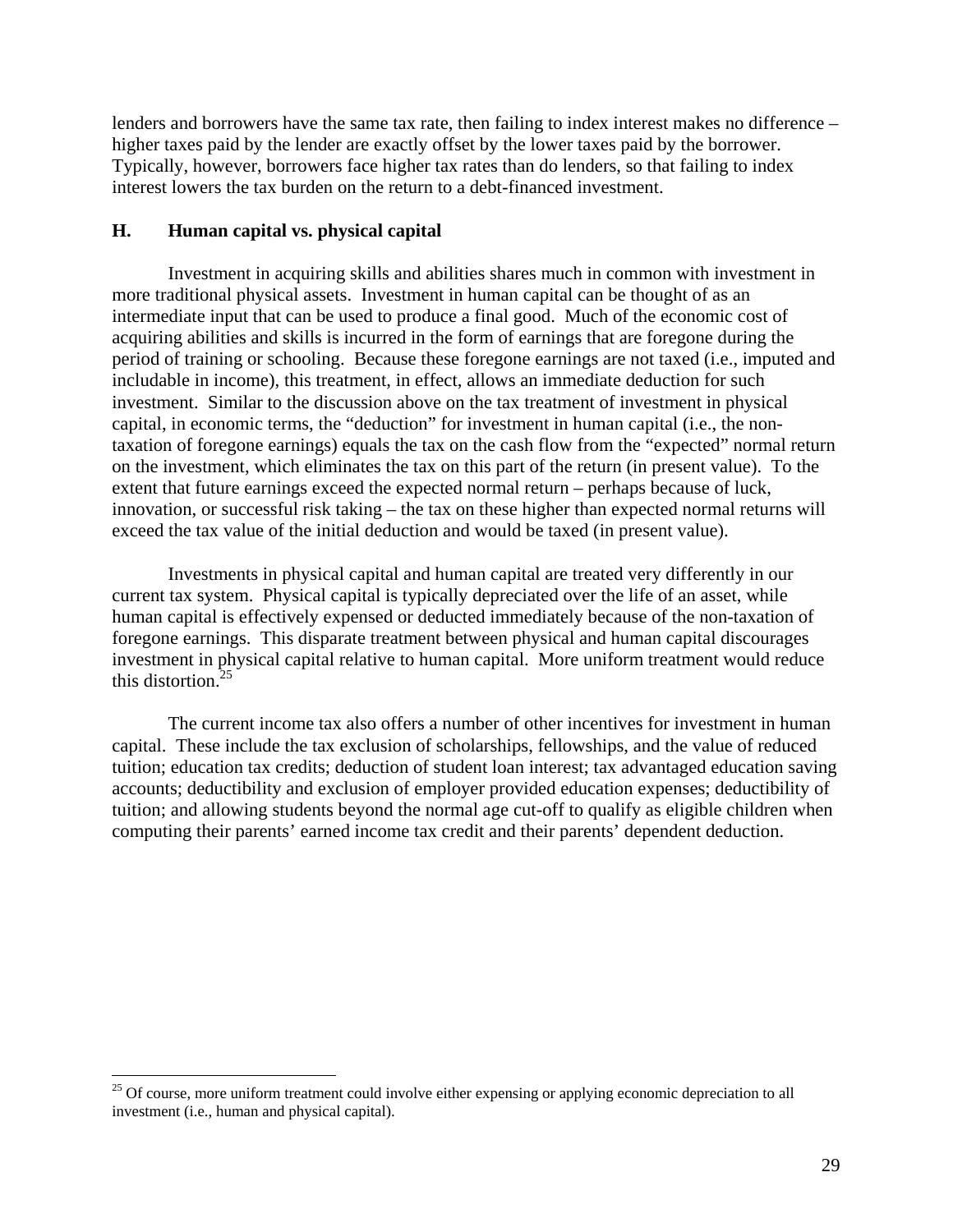lenders and borrowers have the same tax rate, then failing to index interest makes no difference – higher taxes paid by the lender are exactly offset by the lower taxes paid by the borrower. Typically, however, borrowers face higher tax rates than do lenders, so that failing to index interest lowers the tax burden on the return to a debt-financed investment.

## **H. Human capital vs. physical capital**

 $\overline{a}$ 

 Investment in acquiring skills and abilities shares much in common with investment in more traditional physical assets. Investment in human capital can be thought of as an intermediate input that can be used to produce a final good. Much of the economic cost of acquiring abilities and skills is incurred in the form of earnings that are foregone during the period of training or schooling. Because these foregone earnings are not taxed (i.e., imputed and includable in income), this treatment, in effect, allows an immediate deduction for such investment. Similar to the discussion above on the tax treatment of investment in physical capital, in economic terms, the "deduction" for investment in human capital (i.e., the nontaxation of foregone earnings) equals the tax on the cash flow from the "expected" normal return on the investment, which eliminates the tax on this part of the return (in present value). To the extent that future earnings exceed the expected normal return – perhaps because of luck, innovation, or successful risk taking – the tax on these higher than expected normal returns will exceed the tax value of the initial deduction and would be taxed (in present value).

 Investments in physical capital and human capital are treated very differently in our current tax system. Physical capital is typically depreciated over the life of an asset, while human capital is effectively expensed or deducted immediately because of the non-taxation of foregone earnings. This disparate treatment between physical and human capital discourages investment in physical capital relative to human capital. More uniform treatment would reduce this distortion.25

 The current income tax also offers a number of other incentives for investment in human capital. These include the tax exclusion of scholarships, fellowships, and the value of reduced tuition; education tax credits; deduction of student loan interest; tax advantaged education saving accounts; deductibility and exclusion of employer provided education expenses; deductibility of tuition; and allowing students beyond the normal age cut-off to qualify as eligible children when computing their parents' earned income tax credit and their parents' dependent deduction.

<sup>&</sup>lt;sup>25</sup> Of course, more uniform treatment could involve either expensing or applying economic depreciation to all investment (i.e., human and physical capital).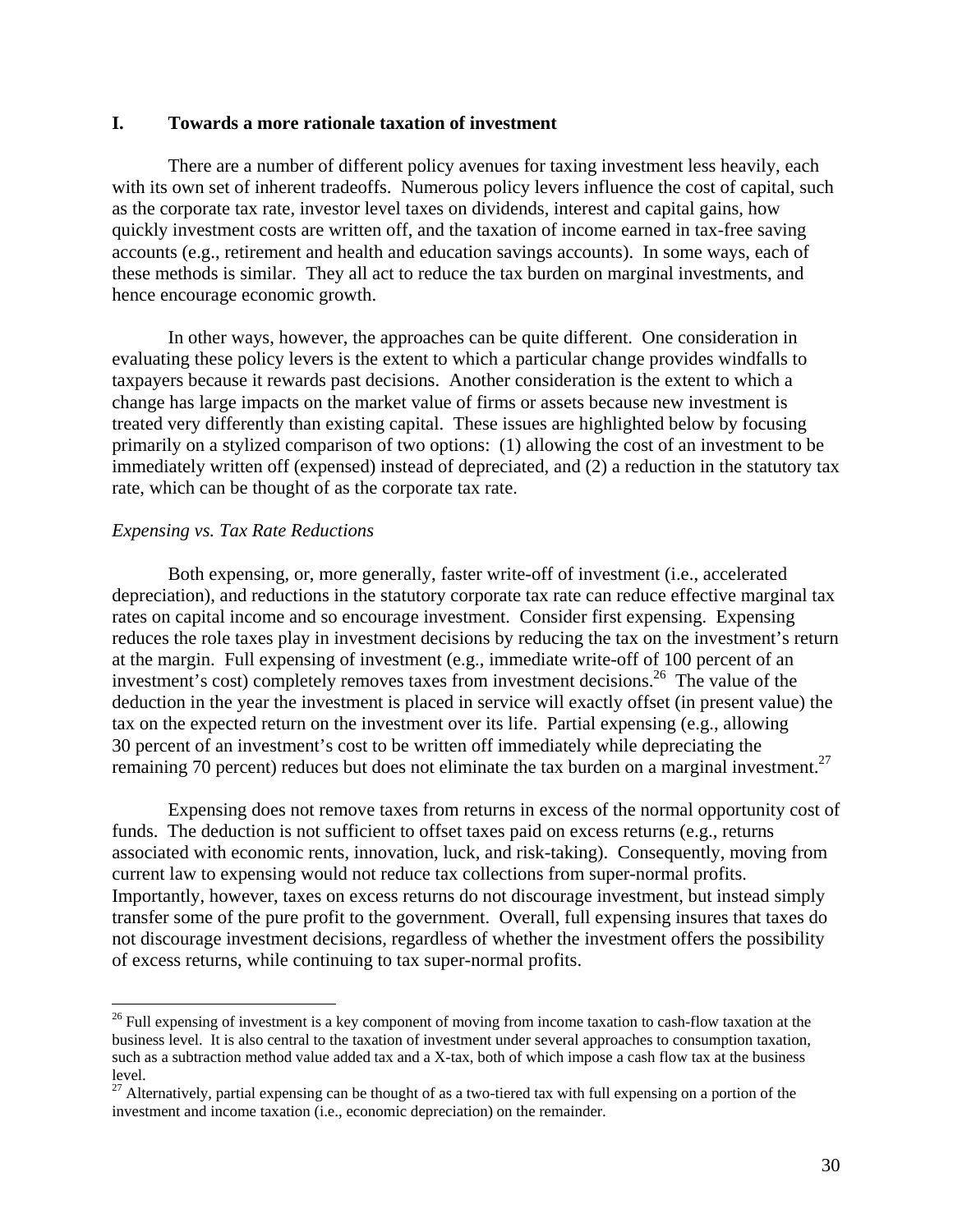### **I. Towards a more rationale taxation of investment**

There are a number of different policy avenues for taxing investment less heavily, each with its own set of inherent tradeoffs. Numerous policy levers influence the cost of capital, such as the corporate tax rate, investor level taxes on dividends, interest and capital gains, how quickly investment costs are written off, and the taxation of income earned in tax-free saving accounts (e.g., retirement and health and education savings accounts). In some ways, each of these methods is similar. They all act to reduce the tax burden on marginal investments, and hence encourage economic growth.

 In other ways, however, the approaches can be quite different. One consideration in evaluating these policy levers is the extent to which a particular change provides windfalls to taxpayers because it rewards past decisions. Another consideration is the extent to which a change has large impacts on the market value of firms or assets because new investment is treated very differently than existing capital. These issues are highlighted below by focusing primarily on a stylized comparison of two options: (1) allowing the cost of an investment to be immediately written off (expensed) instead of depreciated, and (2) a reduction in the statutory tax rate, which can be thought of as the corporate tax rate.

#### *Expensing vs. Tax Rate Reductions*

1

 Both expensing, or, more generally, faster write-off of investment (i.e., accelerated depreciation), and reductions in the statutory corporate tax rate can reduce effective marginal tax rates on capital income and so encourage investment. Consider first expensing. Expensing reduces the role taxes play in investment decisions by reducing the tax on the investment's return at the margin. Full expensing of investment (e.g., immediate write-off of 100 percent of an investment's cost) completely removes taxes from investment decisions.<sup>26</sup> The value of the deduction in the year the investment is placed in service will exactly offset (in present value) the tax on the expected return on the investment over its life. Partial expensing (e.g., allowing 30 percent of an investment's cost to be written off immediately while depreciating the remaining 70 percent) reduces but does not eliminate the tax burden on a marginal investment.<sup>27</sup>

 Expensing does not remove taxes from returns in excess of the normal opportunity cost of funds. The deduction is not sufficient to offset taxes paid on excess returns (e.g., returns associated with economic rents, innovation, luck, and risk-taking). Consequently, moving from current law to expensing would not reduce tax collections from super-normal profits. Importantly, however, taxes on excess returns do not discourage investment, but instead simply transfer some of the pure profit to the government. Overall, full expensing insures that taxes do not discourage investment decisions, regardless of whether the investment offers the possibility of excess returns, while continuing to tax super-normal profits.

<sup>&</sup>lt;sup>26</sup> Full expensing of investment is a key component of moving from income taxation to cash-flow taxation at the business level. It is also central to the taxation of investment under several approaches to consumption taxation, such as a subtraction method value added tax and a X-tax, both of which impose a cash flow tax at the business level.

 $27$  Alternatively, partial expensing can be thought of as a two-tiered tax with full expensing on a portion of the investment and income taxation (i.e., economic depreciation) on the remainder.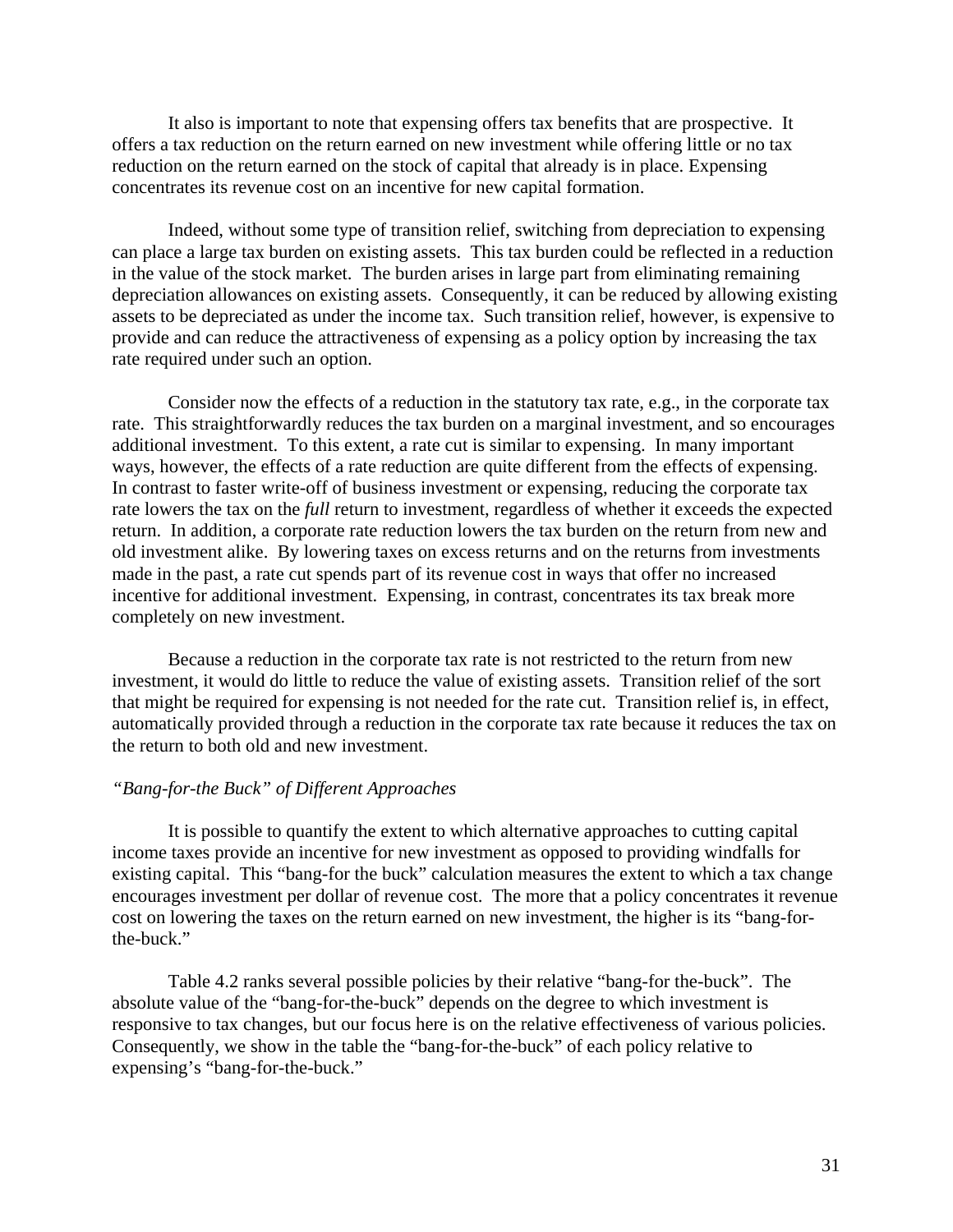It also is important to note that expensing offers tax benefits that are prospective. It offers a tax reduction on the return earned on new investment while offering little or no tax reduction on the return earned on the stock of capital that already is in place. Expensing concentrates its revenue cost on an incentive for new capital formation.

 Indeed, without some type of transition relief, switching from depreciation to expensing can place a large tax burden on existing assets. This tax burden could be reflected in a reduction in the value of the stock market. The burden arises in large part from eliminating remaining depreciation allowances on existing assets. Consequently, it can be reduced by allowing existing assets to be depreciated as under the income tax. Such transition relief, however, is expensive to provide and can reduce the attractiveness of expensing as a policy option by increasing the tax rate required under such an option.

 Consider now the effects of a reduction in the statutory tax rate, e.g., in the corporate tax rate. This straightforwardly reduces the tax burden on a marginal investment, and so encourages additional investment. To this extent, a rate cut is similar to expensing. In many important ways, however, the effects of a rate reduction are quite different from the effects of expensing. In contrast to faster write-off of business investment or expensing, reducing the corporate tax rate lowers the tax on the *full* return to investment, regardless of whether it exceeds the expected return. In addition, a corporate rate reduction lowers the tax burden on the return from new and old investment alike. By lowering taxes on excess returns and on the returns from investments made in the past, a rate cut spends part of its revenue cost in ways that offer no increased incentive for additional investment. Expensing, in contrast, concentrates its tax break more completely on new investment.

 Because a reduction in the corporate tax rate is not restricted to the return from new investment, it would do little to reduce the value of existing assets. Transition relief of the sort that might be required for expensing is not needed for the rate cut. Transition relief is, in effect, automatically provided through a reduction in the corporate tax rate because it reduces the tax on the return to both old and new investment.

## *"Bang-for-the Buck" of Different Approaches*

 It is possible to quantify the extent to which alternative approaches to cutting capital income taxes provide an incentive for new investment as opposed to providing windfalls for existing capital. This "bang-for the buck" calculation measures the extent to which a tax change encourages investment per dollar of revenue cost. The more that a policy concentrates it revenue cost on lowering the taxes on the return earned on new investment, the higher is its "bang-forthe-buck."

 Table 4.2 ranks several possible policies by their relative "bang-for the-buck". The absolute value of the "bang-for-the-buck" depends on the degree to which investment is responsive to tax changes, but our focus here is on the relative effectiveness of various policies. Consequently, we show in the table the "bang-for-the-buck" of each policy relative to expensing's "bang-for-the-buck."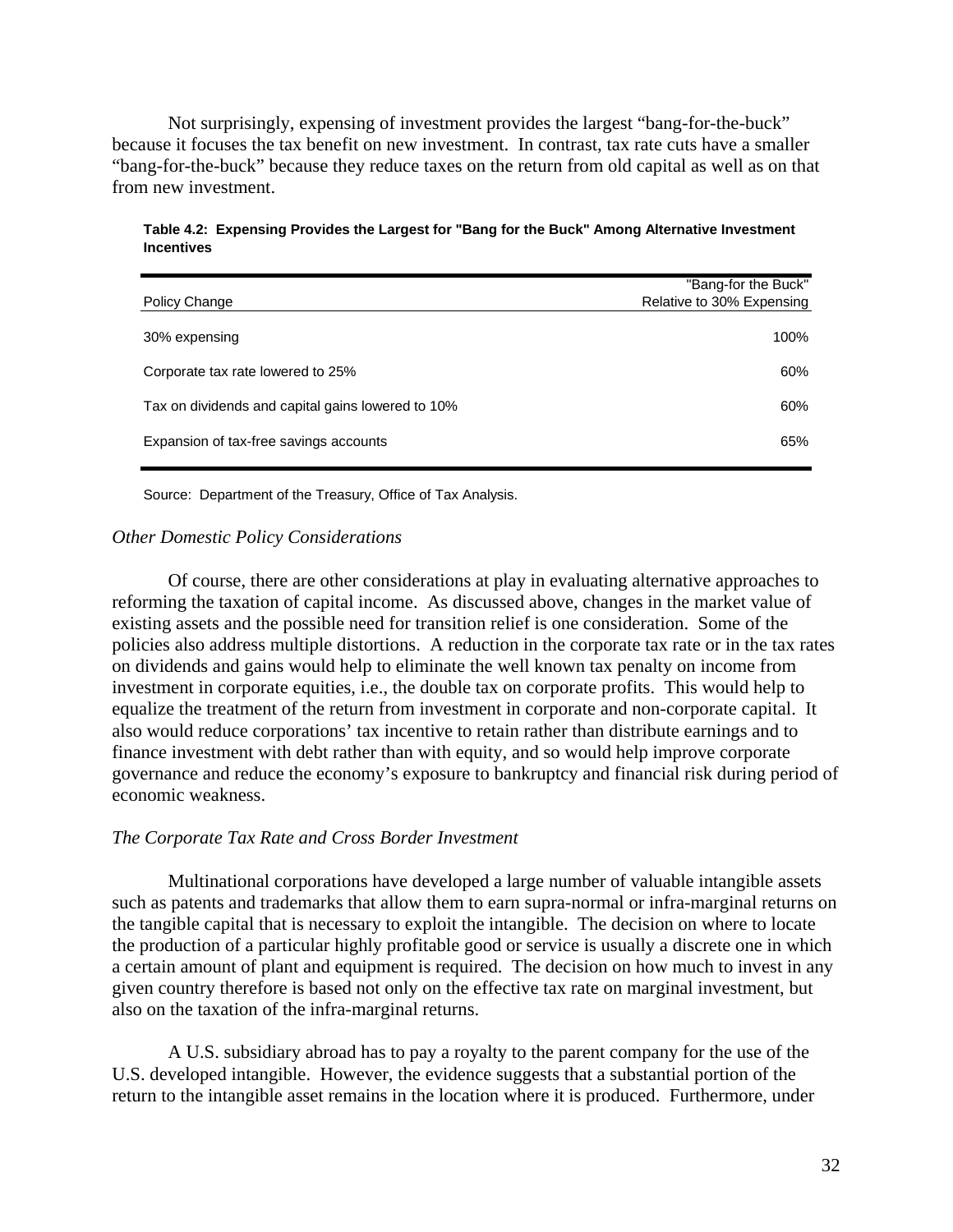Not surprisingly, expensing of investment provides the largest "bang-for-the-buck" because it focuses the tax benefit on new investment. In contrast, tax rate cuts have a smaller "bang-for-the-buck" because they reduce taxes on the return from old capital as well as on that from new investment.

|                                                   | "Bang-for the Buck"       |
|---------------------------------------------------|---------------------------|
| Policy Change                                     | Relative to 30% Expensing |
| 30% expensing                                     | 100%                      |
| Corporate tax rate lowered to 25%                 | 60%                       |
| Tax on dividends and capital gains lowered to 10% | 60%                       |
| Expansion of tax-free savings accounts            | 65%                       |

**Table 4.2: Expensing Provides the Largest for "Bang for the Buck" Among Alternative Investment Incentives**

Source: Department of the Treasury, Office of Tax Analysis.

## *Other Domestic Policy Considerations*

 Of course, there are other considerations at play in evaluating alternative approaches to reforming the taxation of capital income. As discussed above, changes in the market value of existing assets and the possible need for transition relief is one consideration. Some of the policies also address multiple distortions. A reduction in the corporate tax rate or in the tax rates on dividends and gains would help to eliminate the well known tax penalty on income from investment in corporate equities, i.e., the double tax on corporate profits. This would help to equalize the treatment of the return from investment in corporate and non-corporate capital. It also would reduce corporations' tax incentive to retain rather than distribute earnings and to finance investment with debt rather than with equity, and so would help improve corporate governance and reduce the economy's exposure to bankruptcy and financial risk during period of economic weakness.

## *The Corporate Tax Rate and Cross Border Investment*

Multinational corporations have developed a large number of valuable intangible assets such as patents and trademarks that allow them to earn supra-normal or infra-marginal returns on the tangible capital that is necessary to exploit the intangible. The decision on where to locate the production of a particular highly profitable good or service is usually a discrete one in which a certain amount of plant and equipment is required. The decision on how much to invest in any given country therefore is based not only on the effective tax rate on marginal investment, but also on the taxation of the infra-marginal returns.

 A U.S. subsidiary abroad has to pay a royalty to the parent company for the use of the U.S. developed intangible. However, the evidence suggests that a substantial portion of the return to the intangible asset remains in the location where it is produced. Furthermore, under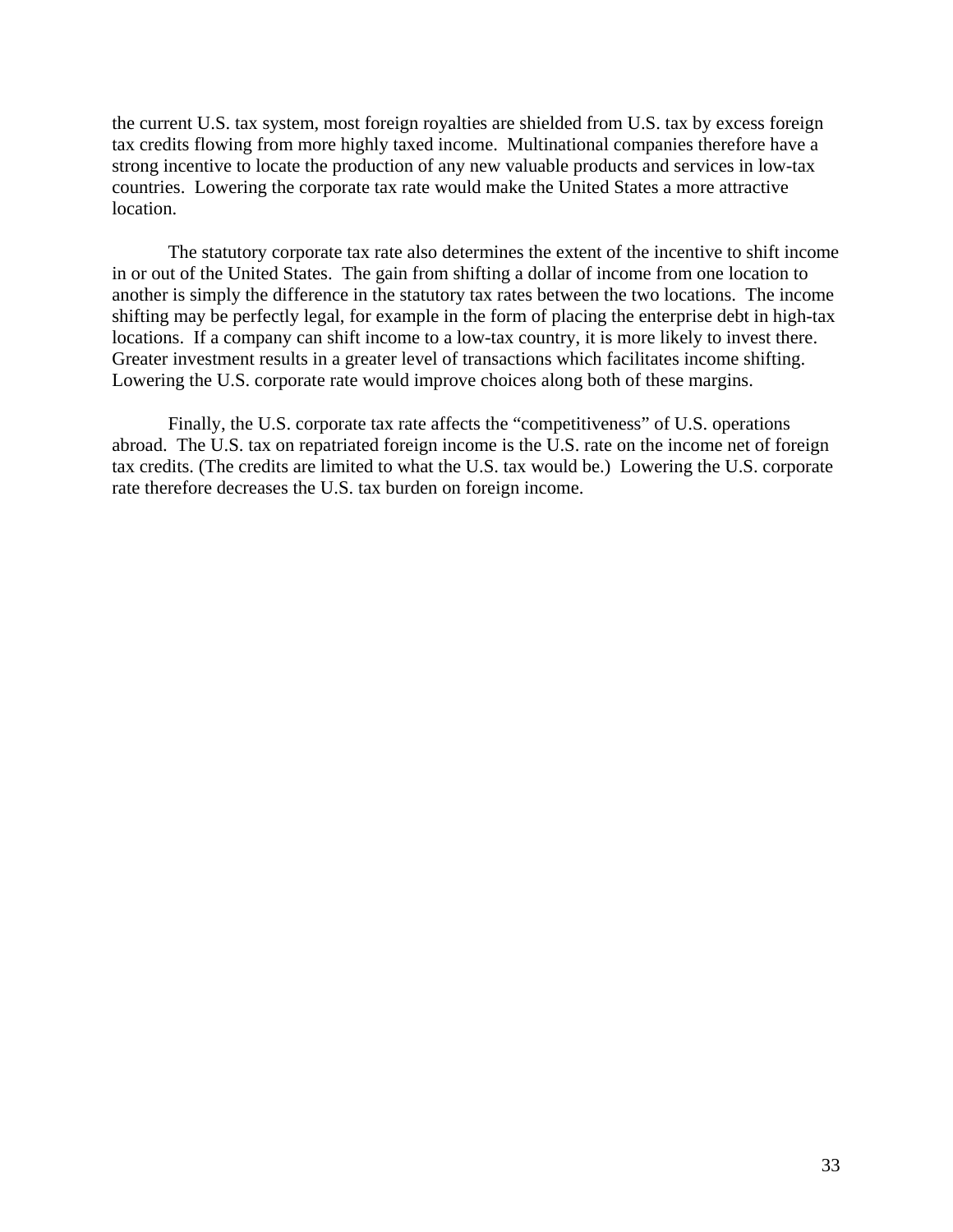the current U.S. tax system, most foreign royalties are shielded from U.S. tax by excess foreign tax credits flowing from more highly taxed income. Multinational companies therefore have a strong incentive to locate the production of any new valuable products and services in low-tax countries. Lowering the corporate tax rate would make the United States a more attractive location.

The statutory corporate tax rate also determines the extent of the incentive to shift income in or out of the United States. The gain from shifting a dollar of income from one location to another is simply the difference in the statutory tax rates between the two locations. The income shifting may be perfectly legal, for example in the form of placing the enterprise debt in high-tax locations. If a company can shift income to a low-tax country, it is more likely to invest there. Greater investment results in a greater level of transactions which facilitates income shifting. Lowering the U.S. corporate rate would improve choices along both of these margins.

Finally, the U.S. corporate tax rate affects the "competitiveness" of U.S. operations abroad. The U.S. tax on repatriated foreign income is the U.S. rate on the income net of foreign tax credits. (The credits are limited to what the U.S. tax would be.) Lowering the U.S. corporate rate therefore decreases the U.S. tax burden on foreign income.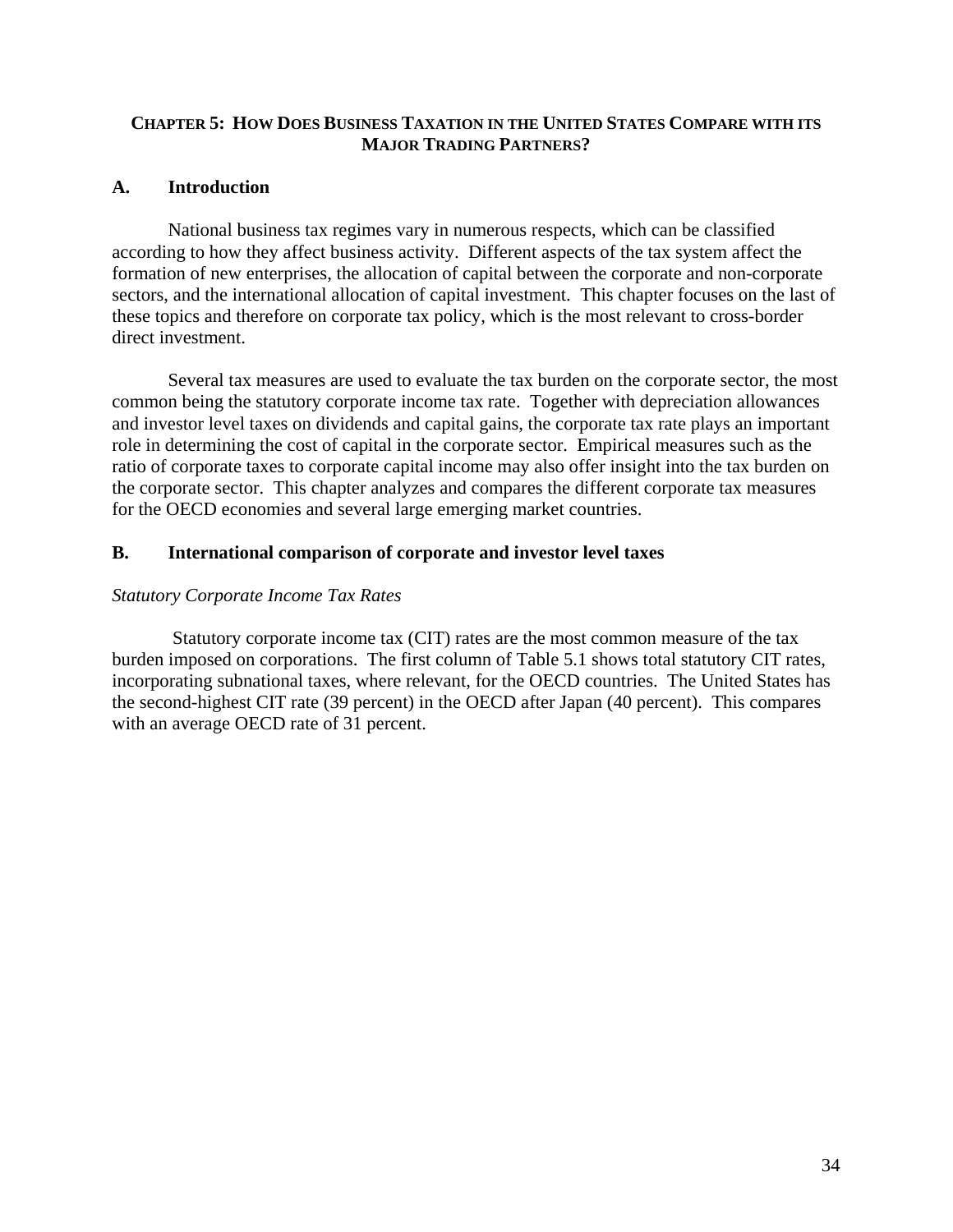## **CHAPTER 5: HOW DOES BUSINESS TAXATION IN THE UNITED STATES COMPARE WITH ITS MAJOR TRADING PARTNERS?**

# **A. Introduction**

National business tax regimes vary in numerous respects, which can be classified according to how they affect business activity. Different aspects of the tax system affect the formation of new enterprises, the allocation of capital between the corporate and non-corporate sectors, and the international allocation of capital investment. This chapter focuses on the last of these topics and therefore on corporate tax policy, which is the most relevant to cross-border direct investment.

Several tax measures are used to evaluate the tax burden on the corporate sector, the most common being the statutory corporate income tax rate. Together with depreciation allowances and investor level taxes on dividends and capital gains, the corporate tax rate plays an important role in determining the cost of capital in the corporate sector. Empirical measures such as the ratio of corporate taxes to corporate capital income may also offer insight into the tax burden on the corporate sector. This chapter analyzes and compares the different corporate tax measures for the OECD economies and several large emerging market countries.

## **B. International comparison of corporate and investor level taxes**

## *Statutory Corporate Income Tax Rates*

Statutory corporate income tax (CIT) rates are the most common measure of the tax burden imposed on corporations. The first column of Table 5.1 shows total statutory CIT rates, incorporating subnational taxes, where relevant, for the OECD countries. The United States has the second-highest CIT rate (39 percent) in the OECD after Japan (40 percent). This compares with an average OECD rate of 31 percent.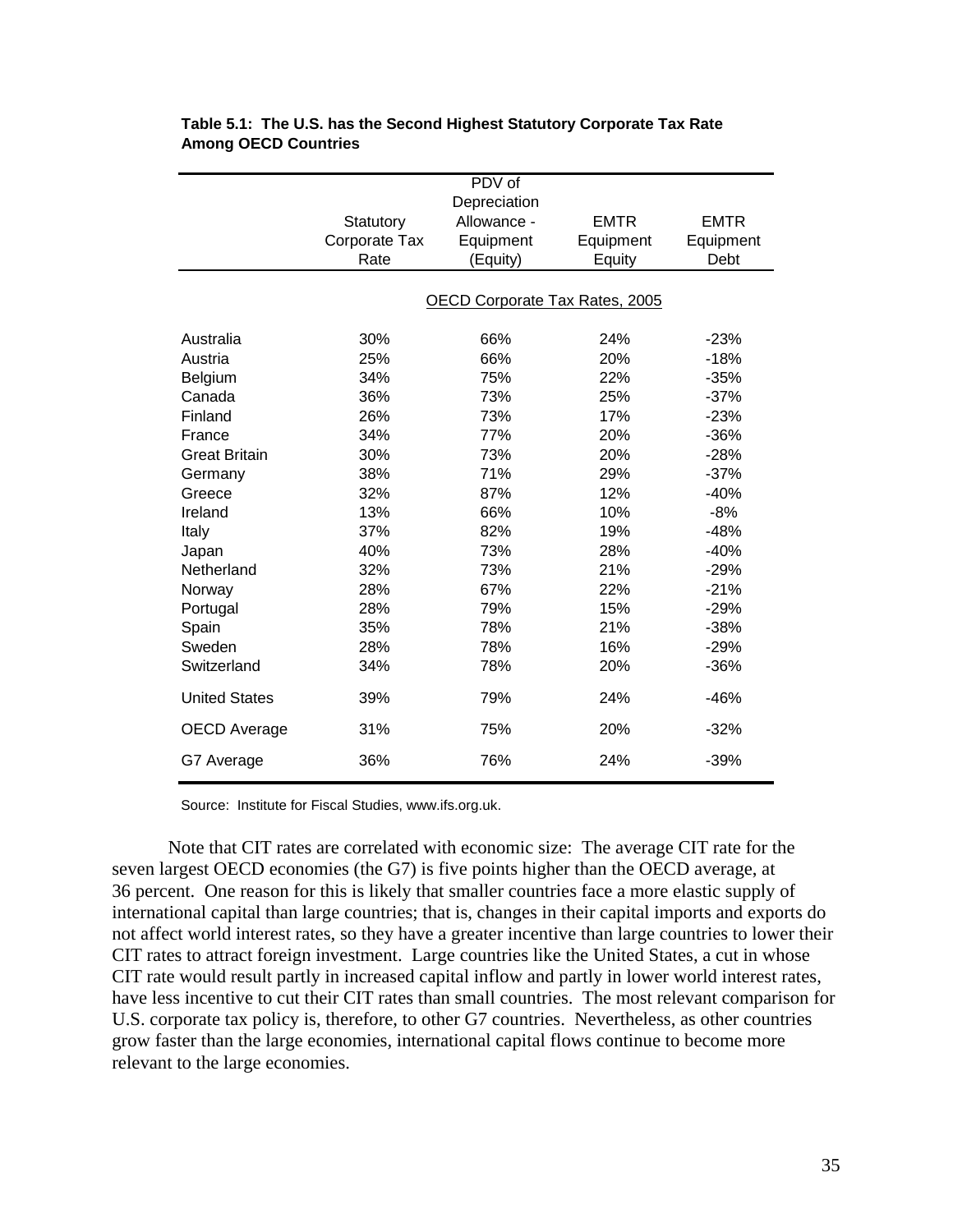|                      |               | PDV of                         |             |             |
|----------------------|---------------|--------------------------------|-------------|-------------|
|                      |               | Depreciation                   |             |             |
|                      | Statutory     | Allowance -                    | <b>EMTR</b> | <b>EMTR</b> |
|                      | Corporate Tax | Equipment                      | Equipment   | Equipment   |
|                      | Rate          | (Equity)                       | Equity      | Debt        |
|                      |               |                                |             |             |
|                      |               | OECD Corporate Tax Rates, 2005 |             |             |
|                      |               |                                |             |             |
| Australia            | 30%           | 66%                            | 24%         | $-23%$      |
| Austria              | 25%           | 66%                            | 20%         | $-18%$      |
| Belgium              | 34%           | 75%                            | 22%         | $-35%$      |
| Canada               | 36%           | 73%                            | 25%         | $-37%$      |
| Finland              | 26%           | 73%                            | 17%         | $-23%$      |
| France               | 34%           | 77%                            | 20%         | $-36%$      |
| <b>Great Britain</b> | 30%           | 73%                            | 20%         | $-28%$      |
| Germany              | 38%           | 71%                            | 29%         | $-37%$      |
| Greece               | 32%           | 87%                            | 12%         | $-40%$      |
| Ireland              | 13%           | 66%                            | 10%         | $-8%$       |
| Italy                | 37%           | 82%                            | 19%         | $-48%$      |
| Japan                | 40%           | 73%                            | 28%         | $-40%$      |
| Netherland           | 32%           | 73%                            | 21%         | $-29%$      |
| Norway               | 28%           | 67%                            | 22%         | $-21%$      |
| Portugal             | 28%           | 79%                            | 15%         | $-29%$      |
| Spain                | 35%           | 78%                            | 21%         | $-38%$      |
| Sweden               | 28%           | 78%                            | 16%         | $-29%$      |
| Switzerland          | 34%           | 78%                            | 20%         | $-36%$      |
| <b>United States</b> | 39%           | 79%                            | 24%         | $-46%$      |
| <b>OECD Average</b>  | 31%           | 75%                            | 20%         | $-32%$      |
| G7 Average           | 36%           | 76%                            | 24%         | $-39%$      |

## **Table 5.1: The U.S. has the Second Highest Statutory Corporate Tax Rate Among OECD Countries**

Source: Institute for Fiscal Studies, www.ifs.org.uk.

Note that CIT rates are correlated with economic size: The average CIT rate for the seven largest OECD economies (the G7) is five points higher than the OECD average, at 36 percent. One reason for this is likely that smaller countries face a more elastic supply of international capital than large countries; that is, changes in their capital imports and exports do not affect world interest rates, so they have a greater incentive than large countries to lower their CIT rates to attract foreign investment. Large countries like the United States, a cut in whose CIT rate would result partly in increased capital inflow and partly in lower world interest rates, have less incentive to cut their CIT rates than small countries. The most relevant comparison for U.S. corporate tax policy is, therefore, to other G7 countries. Nevertheless, as other countries grow faster than the large economies, international capital flows continue to become more relevant to the large economies.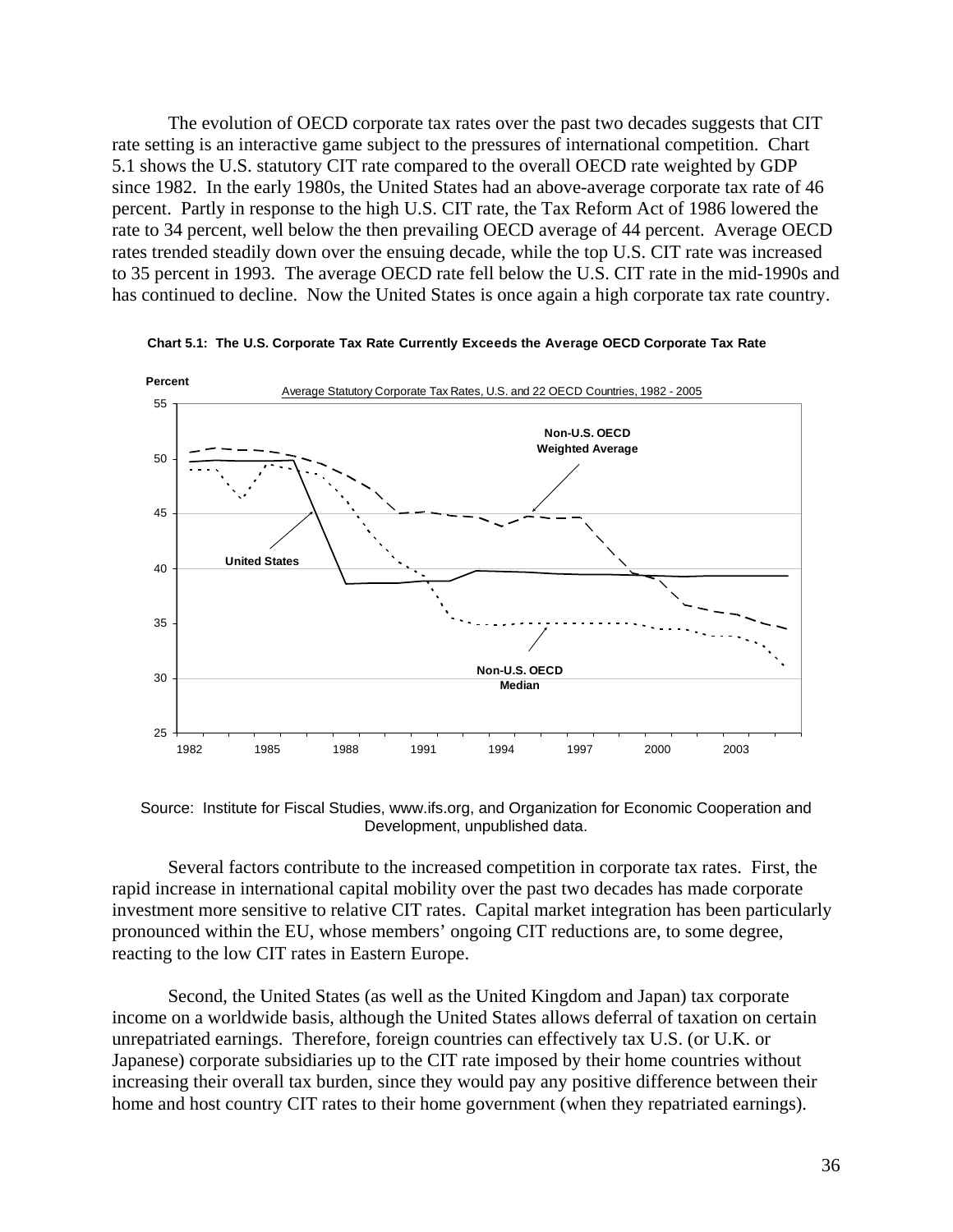The evolution of OECD corporate tax rates over the past two decades suggests that CIT rate setting is an interactive game subject to the pressures of international competition. Chart 5.1 shows the U.S. statutory CIT rate compared to the overall OECD rate weighted by GDP since 1982. In the early 1980s, the United States had an above-average corporate tax rate of 46 percent. Partly in response to the high U.S. CIT rate, the Tax Reform Act of 1986 lowered the rate to 34 percent, well below the then prevailing OECD average of 44 percent. Average OECD rates trended steadily down over the ensuing decade, while the top U.S. CIT rate was increased to 35 percent in 1993. The average OECD rate fell below the U.S. CIT rate in the mid-1990s and has continued to decline. Now the United States is once again a high corporate tax rate country.



**Chart 5.1: The U.S. Corporate Tax Rate Currently Exceeds the Average OECD Corporate Tax Rate** 

Source: Institute for Fiscal Studies, www.ifs.org, and Organization for Economic Cooperation and Development, unpublished data.

Several factors contribute to the increased competition in corporate tax rates. First, the rapid increase in international capital mobility over the past two decades has made corporate investment more sensitive to relative CIT rates. Capital market integration has been particularly pronounced within the EU, whose members' ongoing CIT reductions are, to some degree, reacting to the low CIT rates in Eastern Europe.

Second, the United States (as well as the United Kingdom and Japan) tax corporate income on a worldwide basis, although the United States allows deferral of taxation on certain unrepatriated earnings. Therefore, foreign countries can effectively tax U.S. (or U.K. or Japanese) corporate subsidiaries up to the CIT rate imposed by their home countries without increasing their overall tax burden, since they would pay any positive difference between their home and host country CIT rates to their home government (when they repatriated earnings).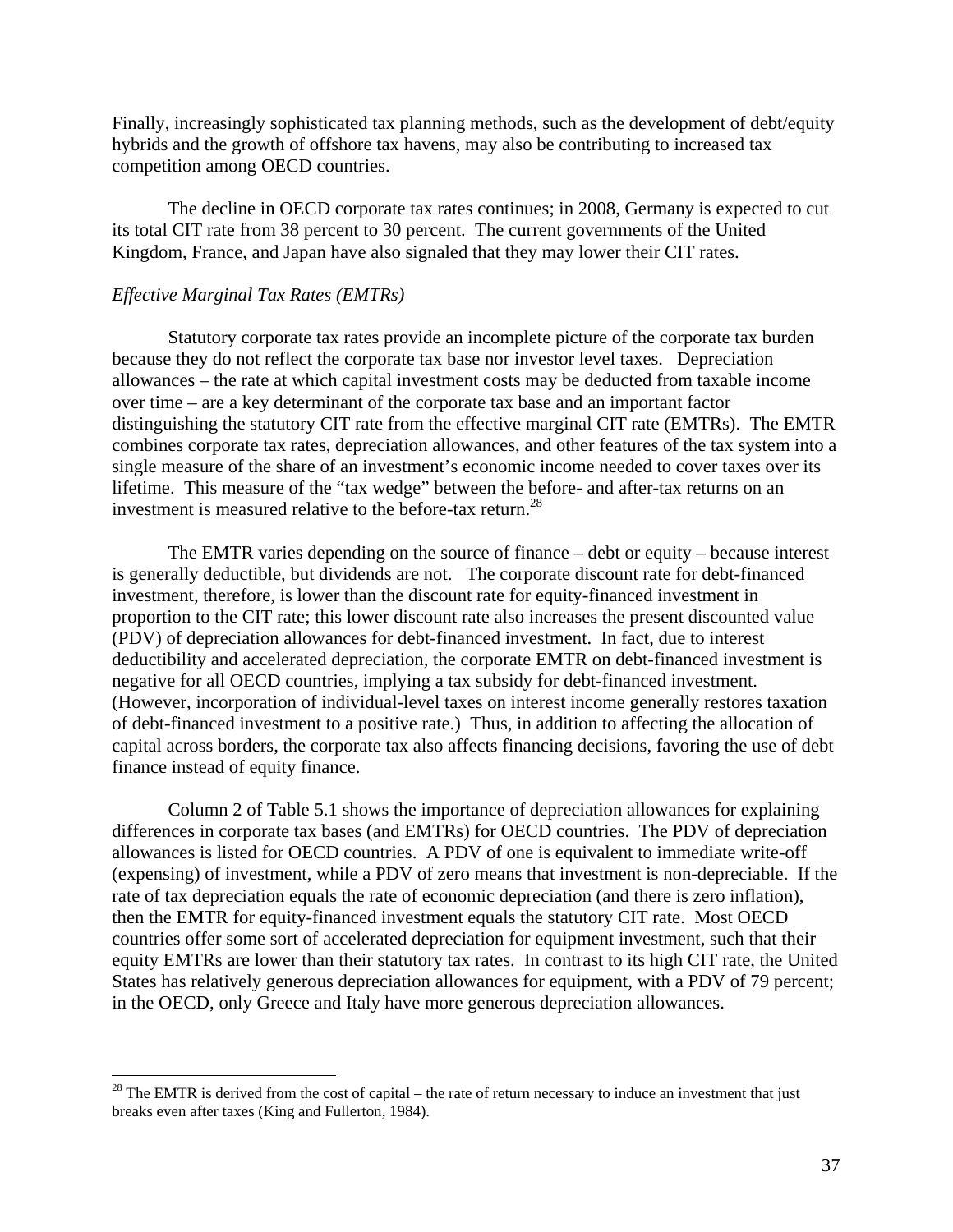Finally, increasingly sophisticated tax planning methods, such as the development of debt/equity hybrids and the growth of offshore tax havens, may also be contributing to increased tax competition among OECD countries.

The decline in OECD corporate tax rates continues; in 2008, Germany is expected to cut its total CIT rate from 38 percent to 30 percent. The current governments of the United Kingdom, France, and Japan have also signaled that they may lower their CIT rates.

#### *Effective Marginal Tax Rates (EMTRs)*

1

Statutory corporate tax rates provide an incomplete picture of the corporate tax burden because they do not reflect the corporate tax base nor investor level taxes. Depreciation allowances – the rate at which capital investment costs may be deducted from taxable income over time – are a key determinant of the corporate tax base and an important factor distinguishing the statutory CIT rate from the effective marginal CIT rate (EMTRs). The EMTR combines corporate tax rates, depreciation allowances, and other features of the tax system into a single measure of the share of an investment's economic income needed to cover taxes over its lifetime. This measure of the "tax wedge" between the before- and after-tax returns on an investment is measured relative to the before-tax return.<sup>28</sup>

The EMTR varies depending on the source of finance – debt or equity – because interest is generally deductible, but dividends are not. The corporate discount rate for debt-financed investment, therefore, is lower than the discount rate for equity-financed investment in proportion to the CIT rate; this lower discount rate also increases the present discounted value (PDV) of depreciation allowances for debt-financed investment. In fact, due to interest deductibility and accelerated depreciation, the corporate EMTR on debt-financed investment is negative for all OECD countries, implying a tax subsidy for debt-financed investment. (However, incorporation of individual-level taxes on interest income generally restores taxation of debt-financed investment to a positive rate.) Thus, in addition to affecting the allocation of capital across borders, the corporate tax also affects financing decisions, favoring the use of debt finance instead of equity finance.

Column 2 of Table 5.1 shows the importance of depreciation allowances for explaining differences in corporate tax bases (and EMTRs) for OECD countries. The PDV of depreciation allowances is listed for OECD countries. A PDV of one is equivalent to immediate write-off (expensing) of investment, while a PDV of zero means that investment is non-depreciable. If the rate of tax depreciation equals the rate of economic depreciation (and there is zero inflation), then the EMTR for equity-financed investment equals the statutory CIT rate. Most OECD countries offer some sort of accelerated depreciation for equipment investment, such that their equity EMTRs are lower than their statutory tax rates. In contrast to its high CIT rate, the United States has relatively generous depreciation allowances for equipment, with a PDV of 79 percent; in the OECD, only Greece and Italy have more generous depreciation allowances.

 $28$  The EMTR is derived from the cost of capital – the rate of return necessary to induce an investment that just breaks even after taxes (King and Fullerton, 1984).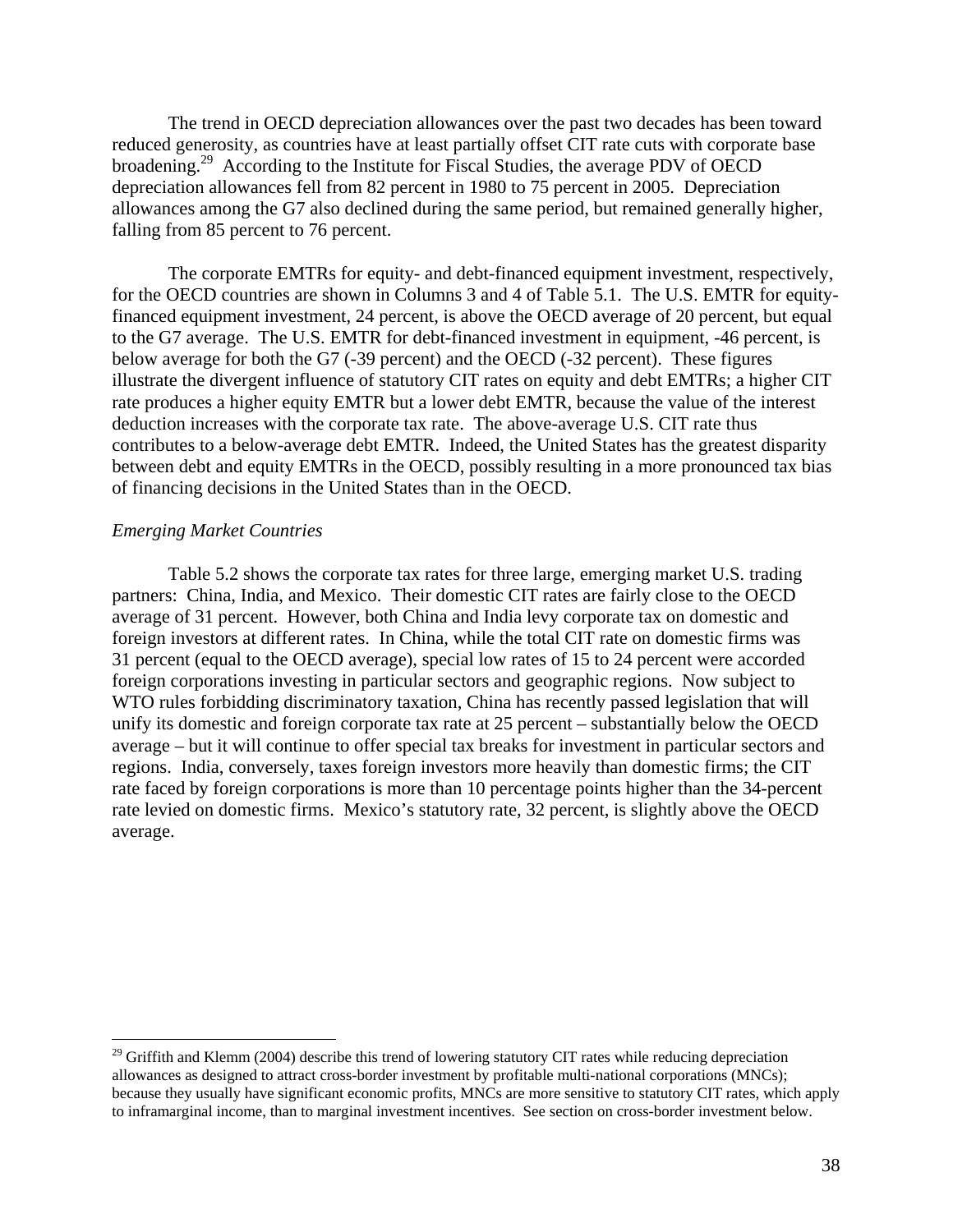The trend in OECD depreciation allowances over the past two decades has been toward reduced generosity, as countries have at least partially offset CIT rate cuts with corporate base broadening.<sup>29</sup> According to the Institute for Fiscal Studies, the average PDV of OECD depreciation allowances fell from 82 percent in 1980 to 75 percent in 2005. Depreciation allowances among the G7 also declined during the same period, but remained generally higher, falling from 85 percent to 76 percent.

The corporate EMTRs for equity- and debt-financed equipment investment, respectively, for the OECD countries are shown in Columns 3 and 4 of Table 5.1. The U.S. EMTR for equityfinanced equipment investment, 24 percent, is above the OECD average of 20 percent, but equal to the G7 average. The U.S. EMTR for debt-financed investment in equipment, -46 percent, is below average for both the G7 (-39 percent) and the OECD (-32 percent). These figures illustrate the divergent influence of statutory CIT rates on equity and debt EMTRs; a higher CIT rate produces a higher equity EMTR but a lower debt EMTR, because the value of the interest deduction increases with the corporate tax rate. The above-average U.S. CIT rate thus contributes to a below-average debt EMTR. Indeed, the United States has the greatest disparity between debt and equity EMTRs in the OECD, possibly resulting in a more pronounced tax bias of financing decisions in the United States than in the OECD.

#### *Emerging Market Countries*

 $\overline{a}$ 

Table 5.2 shows the corporate tax rates for three large, emerging market U.S. trading partners: China, India, and Mexico. Their domestic CIT rates are fairly close to the OECD average of 31 percent. However, both China and India levy corporate tax on domestic and foreign investors at different rates. In China, while the total CIT rate on domestic firms was 31 percent (equal to the OECD average), special low rates of 15 to 24 percent were accorded foreign corporations investing in particular sectors and geographic regions. Now subject to WTO rules forbidding discriminatory taxation, China has recently passed legislation that will unify its domestic and foreign corporate tax rate at 25 percent – substantially below the OECD average – but it will continue to offer special tax breaks for investment in particular sectors and regions. India, conversely, taxes foreign investors more heavily than domestic firms; the CIT rate faced by foreign corporations is more than 10 percentage points higher than the 34-percent rate levied on domestic firms. Mexico's statutory rate, 32 percent, is slightly above the OECD average.

 $^{29}$  Griffith and Klemm (2004) describe this trend of lowering statutory CIT rates while reducing depreciation allowances as designed to attract cross-border investment by profitable multi-national corporations (MNCs); because they usually have significant economic profits, MNCs are more sensitive to statutory CIT rates, which apply to inframarginal income, than to marginal investment incentives. See section on cross-border investment below.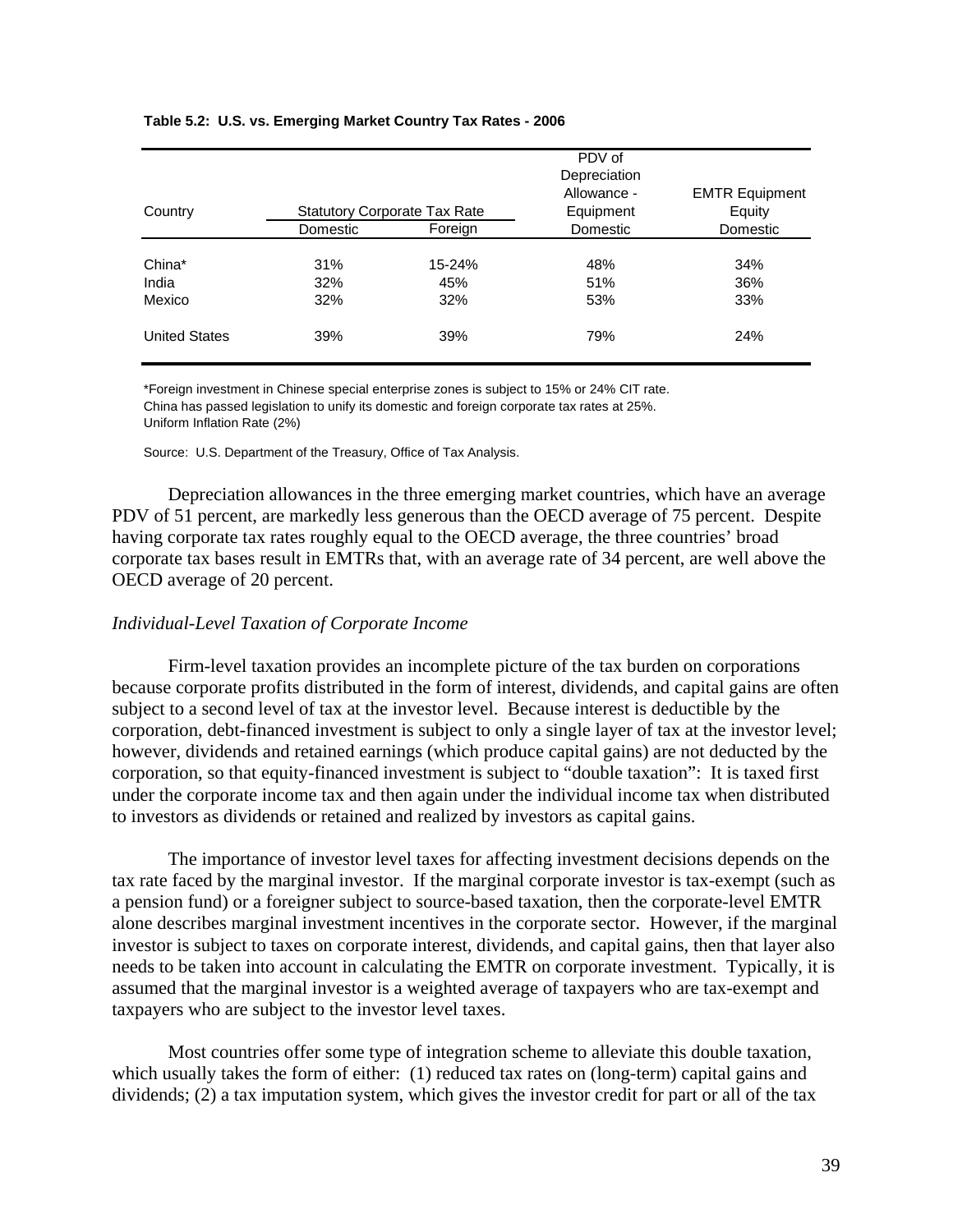| Country              | <b>Statutory Corporate Tax Rate</b> |               | PDV of<br>Depreciation<br>Allowance -<br>Equipment | <b>EMTR Equipment</b><br>Equity |  |
|----------------------|-------------------------------------|---------------|----------------------------------------------------|---------------------------------|--|
|                      | Domestic                            | Foreign       | Domestic                                           | Domestic                        |  |
| China*<br>India      | 31%<br>32%                          | 15-24%<br>45% | 48%<br>51%                                         | 34%<br>36%                      |  |
| Mexico               | 32%                                 | 32%           | 53%                                                | 33%                             |  |
| <b>United States</b> | 39%                                 | 39%           | 79%                                                | 24%                             |  |

#### **Table 5.2: U.S. vs. Emerging Market Country Tax Rates - 2006**

\*Foreign investment in Chinese special enterprise zones is subject to 15% or 24% CIT rate. China has passed legislation to unify its domestic and foreign corporate tax rates at 25%. Uniform Inflation Rate (2%)

Source: U.S. Department of the Treasury, Office of Tax Analysis.

Depreciation allowances in the three emerging market countries, which have an average PDV of 51 percent, are markedly less generous than the OECD average of 75 percent. Despite having corporate tax rates roughly equal to the OECD average, the three countries' broad corporate tax bases result in EMTRs that, with an average rate of 34 percent, are well above the OECD average of 20 percent.

#### *Individual-Level Taxation of Corporate Income*

Firm-level taxation provides an incomplete picture of the tax burden on corporations because corporate profits distributed in the form of interest, dividends, and capital gains are often subject to a second level of tax at the investor level. Because interest is deductible by the corporation, debt-financed investment is subject to only a single layer of tax at the investor level; however, dividends and retained earnings (which produce capital gains) are not deducted by the corporation, so that equity-financed investment is subject to "double taxation": It is taxed first under the corporate income tax and then again under the individual income tax when distributed to investors as dividends or retained and realized by investors as capital gains.

The importance of investor level taxes for affecting investment decisions depends on the tax rate faced by the marginal investor. If the marginal corporate investor is tax-exempt (such as a pension fund) or a foreigner subject to source-based taxation, then the corporate-level EMTR alone describes marginal investment incentives in the corporate sector. However, if the marginal investor is subject to taxes on corporate interest, dividends, and capital gains, then that layer also needs to be taken into account in calculating the EMTR on corporate investment. Typically, it is assumed that the marginal investor is a weighted average of taxpayers who are tax-exempt and taxpayers who are subject to the investor level taxes.

Most countries offer some type of integration scheme to alleviate this double taxation, which usually takes the form of either: (1) reduced tax rates on (long-term) capital gains and dividends; (2) a tax imputation system, which gives the investor credit for part or all of the tax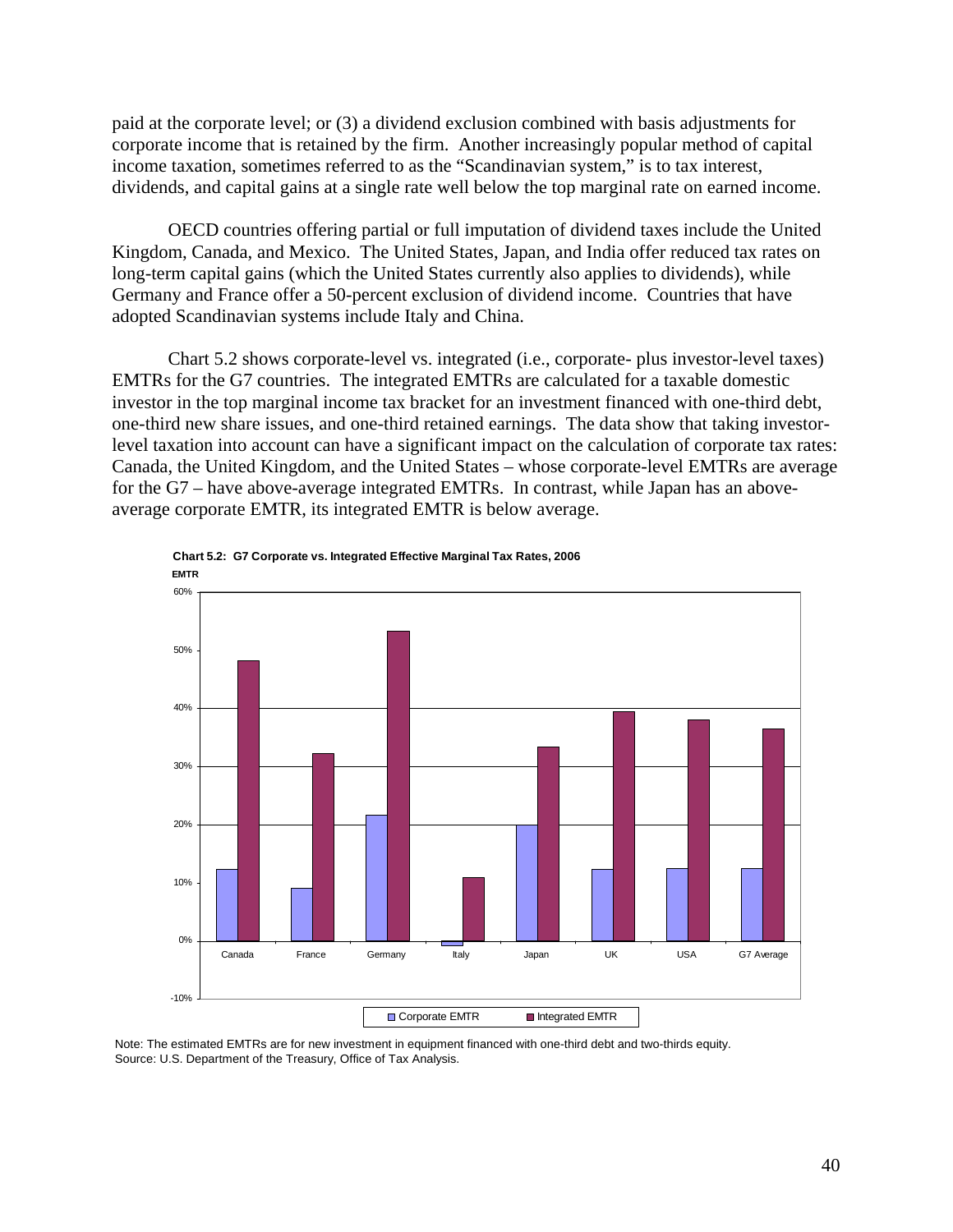paid at the corporate level; or (3) a dividend exclusion combined with basis adjustments for corporate income that is retained by the firm. Another increasingly popular method of capital income taxation, sometimes referred to as the "Scandinavian system," is to tax interest, dividends, and capital gains at a single rate well below the top marginal rate on earned income.

OECD countries offering partial or full imputation of dividend taxes include the United Kingdom, Canada, and Mexico. The United States, Japan, and India offer reduced tax rates on long-term capital gains (which the United States currently also applies to dividends), while Germany and France offer a 50-percent exclusion of dividend income. Countries that have adopted Scandinavian systems include Italy and China.

Chart 5.2 shows corporate-level vs. integrated (i.e., corporate- plus investor-level taxes) EMTRs for the G7 countries. The integrated EMTRs are calculated for a taxable domestic investor in the top marginal income tax bracket for an investment financed with one-third debt, one-third new share issues, and one-third retained earnings. The data show that taking investorlevel taxation into account can have a significant impact on the calculation of corporate tax rates: Canada, the United Kingdom, and the United States – whose corporate-level EMTRs are average for the G7 – have above-average integrated EMTRs. In contrast, while Japan has an aboveaverage corporate EMTR, its integrated EMTR is below average.





Note: The estimated EMTRs are for new investment in equipment financed with one-third debt and two-thirds equity. Source: U.S. Department of the Treasury, Office of Tax Analysis.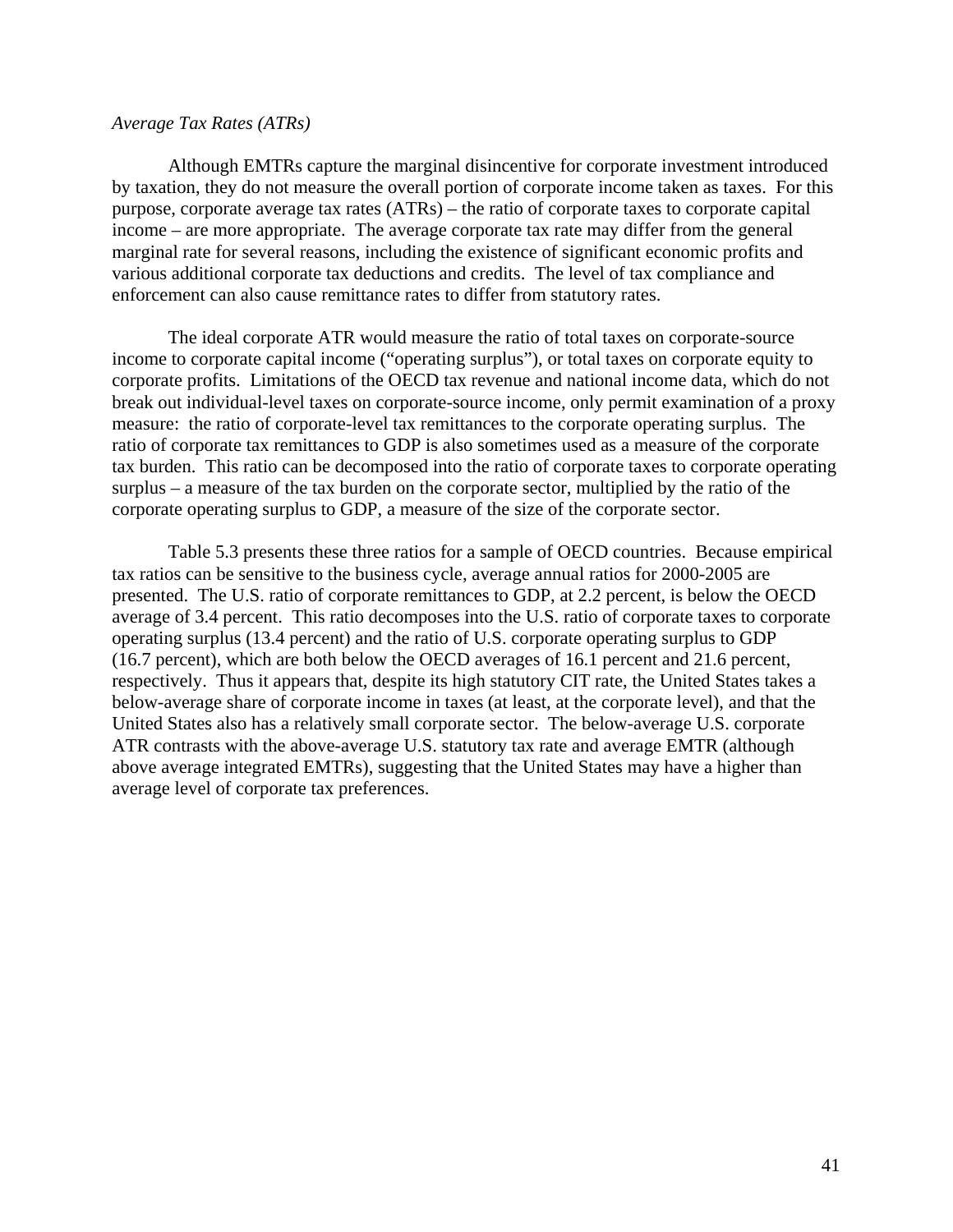#### *Average Tax Rates (ATRs)*

Although EMTRs capture the marginal disincentive for corporate investment introduced by taxation, they do not measure the overall portion of corporate income taken as taxes. For this purpose, corporate average tax rates (ATRs) – the ratio of corporate taxes to corporate capital income – are more appropriate. The average corporate tax rate may differ from the general marginal rate for several reasons, including the existence of significant economic profits and various additional corporate tax deductions and credits. The level of tax compliance and enforcement can also cause remittance rates to differ from statutory rates.

The ideal corporate ATR would measure the ratio of total taxes on corporate-source income to corporate capital income ("operating surplus"), or total taxes on corporate equity to corporate profits. Limitations of the OECD tax revenue and national income data, which do not break out individual-level taxes on corporate-source income, only permit examination of a proxy measure: the ratio of corporate-level tax remittances to the corporate operating surplus. The ratio of corporate tax remittances to GDP is also sometimes used as a measure of the corporate tax burden. This ratio can be decomposed into the ratio of corporate taxes to corporate operating surplus – a measure of the tax burden on the corporate sector, multiplied by the ratio of the corporate operating surplus to GDP, a measure of the size of the corporate sector.

Table 5.3 presents these three ratios for a sample of OECD countries. Because empirical tax ratios can be sensitive to the business cycle, average annual ratios for 2000-2005 are presented. The U.S. ratio of corporate remittances to GDP, at 2.2 percent, is below the OECD average of 3.4 percent. This ratio decomposes into the U.S. ratio of corporate taxes to corporate operating surplus (13.4 percent) and the ratio of U.S. corporate operating surplus to GDP (16.7 percent), which are both below the OECD averages of 16.1 percent and 21.6 percent, respectively. Thus it appears that, despite its high statutory CIT rate, the United States takes a below-average share of corporate income in taxes (at least, at the corporate level), and that the United States also has a relatively small corporate sector. The below-average U.S. corporate ATR contrasts with the above-average U.S. statutory tax rate and average EMTR (although above average integrated EMTRs), suggesting that the United States may have a higher than average level of corporate tax preferences.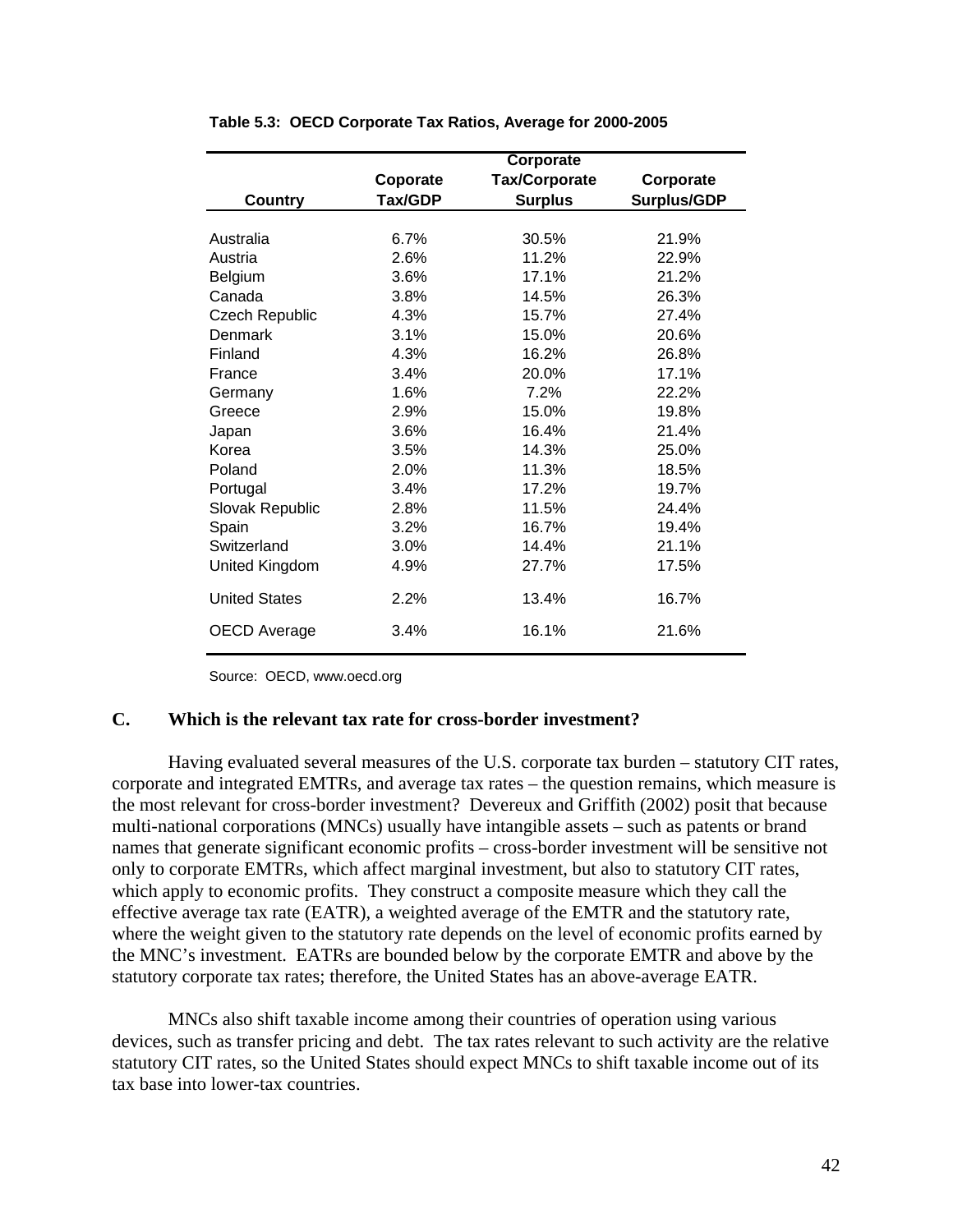|                       | Corporate |                      |                    |  |  |
|-----------------------|-----------|----------------------|--------------------|--|--|
|                       | Coporate  | <b>Tax/Corporate</b> | Corporate          |  |  |
| <b>Country</b>        | Tax/GDP   | <b>Surplus</b>       | <b>Surplus/GDP</b> |  |  |
|                       |           |                      |                    |  |  |
| Australia             | 6.7%      | 30.5%                | 21.9%              |  |  |
| Austria               | 2.6%      | 11.2%                | 22.9%              |  |  |
| <b>Belgium</b>        | 3.6%      | 17.1%                | 21.2%              |  |  |
| Canada                | 3.8%      | 14.5%                | 26.3%              |  |  |
| <b>Czech Republic</b> | 4.3%      | 15.7%                | 27.4%              |  |  |
| Denmark               | 3.1%      | 15.0%                | 20.6%              |  |  |
| Finland               | 4.3%      | 16.2%                | 26.8%              |  |  |
| France                | 3.4%      | 20.0%                | 17.1%              |  |  |
| Germany               | 1.6%      | 7.2%                 | 22.2%              |  |  |
| Greece                | 2.9%      | 15.0%                | 19.8%              |  |  |
| Japan                 | 3.6%      | 16.4%                | 21.4%              |  |  |
| Korea                 | 3.5%      | 14.3%                | 25.0%              |  |  |
| Poland                | 2.0%      | 11.3%                | 18.5%              |  |  |
| Portugal              | 3.4%      | 17.2%                | 19.7%              |  |  |
| Slovak Republic       | 2.8%      | 11.5%                | 24.4%              |  |  |
| Spain                 | 3.2%      | 16.7%                | 19.4%              |  |  |
| Switzerland           | 3.0%      | 14.4%                | 21.1%              |  |  |
| United Kingdom        | 4.9%      | 27.7%                | 17.5%              |  |  |
| <b>United States</b>  | 2.2%      | 13.4%                | 16.7%              |  |  |
| OECD Average          | 3.4%      | 16.1%                | 21.6%              |  |  |

#### **Table 5.3: OECD Corporate Tax Ratios, Average for 2000-2005**

Source: OECD, www.oecd.org

#### **C. Which is the relevant tax rate for cross-border investment?**

Having evaluated several measures of the U.S. corporate tax burden – statutory CIT rates, corporate and integrated EMTRs, and average tax rates – the question remains, which measure is the most relevant for cross-border investment? Devereux and Griffith (2002) posit that because multi-national corporations (MNCs) usually have intangible assets – such as patents or brand names that generate significant economic profits – cross-border investment will be sensitive not only to corporate EMTRs, which affect marginal investment, but also to statutory CIT rates, which apply to economic profits. They construct a composite measure which they call the effective average tax rate (EATR), a weighted average of the EMTR and the statutory rate, where the weight given to the statutory rate depends on the level of economic profits earned by the MNC's investment. EATRs are bounded below by the corporate EMTR and above by the statutory corporate tax rates; therefore, the United States has an above-average EATR.

MNCs also shift taxable income among their countries of operation using various devices, such as transfer pricing and debt. The tax rates relevant to such activity are the relative statutory CIT rates, so the United States should expect MNCs to shift taxable income out of its tax base into lower-tax countries.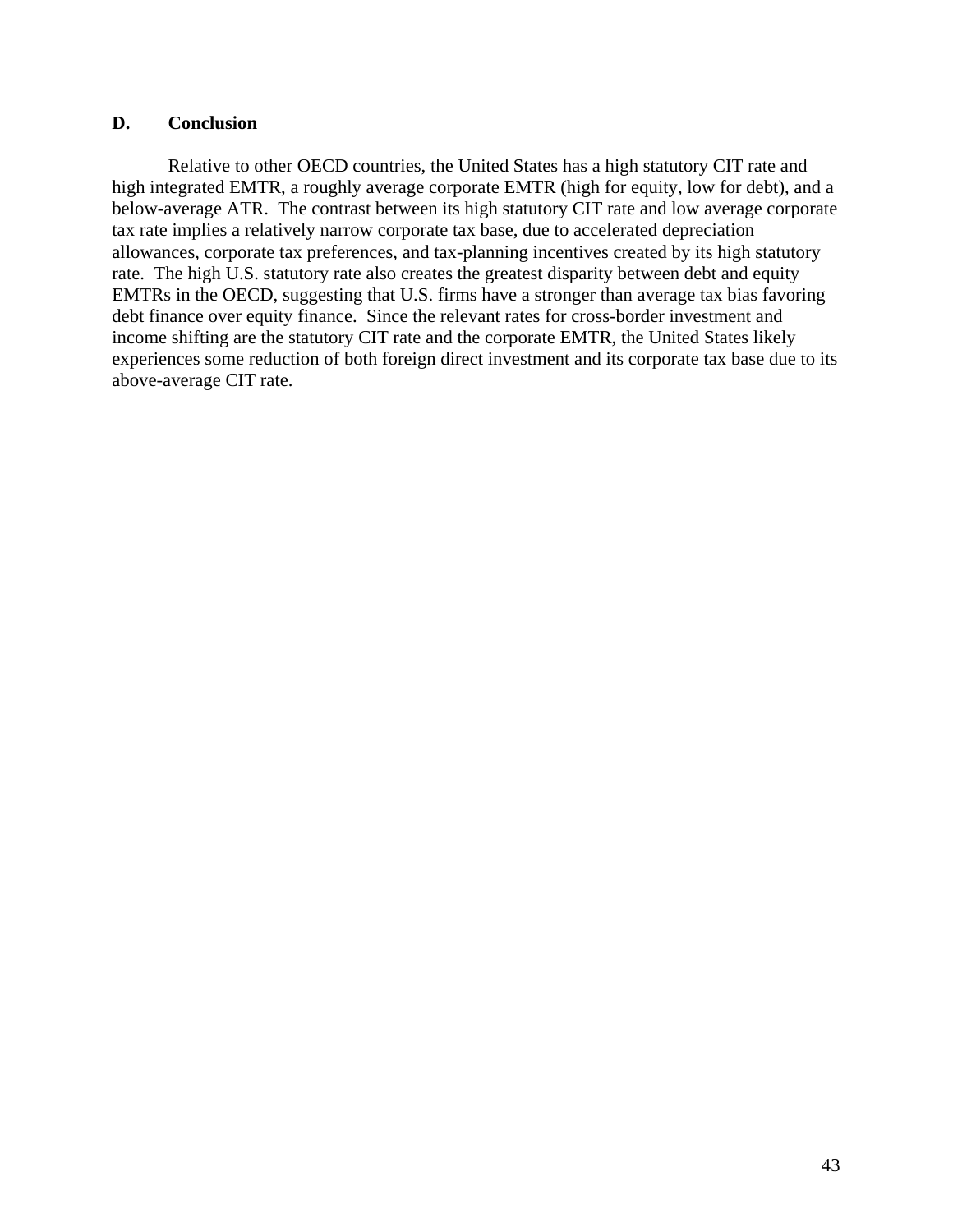## **D. Conclusion**

Relative to other OECD countries, the United States has a high statutory CIT rate and high integrated EMTR, a roughly average corporate EMTR (high for equity, low for debt), and a below-average ATR. The contrast between its high statutory CIT rate and low average corporate tax rate implies a relatively narrow corporate tax base, due to accelerated depreciation allowances, corporate tax preferences, and tax-planning incentives created by its high statutory rate. The high U.S. statutory rate also creates the greatest disparity between debt and equity EMTRs in the OECD, suggesting that U.S. firms have a stronger than average tax bias favoring debt finance over equity finance. Since the relevant rates for cross-border investment and income shifting are the statutory CIT rate and the corporate EMTR, the United States likely experiences some reduction of both foreign direct investment and its corporate tax base due to its above-average CIT rate.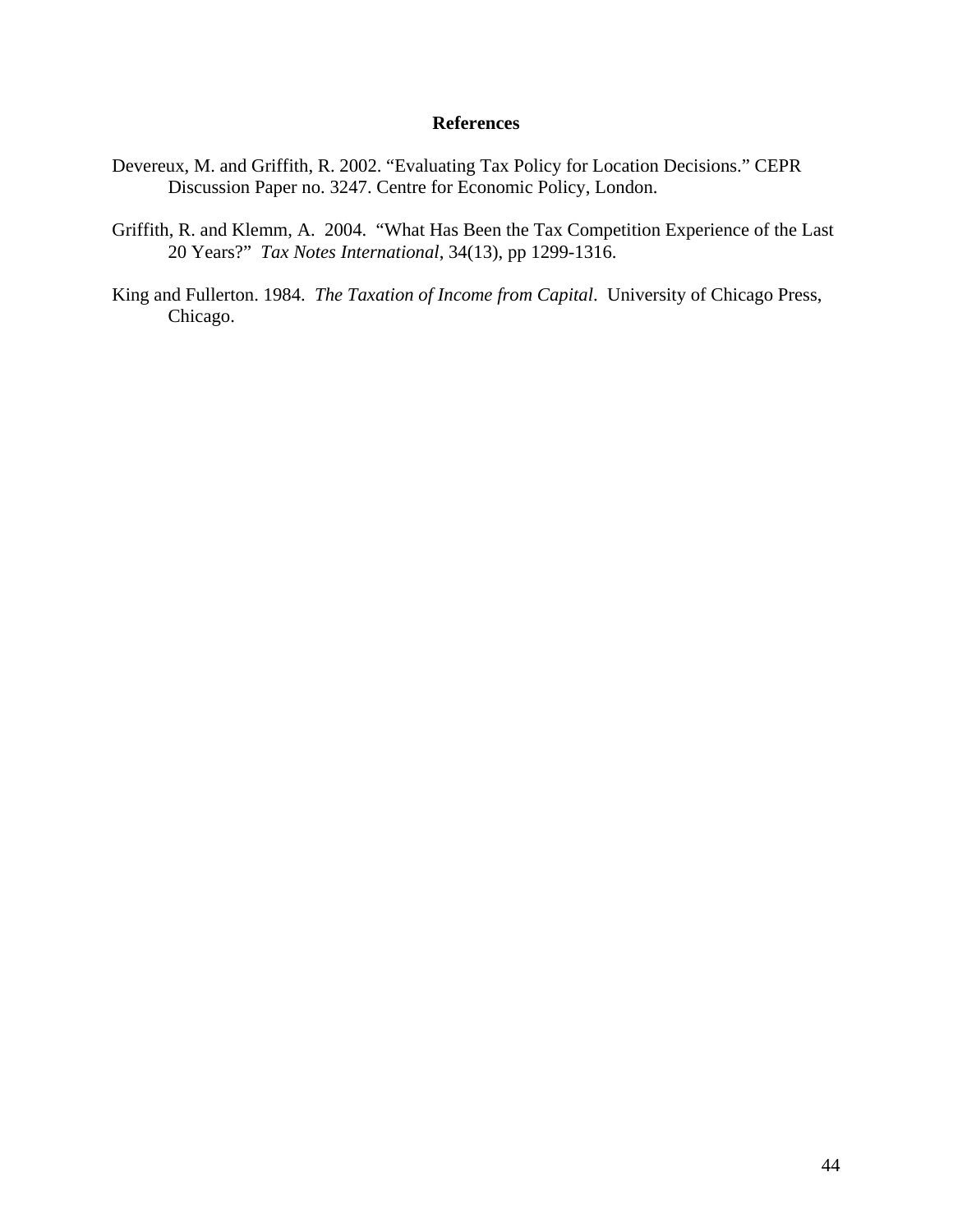## **References**

- Devereux, M. and Griffith, R. 2002. "Evaluating Tax Policy for Location Decisions." CEPR Discussion Paper no. 3247. Centre for Economic Policy, London.
- Griffith, R. and Klemm, A. 2004. "What Has Been the Tax Competition Experience of the Last 20 Years?" *Tax Notes International*, 34(13), pp 1299-1316.
- King and Fullerton. 1984. *The Taxation of Income from Capital*. University of Chicago Press, Chicago.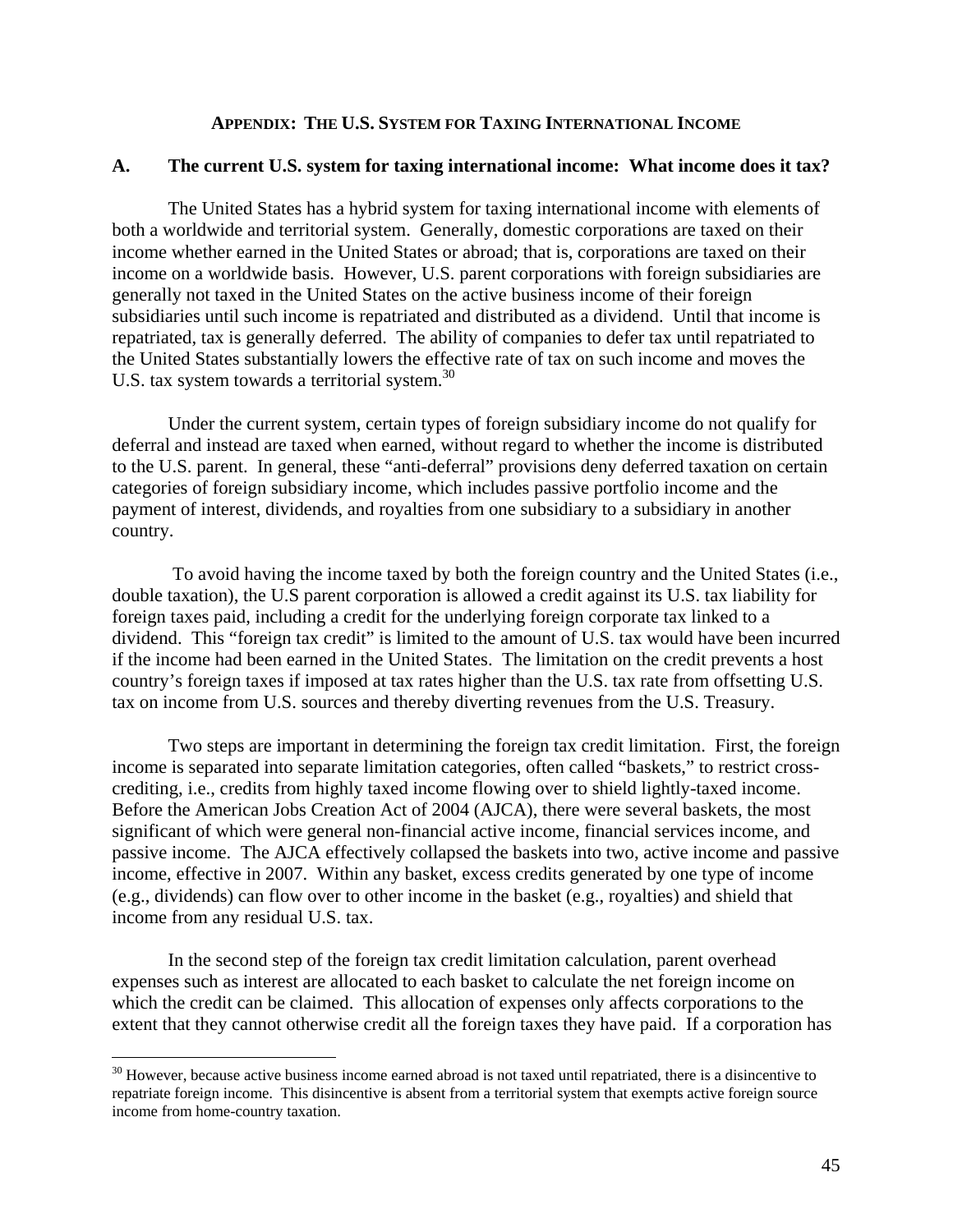## **APPENDIX: THE U.S. SYSTEM FOR TAXING INTERNATIONAL INCOME**

#### **A. The current U.S. system for taxing international income: What income does it tax?**

The United States has a hybrid system for taxing international income with elements of both a worldwide and territorial system. Generally, domestic corporations are taxed on their income whether earned in the United States or abroad; that is, corporations are taxed on their income on a worldwide basis. However, U.S. parent corporations with foreign subsidiaries are generally not taxed in the United States on the active business income of their foreign subsidiaries until such income is repatriated and distributed as a dividend. Until that income is repatriated, tax is generally deferred. The ability of companies to defer tax until repatriated to the United States substantially lowers the effective rate of tax on such income and moves the U.S. tax system towards a territorial system.<sup>30</sup>

Under the current system, certain types of foreign subsidiary income do not qualify for deferral and instead are taxed when earned, without regard to whether the income is distributed to the U.S. parent. In general, these "anti-deferral" provisions deny deferred taxation on certain categories of foreign subsidiary income, which includes passive portfolio income and the payment of interest, dividends, and royalties from one subsidiary to a subsidiary in another country.

 To avoid having the income taxed by both the foreign country and the United States (i.e., double taxation), the U.S parent corporation is allowed a credit against its U.S. tax liability for foreign taxes paid, including a credit for the underlying foreign corporate tax linked to a dividend. This "foreign tax credit" is limited to the amount of U.S. tax would have been incurred if the income had been earned in the United States. The limitation on the credit prevents a host country's foreign taxes if imposed at tax rates higher than the U.S. tax rate from offsetting U.S. tax on income from U.S. sources and thereby diverting revenues from the U.S. Treasury.

Two steps are important in determining the foreign tax credit limitation. First, the foreign income is separated into separate limitation categories, often called "baskets," to restrict crosscrediting, i.e., credits from highly taxed income flowing over to shield lightly-taxed income. Before the American Jobs Creation Act of 2004 (AJCA), there were several baskets, the most significant of which were general non-financial active income, financial services income, and passive income. The AJCA effectively collapsed the baskets into two, active income and passive income, effective in 2007. Within any basket, excess credits generated by one type of income (e.g., dividends) can flow over to other income in the basket (e.g., royalties) and shield that income from any residual U.S. tax.

In the second step of the foreign tax credit limitation calculation, parent overhead expenses such as interest are allocated to each basket to calculate the net foreign income on which the credit can be claimed. This allocation of expenses only affects corporations to the extent that they cannot otherwise credit all the foreign taxes they have paid. If a corporation has

 $\overline{a}$ 

 $30$  However, because active business income earned abroad is not taxed until repatriated, there is a disincentive to repatriate foreign income. This disincentive is absent from a territorial system that exempts active foreign source income from home-country taxation.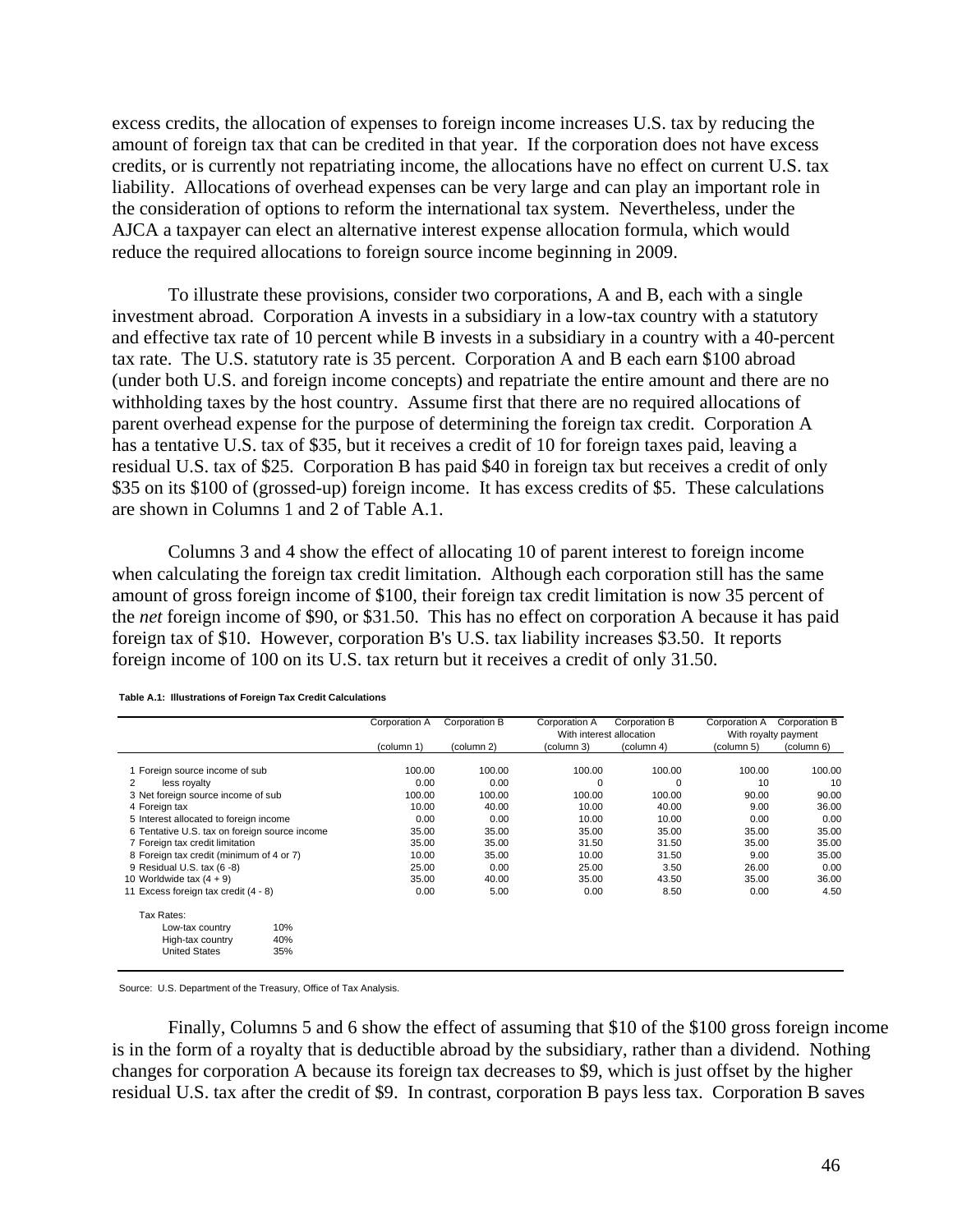excess credits, the allocation of expenses to foreign income increases U.S. tax by reducing the amount of foreign tax that can be credited in that year. If the corporation does not have excess credits, or is currently not repatriating income, the allocations have no effect on current U.S. tax liability. Allocations of overhead expenses can be very large and can play an important role in the consideration of options to reform the international tax system. Nevertheless, under the AJCA a taxpayer can elect an alternative interest expense allocation formula, which would reduce the required allocations to foreign source income beginning in 2009.

To illustrate these provisions, consider two corporations, A and B, each with a single investment abroad. Corporation A invests in a subsidiary in a low-tax country with a statutory and effective tax rate of 10 percent while B invests in a subsidiary in a country with a 40-percent tax rate. The U.S. statutory rate is 35 percent. Corporation A and B each earn \$100 abroad (under both U.S. and foreign income concepts) and repatriate the entire amount and there are no withholding taxes by the host country. Assume first that there are no required allocations of parent overhead expense for the purpose of determining the foreign tax credit. Corporation A has a tentative U.S. tax of \$35, but it receives a credit of 10 for foreign taxes paid, leaving a residual U.S. tax of \$25. Corporation B has paid \$40 in foreign tax but receives a credit of only \$35 on its \$100 of (grossed-up) foreign income. It has excess credits of \$5. These calculations are shown in Columns 1 and 2 of Table A.1.

Columns 3 and 4 show the effect of allocating 10 of parent interest to foreign income when calculating the foreign tax credit limitation. Although each corporation still has the same amount of gross foreign income of \$100, their foreign tax credit limitation is now 35 percent of the *net* foreign income of \$90, or \$31.50. This has no effect on corporation A because it has paid foreign tax of \$10. However, corporation B's U.S. tax liability increases \$3.50. It reports foreign income of 100 on its U.S. tax return but it receives a credit of only 31.50.

|                                               | Corporation A | Corporation B | Corporation A            | Corporation B | Corporation A        | Corporation B |
|-----------------------------------------------|---------------|---------------|--------------------------|---------------|----------------------|---------------|
|                                               |               |               | With interest allocation |               | With royalty payment |               |
|                                               | (column 1)    | (column 2)    | (column 3)               | (column 4)    | (column 5)           | (column 6)    |
| 1 Foreign source income of sub                | 100.00        | 100.00        | 100.00                   | 100.00        | 100.00               | 100.00        |
| 2<br>less royalty                             | 0.00          | 0.00          | $\mathbf 0$              | $\Omega$      | 10                   | 10            |
| 3 Net foreign source income of sub            | 100.00        | 100.00        | 100.00                   | 100.00        | 90.00                | 90.00         |
| 4 Foreign tax                                 | 10.00         | 40.00         | 10.00                    | 40.00         | 9.00                 | 36.00         |
| 5 Interest allocated to foreign income        | 0.00          | 0.00          | 10.00                    | 10.00         | 0.00                 | 0.00          |
| 6 Tentative U.S. tax on foreign source income | 35.00         | 35.00         | 35.00                    | 35.00         | 35.00                | 35.00         |
| 7 Foreign tax credit limitation               | 35.00         | 35.00         | 31.50                    | 31.50         | 35.00                | 35.00         |
| 8 Foreign tax credit (minimum of 4 or 7)      | 10.00         | 35.00         | 10.00                    | 31.50         | 9.00                 | 35.00         |
| 9 Residual U.S. tax (6 -8)                    | 25.00         | 0.00          | 25.00                    | 3.50          | 26.00                | 0.00          |
| 10 Worldwide tax $(4 + 9)$                    | 35.00         | 40.00         | 35.00                    | 43.50         | 35.00                | 36.00         |
| 11 Excess foreign tax credit (4 - 8)          | 0.00          | 5.00          | 0.00                     | 8.50          | 0.00                 | 4.50          |
| Tax Rates:                                    |               |               |                          |               |                      |               |
| 10%<br>Low-tax country                        |               |               |                          |               |                      |               |
| 40%<br>High-tax country                       |               |               |                          |               |                      |               |
| <b>United States</b><br>35%                   |               |               |                          |               |                      |               |

**Table A.1: Illustrations of Foreign Tax Credit Calculations**

Source: U.S. Department of the Treasury, Office of Tax Analysis.

Finally, Columns 5 and 6 show the effect of assuming that \$10 of the \$100 gross foreign income is in the form of a royalty that is deductible abroad by the subsidiary, rather than a dividend. Nothing changes for corporation A because its foreign tax decreases to \$9, which is just offset by the higher residual U.S. tax after the credit of \$9. In contrast, corporation B pays less tax. Corporation B saves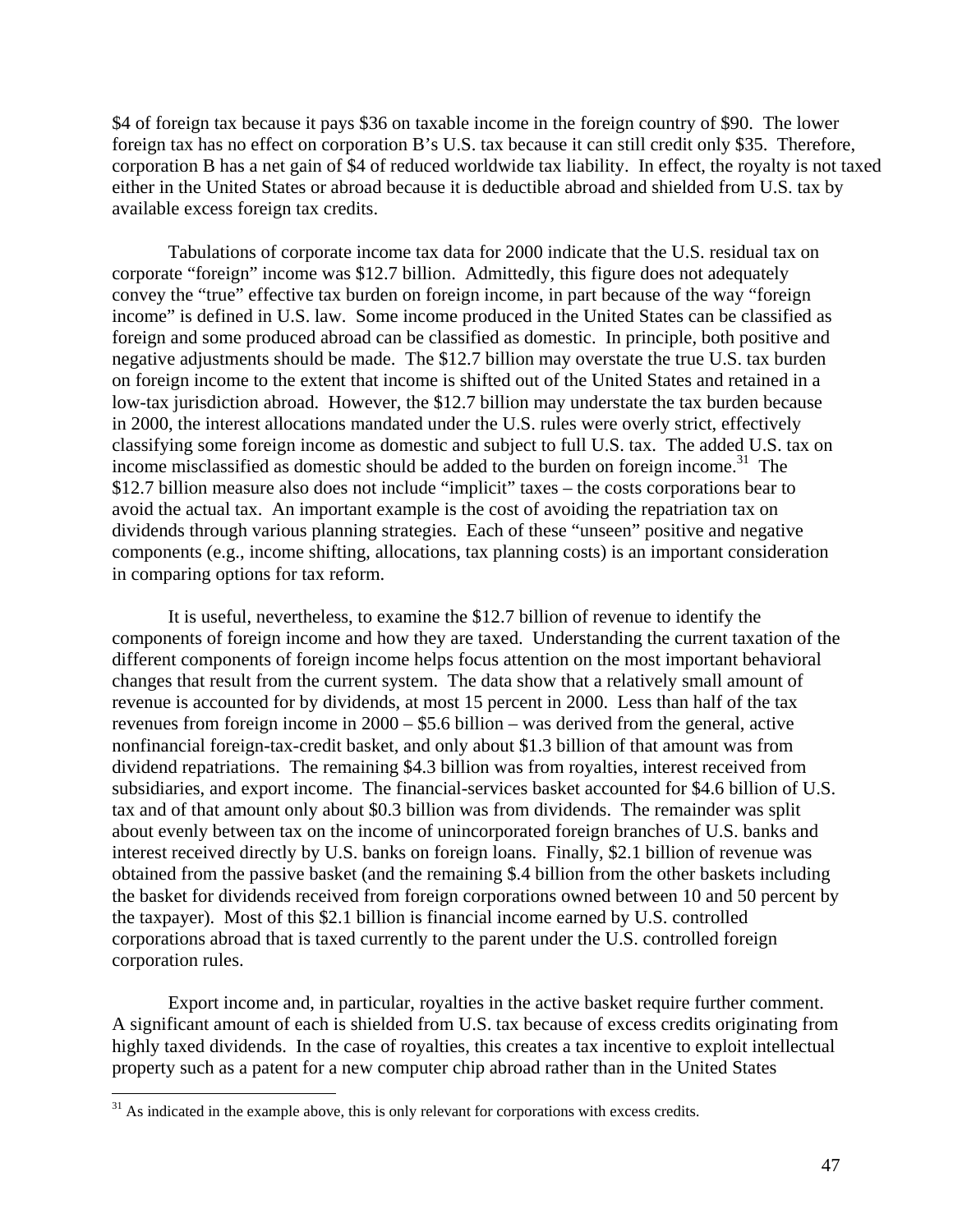\$4 of foreign tax because it pays \$36 on taxable income in the foreign country of \$90. The lower foreign tax has no effect on corporation B's U.S. tax because it can still credit only \$35. Therefore, corporation B has a net gain of \$4 of reduced worldwide tax liability. In effect, the royalty is not taxed either in the United States or abroad because it is deductible abroad and shielded from U.S. tax by available excess foreign tax credits.

Tabulations of corporate income tax data for 2000 indicate that the U.S. residual tax on corporate "foreign" income was \$12.7 billion. Admittedly, this figure does not adequately convey the "true" effective tax burden on foreign income, in part because of the way "foreign income" is defined in U.S. law. Some income produced in the United States can be classified as foreign and some produced abroad can be classified as domestic. In principle, both positive and negative adjustments should be made. The \$12.7 billion may overstate the true U.S. tax burden on foreign income to the extent that income is shifted out of the United States and retained in a low-tax jurisdiction abroad. However, the \$12.7 billion may understate the tax burden because in 2000, the interest allocations mandated under the U.S. rules were overly strict, effectively classifying some foreign income as domestic and subject to full U.S. tax. The added U.S. tax on income misclassified as domestic should be added to the burden on foreign income.<sup>31</sup> The \$12.7 billion measure also does not include "implicit" taxes – the costs corporations bear to avoid the actual tax. An important example is the cost of avoiding the repatriation tax on dividends through various planning strategies. Each of these "unseen" positive and negative components (e.g., income shifting, allocations, tax planning costs) is an important consideration in comparing options for tax reform.

It is useful, nevertheless, to examine the \$12.7 billion of revenue to identify the components of foreign income and how they are taxed. Understanding the current taxation of the different components of foreign income helps focus attention on the most important behavioral changes that result from the current system. The data show that a relatively small amount of revenue is accounted for by dividends, at most 15 percent in 2000. Less than half of the tax revenues from foreign income in 2000 – \$5.6 billion – was derived from the general, active nonfinancial foreign-tax-credit basket, and only about \$1.3 billion of that amount was from dividend repatriations. The remaining \$4.3 billion was from royalties, interest received from subsidiaries, and export income. The financial-services basket accounted for \$4.6 billion of U.S. tax and of that amount only about \$0.3 billion was from dividends. The remainder was split about evenly between tax on the income of unincorporated foreign branches of U.S. banks and interest received directly by U.S. banks on foreign loans. Finally, \$2.1 billion of revenue was obtained from the passive basket (and the remaining \$.4 billion from the other baskets including the basket for dividends received from foreign corporations owned between 10 and 50 percent by the taxpayer). Most of this \$2.1 billion is financial income earned by U.S. controlled corporations abroad that is taxed currently to the parent under the U.S. controlled foreign corporation rules.

Export income and, in particular, royalties in the active basket require further comment. A significant amount of each is shielded from U.S. tax because of excess credits originating from highly taxed dividends. In the case of royalties, this creates a tax incentive to exploit intellectual property such as a patent for a new computer chip abroad rather than in the United States

 $\overline{a}$ 

 $31$  As indicated in the example above, this is only relevant for corporations with excess credits.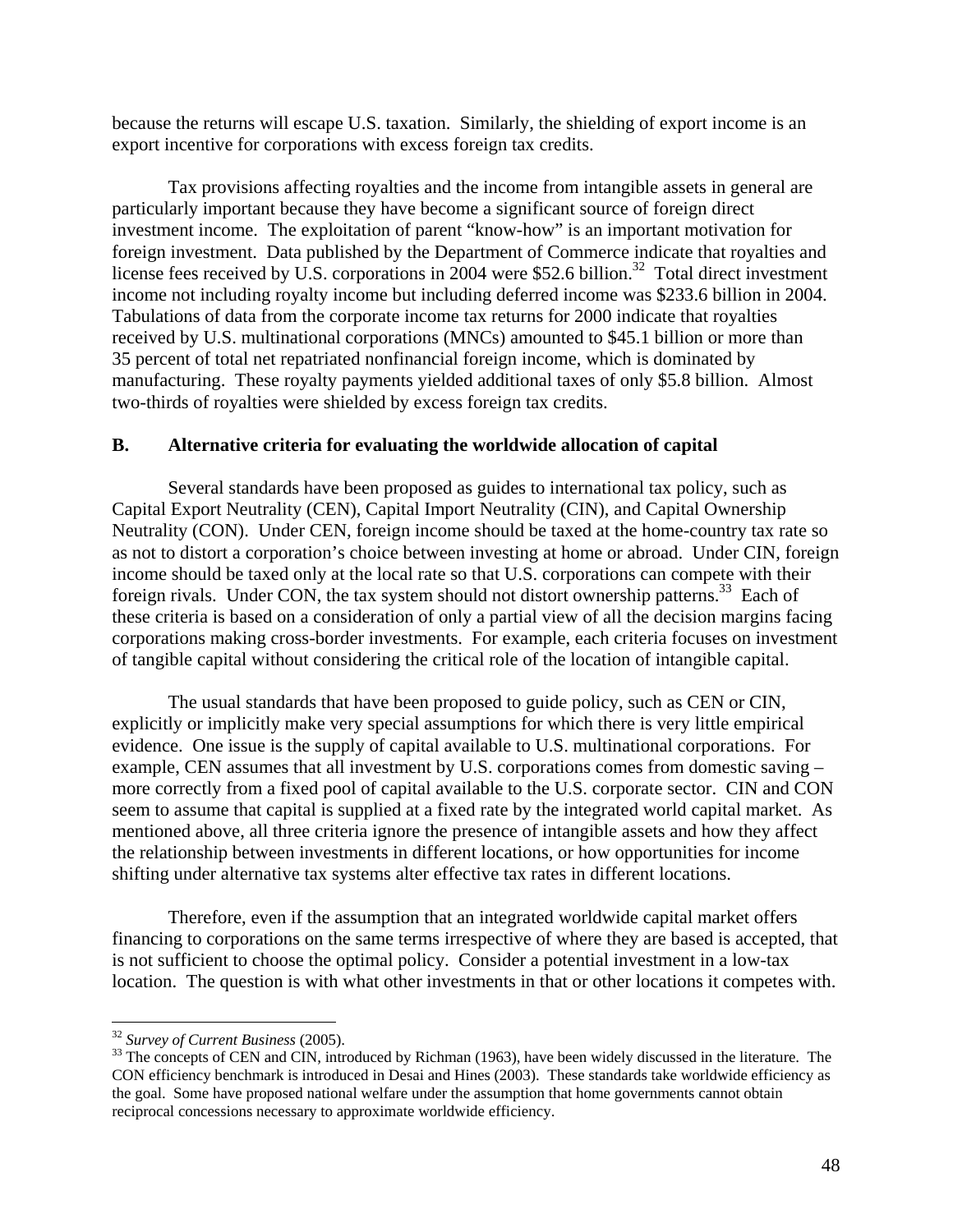because the returns will escape U.S. taxation. Similarly, the shielding of export income is an export incentive for corporations with excess foreign tax credits.

Tax provisions affecting royalties and the income from intangible assets in general are particularly important because they have become a significant source of foreign direct investment income. The exploitation of parent "know-how" is an important motivation for foreign investment. Data published by the Department of Commerce indicate that royalties and license fees received by U.S. corporations in  $2004$  were \$52.6 billion.<sup>32</sup> Total direct investment income not including royalty income but including deferred income was \$233.6 billion in 2004. Tabulations of data from the corporate income tax returns for 2000 indicate that royalties received by U.S. multinational corporations (MNCs) amounted to \$45.1 billion or more than 35 percent of total net repatriated nonfinancial foreign income, which is dominated by manufacturing. These royalty payments yielded additional taxes of only \$5.8 billion. Almost two-thirds of royalties were shielded by excess foreign tax credits.

## **B. Alternative criteria for evaluating the worldwide allocation of capital**

Several standards have been proposed as guides to international tax policy, such as Capital Export Neutrality (CEN), Capital Import Neutrality (CIN), and Capital Ownership Neutrality (CON). Under CEN, foreign income should be taxed at the home-country tax rate so as not to distort a corporation's choice between investing at home or abroad. Under CIN, foreign income should be taxed only at the local rate so that U.S. corporations can compete with their foreign rivals. Under CON, the tax system should not distort ownership patterns.<sup>33</sup> Each of these criteria is based on a consideration of only a partial view of all the decision margins facing corporations making cross-border investments. For example, each criteria focuses on investment of tangible capital without considering the critical role of the location of intangible capital.

The usual standards that have been proposed to guide policy, such as CEN or CIN, explicitly or implicitly make very special assumptions for which there is very little empirical evidence. One issue is the supply of capital available to U.S. multinational corporations. For example, CEN assumes that all investment by U.S. corporations comes from domestic saving – more correctly from a fixed pool of capital available to the U.S. corporate sector. CIN and CON seem to assume that capital is supplied at a fixed rate by the integrated world capital market. As mentioned above, all three criteria ignore the presence of intangible assets and how they affect the relationship between investments in different locations, or how opportunities for income shifting under alternative tax systems alter effective tax rates in different locations.

Therefore, even if the assumption that an integrated worldwide capital market offers financing to corporations on the same terms irrespective of where they are based is accepted, that is not sufficient to choose the optimal policy. Consider a potential investment in a low-tax location. The question is with what other investments in that or other locations it competes with.

<sup>&</sup>lt;sup>32</sup> Survey of Current Business (2005).

<sup>&</sup>lt;sup>33</sup> The concepts of CEN and CIN, introduced by Richman (1963), have been widely discussed in the literature. The CON efficiency benchmark is introduced in Desai and Hines (2003). These standards take worldwide efficiency as the goal. Some have proposed national welfare under the assumption that home governments cannot obtain reciprocal concessions necessary to approximate worldwide efficiency.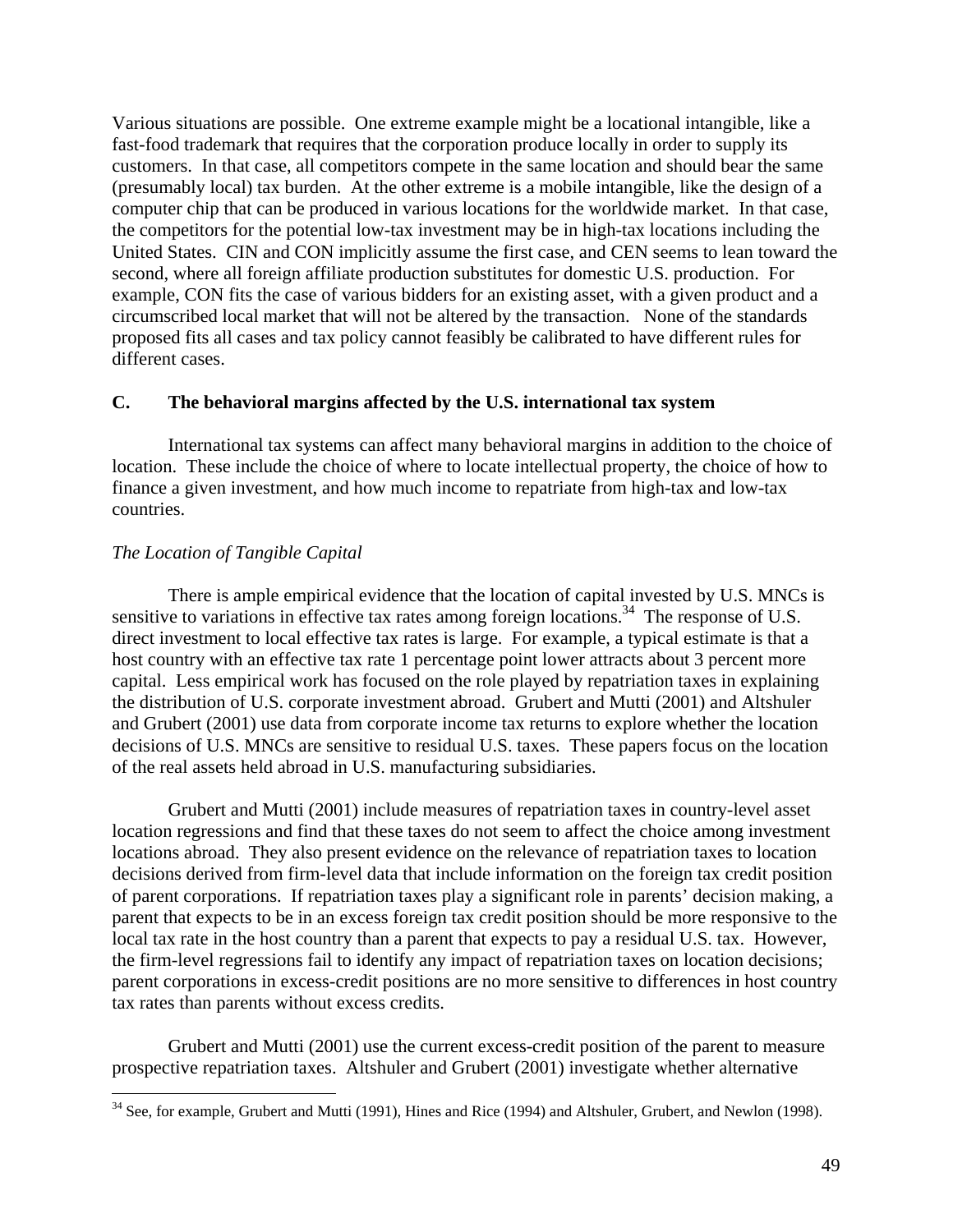Various situations are possible. One extreme example might be a locational intangible, like a fast-food trademark that requires that the corporation produce locally in order to supply its customers. In that case, all competitors compete in the same location and should bear the same (presumably local) tax burden. At the other extreme is a mobile intangible, like the design of a computer chip that can be produced in various locations for the worldwide market. In that case, the competitors for the potential low-tax investment may be in high-tax locations including the United States. CIN and CON implicitly assume the first case, and CEN seems to lean toward the second, where all foreign affiliate production substitutes for domestic U.S. production. For example, CON fits the case of various bidders for an existing asset, with a given product and a circumscribed local market that will not be altered by the transaction. None of the standards proposed fits all cases and tax policy cannot feasibly be calibrated to have different rules for different cases.

## **C. The behavioral margins affected by the U.S. international tax system**

International tax systems can affect many behavioral margins in addition to the choice of location. These include the choice of where to locate intellectual property, the choice of how to finance a given investment, and how much income to repatriate from high-tax and low-tax countries.

### *The Location of Tangible Capital*

 $\overline{a}$ 

There is ample empirical evidence that the location of capital invested by U.S. MNCs is sensitive to variations in effective tax rates among foreign locations.<sup>34</sup> The response of U.S. direct investment to local effective tax rates is large. For example, a typical estimate is that a host country with an effective tax rate 1 percentage point lower attracts about 3 percent more capital. Less empirical work has focused on the role played by repatriation taxes in explaining the distribution of U.S. corporate investment abroad. Grubert and Mutti (2001) and Altshuler and Grubert (2001) use data from corporate income tax returns to explore whether the location decisions of U.S. MNCs are sensitive to residual U.S. taxes. These papers focus on the location of the real assets held abroad in U.S. manufacturing subsidiaries.

Grubert and Mutti (2001) include measures of repatriation taxes in country-level asset location regressions and find that these taxes do not seem to affect the choice among investment locations abroad. They also present evidence on the relevance of repatriation taxes to location decisions derived from firm-level data that include information on the foreign tax credit position of parent corporations. If repatriation taxes play a significant role in parents' decision making, a parent that expects to be in an excess foreign tax credit position should be more responsive to the local tax rate in the host country than a parent that expects to pay a residual U.S. tax. However, the firm-level regressions fail to identify any impact of repatriation taxes on location decisions; parent corporations in excess-credit positions are no more sensitive to differences in host country tax rates than parents without excess credits.

Grubert and Mutti (2001) use the current excess-credit position of the parent to measure prospective repatriation taxes. Altshuler and Grubert (2001) investigate whether alternative

 $34$  See, for example, Grubert and Mutti (1991), Hines and Rice (1994) and Altshuler, Grubert, and Newlon (1998).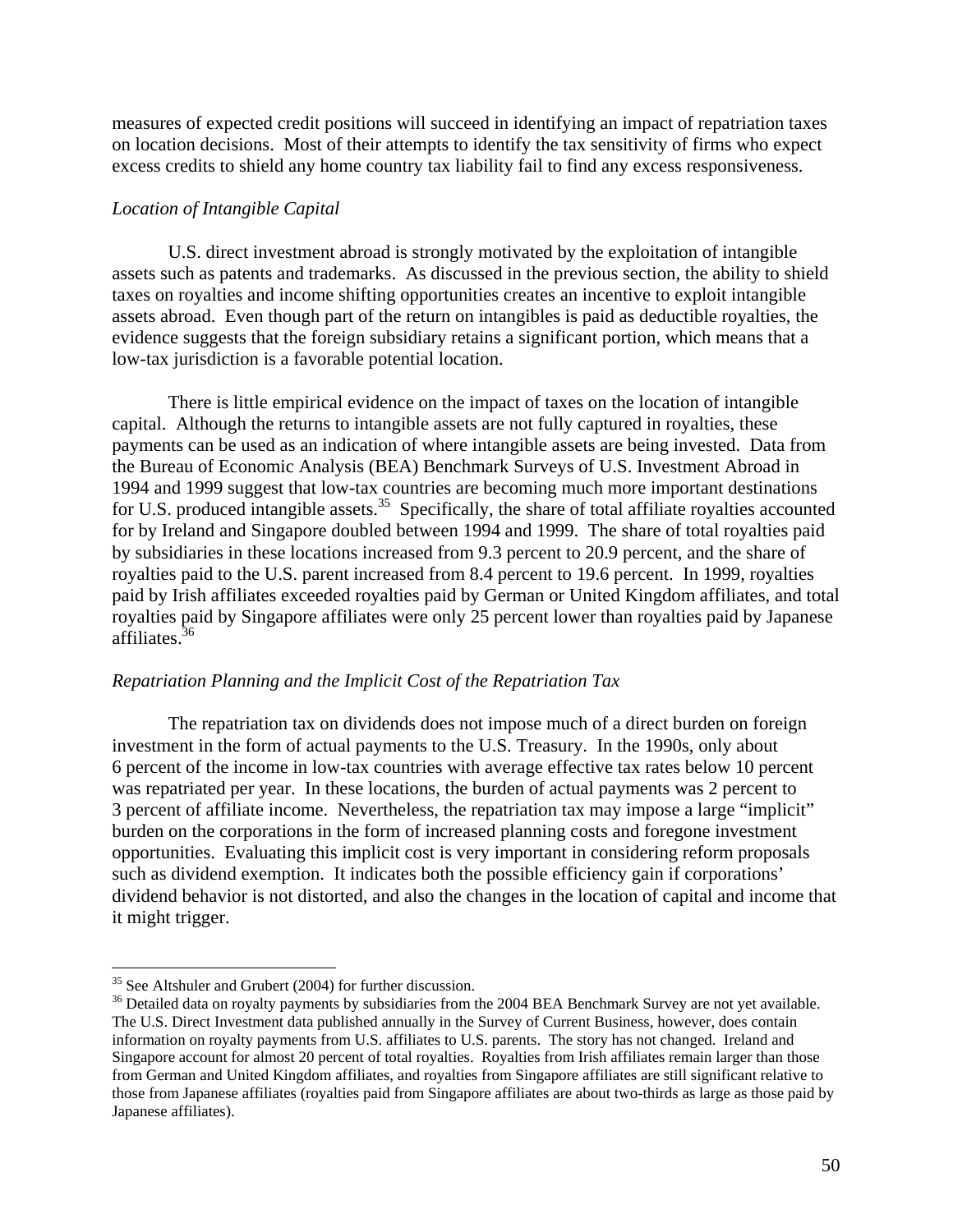measures of expected credit positions will succeed in identifying an impact of repatriation taxes on location decisions. Most of their attempts to identify the tax sensitivity of firms who expect excess credits to shield any home country tax liability fail to find any excess responsiveness.

#### *Location of Intangible Capital*

U.S. direct investment abroad is strongly motivated by the exploitation of intangible assets such as patents and trademarks. As discussed in the previous section, the ability to shield taxes on royalties and income shifting opportunities creates an incentive to exploit intangible assets abroad. Even though part of the return on intangibles is paid as deductible royalties, the evidence suggests that the foreign subsidiary retains a significant portion, which means that a low-tax jurisdiction is a favorable potential location.

There is little empirical evidence on the impact of taxes on the location of intangible capital. Although the returns to intangible assets are not fully captured in royalties, these payments can be used as an indication of where intangible assets are being invested. Data from the Bureau of Economic Analysis (BEA) Benchmark Surveys of U.S. Investment Abroad in 1994 and 1999 suggest that low-tax countries are becoming much more important destinations for U.S. produced intangible assets.<sup>35</sup> Specifically, the share of total affiliate royalties accounted for by Ireland and Singapore doubled between 1994 and 1999. The share of total royalties paid by subsidiaries in these locations increased from 9.3 percent to 20.9 percent, and the share of royalties paid to the U.S. parent increased from 8.4 percent to 19.6 percent. In 1999, royalties paid by Irish affiliates exceeded royalties paid by German or United Kingdom affiliates, and total royalties paid by Singapore affiliates were only 25 percent lower than royalties paid by Japanese affiliates.36

#### *Repatriation Planning and the Implicit Cost of the Repatriation Tax*

 The repatriation tax on dividends does not impose much of a direct burden on foreign investment in the form of actual payments to the U.S. Treasury. In the 1990s, only about 6 percent of the income in low-tax countries with average effective tax rates below 10 percent was repatriated per year. In these locations, the burden of actual payments was 2 percent to 3 percent of affiliate income. Nevertheless, the repatriation tax may impose a large "implicit" burden on the corporations in the form of increased planning costs and foregone investment opportunities. Evaluating this implicit cost is very important in considering reform proposals such as dividend exemption. It indicates both the possible efficiency gain if corporations' dividend behavior is not distorted, and also the changes in the location of capital and income that it might trigger.

1

<sup>&</sup>lt;sup>35</sup> See Altshuler and Grubert (2004) for further discussion.

<sup>&</sup>lt;sup>36</sup> Detailed data on royalty payments by subsidiaries from the 2004 BEA Benchmark Survey are not yet available. The U.S. Direct Investment data published annually in the Survey of Current Business, however, does contain information on royalty payments from U.S. affiliates to U.S. parents. The story has not changed. Ireland and Singapore account for almost 20 percent of total royalties. Royalties from Irish affiliates remain larger than those from German and United Kingdom affiliates, and royalties from Singapore affiliates are still significant relative to those from Japanese affiliates (royalties paid from Singapore affiliates are about two-thirds as large as those paid by Japanese affiliates).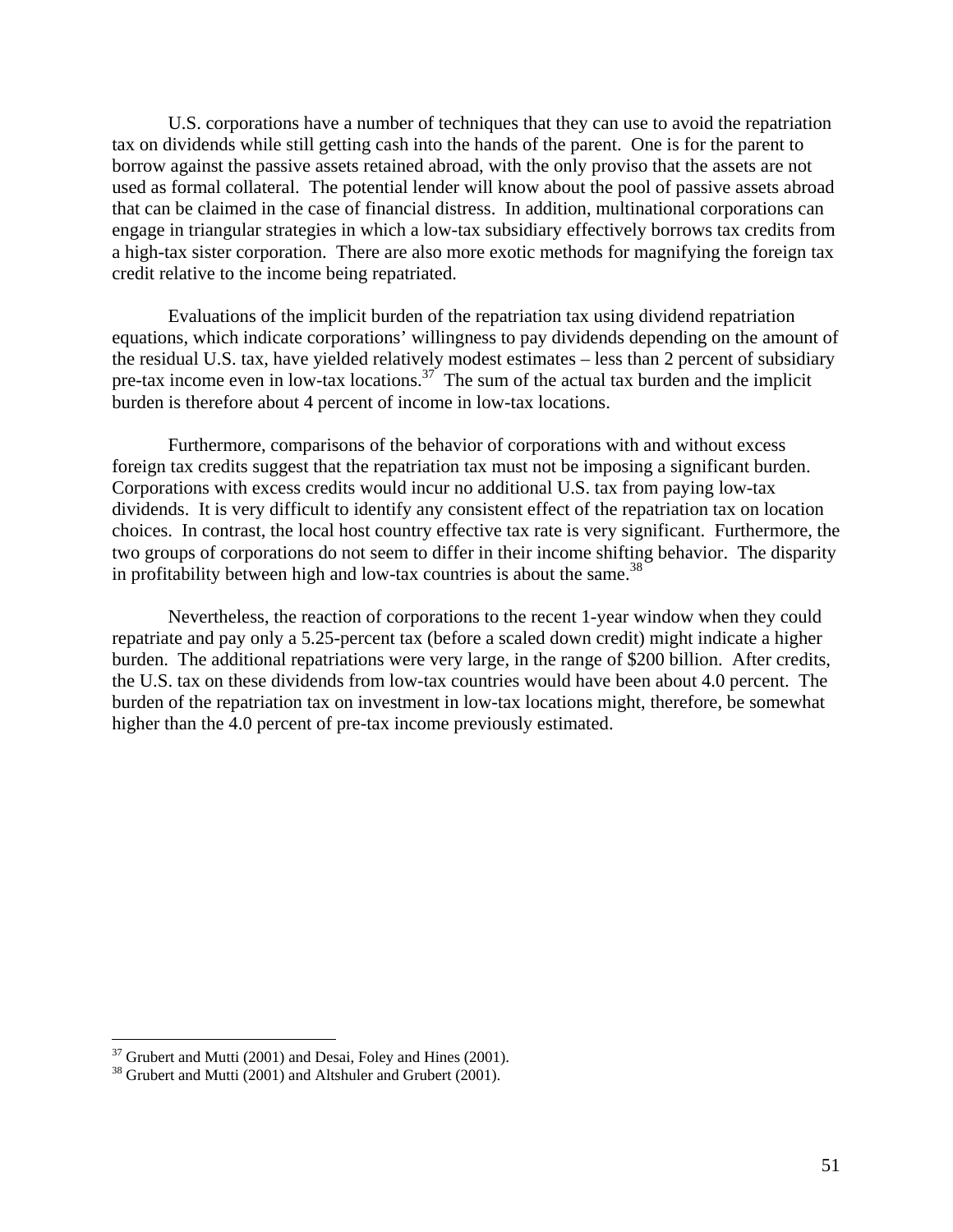U.S. corporations have a number of techniques that they can use to avoid the repatriation tax on dividends while still getting cash into the hands of the parent. One is for the parent to borrow against the passive assets retained abroad, with the only proviso that the assets are not used as formal collateral. The potential lender will know about the pool of passive assets abroad that can be claimed in the case of financial distress. In addition, multinational corporations can engage in triangular strategies in which a low-tax subsidiary effectively borrows tax credits from a high-tax sister corporation. There are also more exotic methods for magnifying the foreign tax credit relative to the income being repatriated.

 Evaluations of the implicit burden of the repatriation tax using dividend repatriation equations, which indicate corporations' willingness to pay dividends depending on the amount of the residual U.S. tax, have yielded relatively modest estimates – less than 2 percent of subsidiary pre-tax income even in low-tax locations.<sup>37</sup> The sum of the actual tax burden and the implicit burden is therefore about 4 percent of income in low-tax locations.

 Furthermore, comparisons of the behavior of corporations with and without excess foreign tax credits suggest that the repatriation tax must not be imposing a significant burden. Corporations with excess credits would incur no additional U.S. tax from paying low-tax dividends. It is very difficult to identify any consistent effect of the repatriation tax on location choices. In contrast, the local host country effective tax rate is very significant. Furthermore, the two groups of corporations do not seem to differ in their income shifting behavior. The disparity in profitability between high and low-tax countries is about the same. $38$ 

Nevertheless, the reaction of corporations to the recent 1-year window when they could repatriate and pay only a 5.25-percent tax (before a scaled down credit) might indicate a higher burden. The additional repatriations were very large, in the range of \$200 billion. After credits, the U.S. tax on these dividends from low-tax countries would have been about 4.0 percent. The burden of the repatriation tax on investment in low-tax locations might, therefore, be somewhat higher than the 4.0 percent of pre-tax income previously estimated.

 $\overline{a}$ 

 $37$  Grubert and Mutti (2001) and Desai, Foley and Hines (2001).

<sup>&</sup>lt;sup>38</sup> Grubert and Mutti (2001) and Altshuler and Grubert (2001).